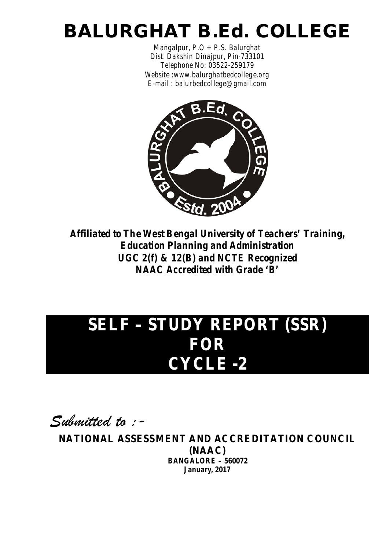# BALURGHAT B.Ed. COLLEGE

*Mangalpur, P.O + P.S. Balurghat Dist. Dakshin Dinajpur, Pin-733101 Telephone No: 03522-259179 Website :www.balurghatbedcollege.org E-mail : balurbedcollege@gmail.com*



*Affiliated to The West Bengal University of Teachers' Training, Education Planning and Administration UGC 2(f) & 12(B) and NCTE Recognized NAAC Accredited with Grade 'B'*

# **SELF – STUDY REPORT (SSR) FOR CYCLE -2**

*Submitted to :-*

**NATIONAL ASSESSMENT AND ACCREDITATION COUNCIL (NAAC)** *BANGALORE – 560072 January, 2017*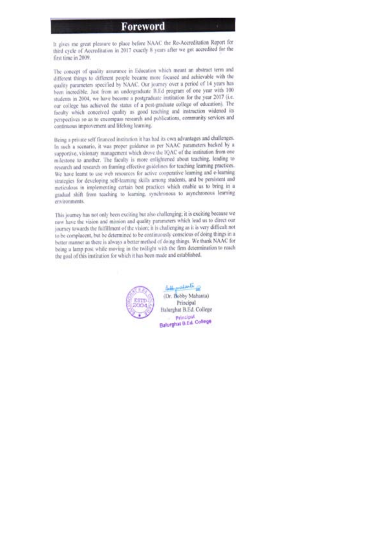#### Foreword

It gives me great pleasure to place before NAAC the Re-Accreditation Report for third cycle of Accreditation in 2017 exactly 8 years after we got accredited for the first time in 2009.

The concept of quality assurance in Education which meant an abstract term and different things to different people became more focused and achievable with the quality parameters specified by NAAC. Our journey over a period of 14 years has been incredible. Just from an undergraduate B.Ed program of one year with 100 students in 2004, we have become a postgraduate institution for the year 2017 (i.e. our college has achieved the status of a post-graduate college of education). The faculty which conceived quality as good teaching and instruction widened its perspectives so as to encompass research and publications, community services and continuous improvement and lifelong learning.

Being a private self financed institution it has had its own advantages and challenges. In such a scenario, it was proper guidance as per NAAC parameters backed by a supportive, visionary management which drove the IQAC of the institution from one milestone to another. The faculty is more enlightened about teaching, leading to research and research on framing effective guidelines for teaching learning practices. We have learnt to use web resources for active cooperative learning and e-learning strategies for developing self-teaming skills among students, and be persistent and meticulous in implementing certain best practices which enable us to bring in a gradual shift from teaching to learning, synchronous to asynchronous learning environments.

This journey has not only been exciting but also challenging; it is exciting because we now have the vision and mission and quality parameters which lead us to direct our journey towards the fulfillment of the vision; it is challenging as it is very difficult not to be complacent, but be determined to be continuously conscious of doing things in a better manner as there is always a better method of doing things. We thank NAAC for being a lamp post while moving in the twilight with the firm determination to reach the goal of this institution for which it has been made and established.

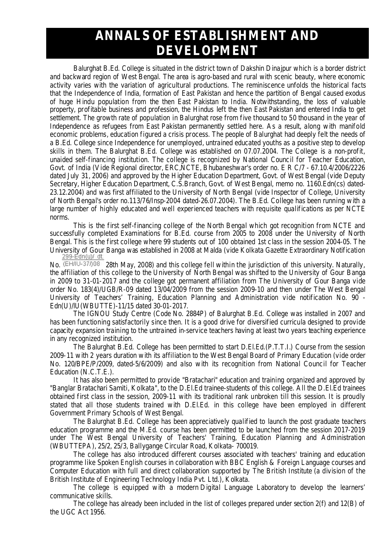## **ANNALS OF ESTABLISHMENT AND DEVELOPMENT**

Balurghat B.Ed. College is situated in the district town of Dakshin Dinajpur which is a border district and backward region of West Bengal. The area is agro-based and rural with scenic beauty, where economic activity varies with the variation of agricultural productions. The reminiscence unfolds the historical facts that the Independence of India, formation of East Pakistan and hence the partition of Bengal caused exodus of huge Hindu population from the then East Pakistan to India. Notwithstanding, the loss of valuable property, profitable business and profession, the Hindus left the then East Pakistan and entered India to get settlement. The growth rate of population in Balurghat rose from five thousand to 50 thousand in the year of Independence as refugees from East Pakistan permanently settled here. As a result, along with manifold economic problems, education figured a crisis process. The people of Balurghat had deeply felt the needs of a B.Ed. College since Independence for unemployed, untrained educated youths as a positive step to develop skills in them. The Balurghat B.Ed. College was established on 07.07.2004. The College is a non-profit, unaided self-financing institution. The college is recognized by National Council for Teacher Education, Govt. of India (Vide Regional director, ERC,NCTE, Bhubaneshwar's order no. E R C/7 - 67.10.4/2006/2226 dated July 31, 2006) and approved by the Higher Education Department, Govt. of West Bengal (vide Deputy Secretary, Higher Education Department, C.S.Branch, Govt. of West Bengal, memo no. 1160.Edn(cs) dated-23.12.2004) and was first affiliated to the University of North Bengal (vide Inspector of College, University of North Bengal's order no.113/76/Insp-2004 dated-26.07.2004). The B.Ed. College has been running with a large number of highly educated and well experienced teachers with requisite qualifications as per NCTE norms.

This is the first self-financing college of the North Bengal which got recognition from NCTE and successfully completed Examinations for B.Ed. course from 2005 to 2008 under the University of North Bengal. This is the first college where 99 students out of 100 obtained 1st class in the session 2004-05. The University of Gour Banga was established in 2008 at Malda (vide Kolkata Gazette Extraordinary Notification 299-Edn(u)/ dt.

No. (EH/IU-37/08 28th May, 2008) and this college fell within the jurisdiction of this university. Naturally, the affiliation of this college to the University of North Bengal was shifted to the University of Gour Banga in 2009 to 31-01-2017 and the college got permanent affiliation from The University of Gour Banga vide order No. 183(4)/UGB/R-09 dated 13/04/2009 from the session 2009-10 and then under The West Bengal University of Teachers' Training, Education Planning and Administration vide notification No. 90 - Edn(U)/lU(WBUTTE)-11/15 dated 30-01-2017.

The IGNOU Study Centre (Code No. 2884P) of Balurghat B.Ed. College was installed in 2007 and has been functioning satisfactorily since then. It is a good drive for diversified curricula designed to provide capacity expansion training to the untrained in-service teachers having at least two years teaching experience in any recognized institution.

The Balurghat B.Ed. College has been permitted to start D.El.Ed.(P.T.T.I.) Course from the session 2009-11 with 2 years duration with its affiliation to the West Bengal Board of Primary Education (vide order No. 120/BPE/P/2009, dated-5/6/2009) and also with its recognition from National Council for Teacher Education (N.C.T.E.).

It has also been permitted to provide "Bratachari" education and training organized and approved by "Banglar Bratachari Samiti, Kolkata", to the D.El.Ed trainee-students of this college. All the D.El.Ed trainees obtained first class in the session, 2009-11 with its traditional rank unbroken till this session. It is proudly stated that all those students trained with D.El.Ed. in this college have been employed in different Government Primary Schools of West Bengal.

The Balurghat B.Ed. College has been appreciatively qualified to launch the post graduate teachers education programme and the M.Ed. course has been permitted to be launched from the session 2017-2019 under The West Bengal University of Teachers' Training, Education Planning and Administration (WBUTTEPA), 25/2, 25/3, Ballygange Circular Road, Kolkata- 700019.

The college has also introduced different courses associated with teachers' training and education programme like Spoken English courses in collaboration with BBC English & Foreign Language courses and Computer Education with full and direct collaboration supported by The British Institute (a division of the British Institute of Engineering Technology India Pvt. Ltd.), Kolkata.

The college is equipped with a modern Digital Language Laboratory to develop the learners' communicative skills.

The college has already been included in the list of colleges prepared under section 2(f) and 12(B) of the UGC Act 1956.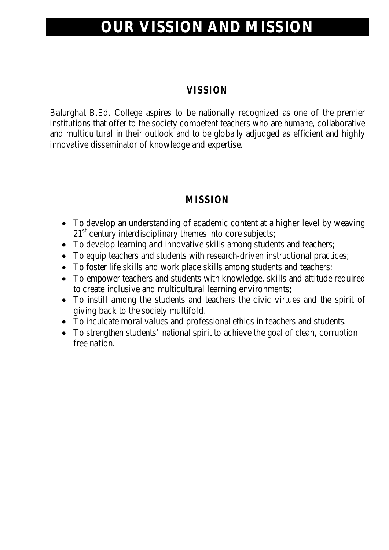# **OUR VISSION AND MISSION**

## *VISSION*

Balurghat B.Ed. College aspires to be nationally recognized as one of the premier institutions that offer to the society competent teachers who are humane, collaborative and multicultural in their outlook and to be globally adjudged as efficient and highly innovative disseminator of knowledge and expertise.

## *MISSION*

- To develop an understanding of academic content at a higher level by weaving 21<sup>st</sup> century interdisciplinary themes into core subjects;
- To develop learning and innovative skills among students and teachers;
- To equip teachers and students with research-driven instructional practices;
- To foster life skills and work place skills among students and teachers;
- To empower teachers and students with knowledge, skills and attitude required to create inclusive and multicultural learning environments;
- To instill among the students and teachers the civic virtues and the spirit of giving back to the society multifold.
- To inculcate moral values and professional ethics in teachers and students.
- To strengthen students' national spirit to achieve the goal of clean, corruption free nation.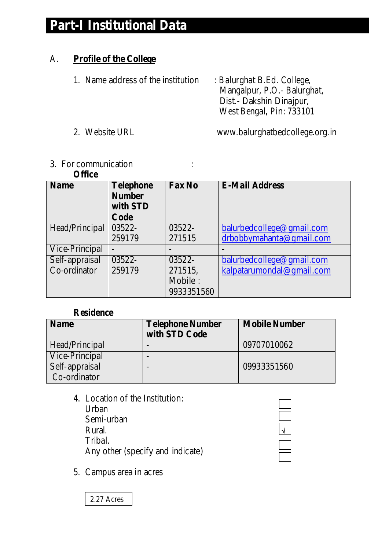# **Part-I Institutional Data**

### A. **Profile of the College**

| 1. Name address of the institution | : Balurghat B.Ed. College,<br>Mangalpur, P.O.- Balurghat,<br>Dist. - Dakshin Dinajpur,<br>West Bengal, Pin: 733101 |
|------------------------------------|--------------------------------------------------------------------------------------------------------------------|
| 2. Website URL                     | www.balurghatbedcollege.org.in                                                                                     |

3. For communication :

#### **Office**

| UMICE          |                  |               |                           |
|----------------|------------------|---------------|---------------------------|
| <b>Name</b>    | <b>Telephone</b> | <b>Fax No</b> | <b>E-Mail Address</b>     |
|                | <b>Number</b>    |               |                           |
|                | with STD         |               |                           |
|                | Code             |               |                           |
| Head/Principal | 03522-           | $03522 -$     | balurbedcollege@gmail.com |
|                | 259179           | 271515        | drbobbymahanta@gmail.com  |
| Vice-Principal |                  |               |                           |
| Self-appraisal | $03522 -$        | $03522 -$     | balurbedcollege@gmail.com |
| Co-ordinator   | 259179           | 271515,       | kalpatarumondal@gmail.com |
|                |                  | Mobile :      |                           |
|                |                  | 9933351560    |                           |

### **Residence**

| <b>Name</b>    | <b>Telephone Number</b><br>with STD Code | <b>Mobile Number</b> |
|----------------|------------------------------------------|----------------------|
| Head/Principal |                                          | 09707010062          |
| Vice-Principal |                                          |                      |
| Self-appraisal |                                          | 09933351560          |
| Co-ordinator   |                                          |                      |

- 4. Location of the Institution: Urban Semi-urban Rural.  $\sqrt{2}$ Tribal. Any other (specify and indicate)
	-

5. Campus area in acres

2.27 Acres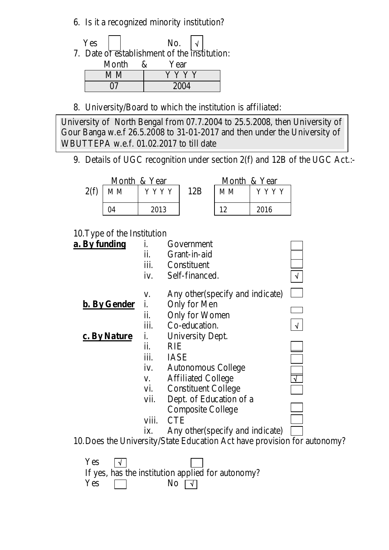6. Is it a recognized minority institution?

|  | 7. Date of establishment of the institution: |  |  |
|--|----------------------------------------------|--|--|

| '' Dav of comomitment of the montan |             |  |  |  |
|-------------------------------------|-------------|--|--|--|
| Month                               | Year<br>ŘΣ. |  |  |  |
| M M                                 | Y Y Y Y     |  |  |  |
| በ7                                  | 2004        |  |  |  |

8. University/Board to which the institution is affiliated:

University of North Bengal from 07.7.2004 to 25.5.2008, then University of Gour Banga w.e.f 26.5.2008 to 31-01-2017 and then under the University of WBUTTEPA w.e.f. 01.02.2017 to till date

9. Details of UGC recognition under section 2(f) and 12B of the UGC Act.:-

|      |     | Month & Year |     | Month & Year |         |
|------|-----|--------------|-----|--------------|---------|
| 2(f) | M M | Y Y Y Y      | 12B | M M          | Y Y Y Y |
|      |     | 2013         |     |              | 2016    |

#### 10.Type of the Institution

| a. By funding       | i.    | Government                       |            |
|---------------------|-------|----------------------------------|------------|
|                     | ii.   | Grant-in-aid                     |            |
|                     | iii.  | Constituent                      |            |
|                     | iv.   | Self-financed.                   |            |
|                     | V.    | Any other (specify and indicate) |            |
| <b>b.</b> By Gender | i.    | Only for Men                     |            |
|                     | ii.   | Only for Women                   |            |
|                     | iii.  | Co-education.                    | $\sqrt{ }$ |
| c. By Nature        | i.    | University Dept.                 |            |
|                     | ii.   | <b>RIE</b>                       |            |
|                     | iii.  | <b>IASE</b>                      |            |
|                     | iv.   | Autonomous College               |            |
|                     | V.    | <b>Affiliated College</b>        | √          |
|                     | vi.   | <b>Constituent College</b>       |            |
|                     | vii.  | Dept. of Education of a          |            |
|                     |       | <b>Composite College</b>         |            |
|                     | viii. | <b>CTE</b>                       |            |
|                     | 1X.   | Any other (specify and indicate) |            |
|                     |       |                                  |            |

10.Does the University/State Education Act have provision for autonomy?

| Yes $ \vee $ |                                                   |  |
|--------------|---------------------------------------------------|--|
|              | If yes, has the institution applied for autonomy? |  |
| Yes          | No $\lceil \sqrt{\rceil}$                         |  |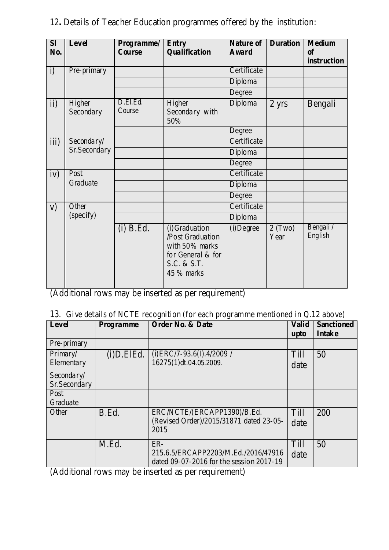| <b>Sl</b><br>No.    | Level               | Programme/<br>Course | Entry<br>Qualification                                                                                | <b>Nature of</b><br>Award | <b>Duration</b>   | <b>Medium</b><br><sub>of</sub> |
|---------------------|---------------------|----------------------|-------------------------------------------------------------------------------------------------------|---------------------------|-------------------|--------------------------------|
|                     |                     |                      |                                                                                                       |                           |                   | instruction                    |
| $\overline{i}$      | Pre-primary         |                      |                                                                                                       | Certificate               |                   |                                |
|                     |                     |                      |                                                                                                       | Diploma                   |                   |                                |
|                     |                     |                      |                                                                                                       | Degree                    |                   |                                |
| $\ddot{\textbf{i}}$ | Higher<br>Secondary | D.El.Ed.<br>Course   | Higher<br>Secondary with<br>50%                                                                       | Diploma                   | 2 yrs             | Bengali                        |
|                     |                     |                      |                                                                                                       | Degree                    |                   |                                |
| $\overline{iii}$    | Secondary/          |                      |                                                                                                       | Certificate               |                   |                                |
|                     | Sr.Secondary        |                      |                                                                                                       | Diploma                   |                   |                                |
|                     |                     |                      |                                                                                                       | Degree                    |                   |                                |
| $\overline{iv}$     | Post                |                      |                                                                                                       | Certificate               |                   |                                |
|                     | Graduate            |                      |                                                                                                       | Diploma                   |                   |                                |
|                     |                     |                      |                                                                                                       | Degree                    |                   |                                |
| V)                  | Other               |                      |                                                                                                       | Certificate               |                   |                                |
|                     | (specify)           |                      |                                                                                                       | Diploma                   |                   |                                |
|                     |                     | $(i)$ B.Ed.          | (i)Graduation<br>/Post Graduation<br>with 50% marks<br>for General & for<br>S.C. & S.T.<br>45 % marks | $(i)$ De gree             | $2$ (Two)<br>Year | Bengali/<br>English            |

12**.** Details of Teacher Education programmes offered by the institution:

(Additional rows may be inserted as per requirement)

|  |  |  |  | 13. Give details of NCTE recognition (for each programme mentioned in Q.12 above) |
|--|--|--|--|-----------------------------------------------------------------------------------|
|--|--|--|--|-----------------------------------------------------------------------------------|

| Level        | <b>Programme</b> | $\sim$ 0.11 $\sim$ 12 $\sim$ 0.12 $\sim$ 0.12 $\sim$ 0.12 $\sim$ 0.12 $\sim$ 0.12 $\sim$ 0.12 $\sim$ 0.12 $\sim$ 0.12 $\sim$ 0.12 $\sim$ 0.12 $\sim$ 0.12 $\sim$ 0.12 $\sim$ 0.12 $\sim$ 0.12 $\sim$ 0.12 $\sim$ 0.12 $\sim$ 0.12 $\sim$ 0.12 $\sim$ 0.12 $\sim$ 0.12 $\sim$<br>Order No. & Date | <b>Valid</b> | <b>Sanctioned</b> |
|--------------|------------------|--------------------------------------------------------------------------------------------------------------------------------------------------------------------------------------------------------------------------------------------------------------------------------------------------|--------------|-------------------|
|              |                  |                                                                                                                                                                                                                                                                                                  | upto         | <b>Intake</b>     |
| Pre-primary  |                  |                                                                                                                                                                                                                                                                                                  |              |                   |
| Primary/     | $(i)$ D.ElEd.    | $(i)$ ERC/7-93.6(I).4/2009 /                                                                                                                                                                                                                                                                     | Till         | 50                |
| Elementary   |                  | 16275(1)dt.04.05.2009.                                                                                                                                                                                                                                                                           | date         |                   |
| Secondary/   |                  |                                                                                                                                                                                                                                                                                                  |              |                   |
| Sr.Secondary |                  |                                                                                                                                                                                                                                                                                                  |              |                   |
| Post         |                  |                                                                                                                                                                                                                                                                                                  |              |                   |
| Graduate     |                  |                                                                                                                                                                                                                                                                                                  |              |                   |
| Other        | B.Ed.            | ERC/NCTE/(ERCAPP1390)/B.Ed.                                                                                                                                                                                                                                                                      | <b>Till</b>  | 200               |
|              |                  | (Revised Order)/2015/31871 dated 23-05-<br>2015                                                                                                                                                                                                                                                  | date         |                   |
|              | M.Ed.            | ER-                                                                                                                                                                                                                                                                                              | Till         | 50                |
|              |                  | 215.6.5/ERCAPP2203/M.Ed./2016/47916<br>dated 09-07-2016 for the session 2017-19                                                                                                                                                                                                                  | date         |                   |

(Additional rows may be inserted as per requirement)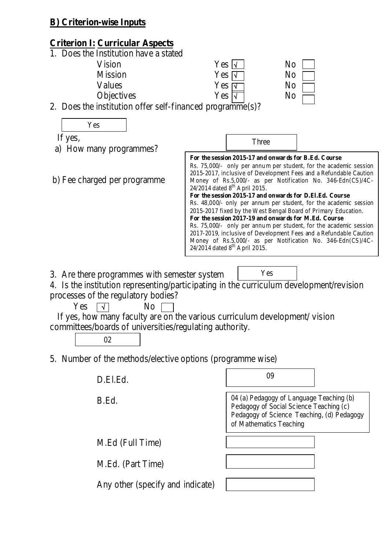## **B) Criterion-wise Inputs**

#### <u>**Criterion I: Curricular Aspects**</u>

1. Does the Institution have a stated

| Vision            | Yes $\vert \sqrt{ } \vert$ | No |
|-------------------|----------------------------|----|
| <b>Mission</b>    | Yes $\triangledown$        | No |
| Values            | <b>Yes</b>                 | No |
| <b>Objectives</b> | Yes                        |    |

2. Does the institution offer self-financed programme(s)?

| Does the institution offer sen-financed programme(s):                                                                                                                                                                                                                                                                                                                                                               |                                                                                                                                                                                                                                                                                                                                     |                                                                                                                                                                                                                                                                                                                                                                                                                                                                                     |                                            |
|---------------------------------------------------------------------------------------------------------------------------------------------------------------------------------------------------------------------------------------------------------------------------------------------------------------------------------------------------------------------------------------------------------------------|-------------------------------------------------------------------------------------------------------------------------------------------------------------------------------------------------------------------------------------------------------------------------------------------------------------------------------------|-------------------------------------------------------------------------------------------------------------------------------------------------------------------------------------------------------------------------------------------------------------------------------------------------------------------------------------------------------------------------------------------------------------------------------------------------------------------------------------|--------------------------------------------|
| Yes                                                                                                                                                                                                                                                                                                                                                                                                                 |                                                                                                                                                                                                                                                                                                                                     |                                                                                                                                                                                                                                                                                                                                                                                                                                                                                     |                                            |
| If yes,                                                                                                                                                                                                                                                                                                                                                                                                             |                                                                                                                                                                                                                                                                                                                                     | Three                                                                                                                                                                                                                                                                                                                                                                                                                                                                               |                                            |
| a) How many programmes?                                                                                                                                                                                                                                                                                                                                                                                             |                                                                                                                                                                                                                                                                                                                                     |                                                                                                                                                                                                                                                                                                                                                                                                                                                                                     |                                            |
| b) Fee charged per programme                                                                                                                                                                                                                                                                                                                                                                                        | For the session 2015-17 and onwards for B.Ed. Course<br>24/2014 dated 8 <sup>th</sup> April 2015.<br>For the session 2015-17 and onwards for D.El.Ed. Course<br>2015-2017 fixed by the West Bengal Board of Primary Education.<br>For the session 2017-19 and onwards for M.Ed. Course<br>24/2014 dated 8 <sup>th</sup> April 2015. | Rs. 75,000/- only per annum per student, for the academic session<br>2015-2017, inclusive of Development Fees and a Refundable Caution<br>Money of Rs.5,000/- as per Notification No. 346-Edn(CS)/4C-<br>Rs. 48,000/- only per annum per student, for the academic session<br>Rs. 75,000/- only per annum per student, for the academic session<br>2017-2019, inclusive of Development Fees and a Refundable Caution<br>Money of Rs.5,000/- as per Notification No. 346-Edn(CS)/4C- |                                            |
| 3. Are there programmes with semester system<br>4. Is the institution representing/participating in the curriculum development/revision<br>processes of the regulatory bodies?<br>Yes<br>N <sub>o</sub><br>If yes, how many faculty are on the various curriculum development/vision<br>committees/boards of universities/regulating authority.<br>02<br>5. Number of the methods/elective options (programme wise) |                                                                                                                                                                                                                                                                                                                                     | Yes                                                                                                                                                                                                                                                                                                                                                                                                                                                                                 |                                            |
| D.El.Ed.                                                                                                                                                                                                                                                                                                                                                                                                            |                                                                                                                                                                                                                                                                                                                                     | 09                                                                                                                                                                                                                                                                                                                                                                                                                                                                                  |                                            |
| B.Ed.                                                                                                                                                                                                                                                                                                                                                                                                               |                                                                                                                                                                                                                                                                                                                                     | 04 (a) Pedagogy of Language Teaching (b)<br>Pedagogy of Social Science Teaching (c)<br>of Mathematics Teaching                                                                                                                                                                                                                                                                                                                                                                      | Pedagogy of Science Teaching, (d) Pedagogy |
| M.Ed (Full Time)                                                                                                                                                                                                                                                                                                                                                                                                    |                                                                                                                                                                                                                                                                                                                                     |                                                                                                                                                                                                                                                                                                                                                                                                                                                                                     |                                            |

Any other (specify and indicate)

M.Ed. (Part Time)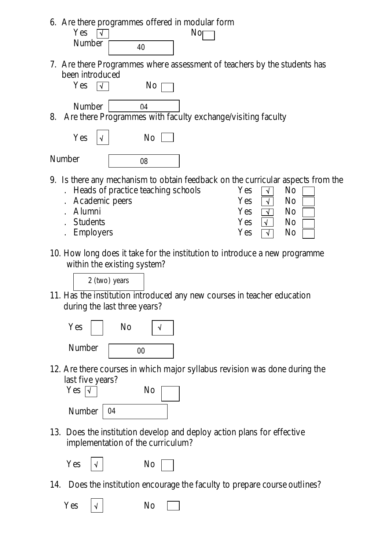|  |  | 6. Are there programmes offered in modular form |  |  |  |  |
|--|--|-------------------------------------------------|--|--|--|--|
|--|--|-------------------------------------------------|--|--|--|--|



7. Are there Programmes where assessment of teachers by the students has been introduced



- 9. Is there any mechanism to obtain feedback on the curricular aspects from the
	- . Heads of practice teaching schools
	- . Academic peers
	- . Alumni
	- . Students
	- . Employers

|     | $\mu$ undukan u $\nu$ |                | ິນມີ |
|-----|-----------------------|----------------|------|
| Yes |                       | No             |      |
| Yes |                       | N <sub>o</sub> |      |
| Yes |                       | N <sub>o</sub> |      |
| Yes |                       | N <sub>0</sub> |      |
| Yes |                       | N <sub>0</sub> |      |

10. How long does it take for the institution to introduce a new programme within the existing system?

2 (two) years

11. Has the institution introduced any new courses in teacher education during the last three years?



12. Are there courses in which major syllabus revision was done during the last five years?



13. Does the institution develop and deploy action plans for effective implementation of the curriculum?

| Yes | $\sqrt{ }$ | No |
|-----|------------|----|
|-----|------------|----|



14. Does the institution encourage the faculty to prepare course outlines?

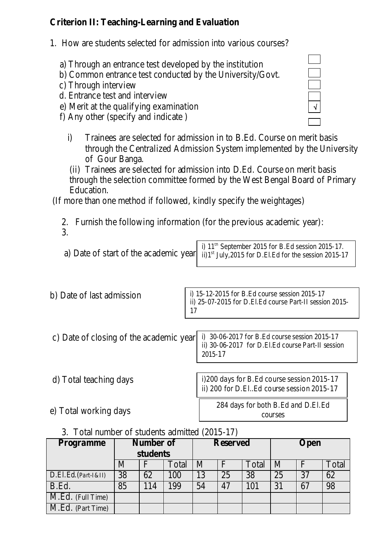### **Criterion II: Teaching-Learning and Evaluation**

1. How are students selected for admission into various courses?

- a) Through an entrance test developed by the institution
- b) Common entrance test conducted by the University/Govt.
- c) Through interview
- d. Entrance test and interview
- e) Merit at the qualifying examination
- f) Any other (specify and indicate )
	- i) Trainees are selected for admission in to B.Ed. Course on merit basis through the Centralized Admission System implemented by the University of Gour Banga.

(ii) Trainees are selected for admission into D.Ed. Course on merit basis through the selection committee formed by the West Bengal Board of Primary Education.

(If more than one method if followed, kindly specify the weightages)

- 2. Furnish the following information (for the previous academic year):
- 3.

a) Date of start of the academic year ii)<sup>1st</sup> July, 2015 for D.El.Ed for the session 2015-17 i)  $11<sup>th</sup>$  September 2015 for B.Ed session 2015-17.

b) Date of last admission i) 15-12-2015 for B.Ed course session 2015-17 ii) 25-07-2015 for D.El.Ed course Part-II session 2015- 17

2015-17

- c) Date of closing of the academic year
- d) Total teaching days

e) Total working days

i)200 days for B.Ed course session 2015-17 ii) 200 for D.El..Ed course session 2015-17

i) 30-06-2017 for B.Ed course session 2015-17 ii) 30-06-2017 for D.El.Ed course Part-II session

284 days for both B.Ed and D.El.Ed courses

3. Total number of students admitted (2015-17)

| <b>Programme</b>     | Number of |     |       | <b>Reserved</b> |    | Open  |    |    |       |
|----------------------|-----------|-----|-------|-----------------|----|-------|----|----|-------|
|                      | students  |     |       |                 |    |       |    |    |       |
|                      | M         | E   | Total | M               | F  | Total | M  |    | Total |
| D.El.Ed. (Part-I&II) | 38        | 62  | 100   | 13              | 25 | 38    | 25 | 37 | 62    |
| B.Ed.                | 85        | 114 | 199   | 54              | 47 | 101   | 31 | 67 | 98    |
| M.Ed. (Full Time)    |           |     |       |                 |    |       |    |    |       |
| M.Ed. (Part Time)    |           |     |       |                 |    |       |    |    |       |

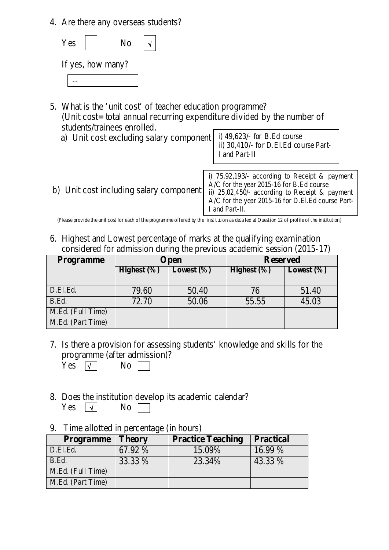4. Are there any overseas students?

| Yes               | N <sub>o</sub> |  |
|-------------------|----------------|--|
| If yes, how many? |                |  |
|                   |                |  |

- 5. What is the 'unit cost' of teacher education programme? (Unit cost= total annual recurring expenditure divided by the number of students/trainees enrolled.
	- a) Unit cost excluding salary component

i) 49,623/- for B.Ed course ii) 30,410/- for D.El.Ed course Part-I and Part-II

b) Unit cost including salary component i) 75,92,193/- according to Receipt & payment A/C for the year 2015-16 for B.Ed course ii) 25,02,450/- according to Receipt & payment A/C for the year 2015-16 for D.El.Ed course Part-I and Part-II.

(Please provide the unit cost for each ofthe programme offered by the institution as detailed at Question 12 of profile of the institution)

6. Highest and Lowest percentage of marks at the qualifying examination considered for admission during the previous academic session (2015-17)

| <b>Programme</b>  | <b>Open</b>     |                | <b>Reserved</b> |                |
|-------------------|-----------------|----------------|-----------------|----------------|
|                   | Highest $(\% )$ | Lowest $(\% )$ | Highest $(\% )$ | Lowest $(\% )$ |
|                   |                 |                |                 |                |
| D.El.Ed.          | 79.60           | 50.40          | 76              | 51.40          |
| B.Ed.             | 72.70           | 50.06          | 55.55           | 45.03          |
| M.Ed. (Full Time) |                 |                |                 |                |
| M.Ed. (Part Time) |                 |                |                 |                |

7. Is there a provision for assessing students' knowledge and skills for the programme (after admission)?

Yes  $\sqrt{ }$  No  $\Box$ 

- 8. Does the institution develop its academic calendar? Yes <sup>√</sup> No
- 9. Time allotted in percentage (in hours)

| <b>Programme</b>  | <b>Theory</b> | <b>Practice Teaching</b> | <b>Practical</b> |
|-------------------|---------------|--------------------------|------------------|
| D.El.Ed.          | 67.92 %       | 15.09%                   | $16.99\%$        |
| B.Ed.             | 33.33 %       | 23.34%                   | 43.33 %          |
| M.Ed. (Full Time) |               |                          |                  |
| M.Ed. (Part Time) |               |                          |                  |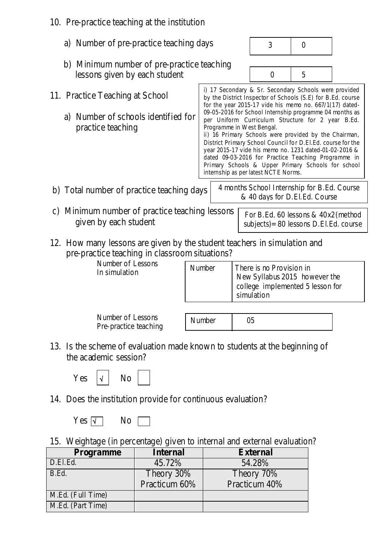- 10. Pre-practice teaching at the institution
- a) Number of pre-practice teaching days b) Minimum number of pre-practice teaching lessons given by each student 11. Practice Teaching at School a) Number of schools identified for practice teaching b) Total number of practice teaching days 3 0 0 5 i) 17 Secondary & Sr. Secondary Schools were provided by the District Inspector of Schools (S.E) for B.Ed. course for the year 2015-17 vide his memo no.  $667/1(17)$  dated-09-05-2016 for School Internship programme 04 months as per Uniform Curriculum Structure for 2 year B.Ed. Programme in West Bengal. ii) 16 Primary Schools were provided by the Chairman, District Primary School Council for D.El.Ed. course for the year 2015-17 vide his memo no. 1231 dated-01-02-2016 & dated 09-03-2016 for Practice Teaching Programme in Primary Schools & Upper Primary Schools for school internship as per latest NCTE Norms.
- c) Minimum number of practice teaching lessons given by each student

| 4 months School Internship for B.Ed. Course |
|---------------------------------------------|
| & 40 days for D.El.Ed. Course               |
|                                             |

- For B.Ed. 60 lessons & 40x2(method subjects)= 80 lessons D.El.Ed. course
- 12. How many lessons are given by the student teachers in simulation and pre-practice teaching in classroom situations?

Number of Lessons In simulation

| There is no Provision in<br>New Syllabus 2015 however the<br>Number<br>college implemented 5 lesson for<br>simulation |  |
|-----------------------------------------------------------------------------------------------------------------------|--|
|-----------------------------------------------------------------------------------------------------------------------|--|

Number of Lessons Pre-practice teaching Number 1 05

13. Is the scheme of evaluation made known to students at the beginning of the academic session?



14. Does the institution provide for continuous evaluation?



15. Weightage (in percentage) given to internal and external evaluation?

| <b>Programme</b>  | <b>Internal</b> | <b>External</b> |
|-------------------|-----------------|-----------------|
| D.El.Ed.          | 45.72%          | 54.28%          |
| B.Ed.             | Theory 30%      | Theory 70%      |
|                   | Practicum 60%   | Practicum 40%   |
| M.Ed. (Full Time) |                 |                 |
| M.Ed. (Part Time) |                 |                 |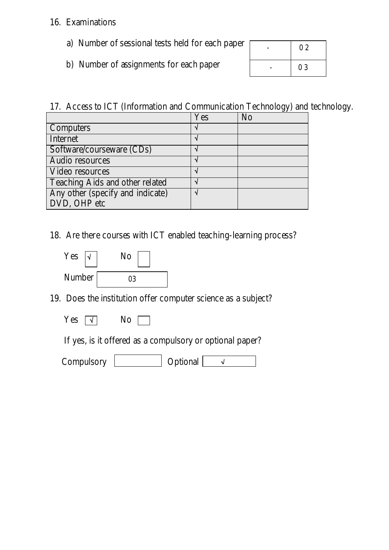#### 16. Examinations

- a) Number of sessional tests held for each paper
- b) Number of assignments for each paper

| 02 |
|----|
| 03 |

17. Access to ICT (Information and Communication Technology) and technology.

|                                  | Yes | No |
|----------------------------------|-----|----|
| Computers                        |     |    |
| Internet                         |     |    |
| Software/courseware (CDs)        |     |    |
| Audio resources                  |     |    |
| Video resources                  |     |    |
| Teaching Aids and other related  |     |    |
| Any other (specify and indicate) |     |    |
| DVD, OHP etc                     |     |    |

18. Are there courses with ICT enabled teaching-learning process?

| Yes    | No |
|--------|----|
| Number | 03 |

- 19. Does the institution offer computer science as a subject?
	- Yes  $\boxed{\sqrt{ }}$  No  $\boxed{\ }$

If yes, is it offered as a compulsory or optional paper?

| Compulsory | <b>D</b> ptional |  |
|------------|------------------|--|
|------------|------------------|--|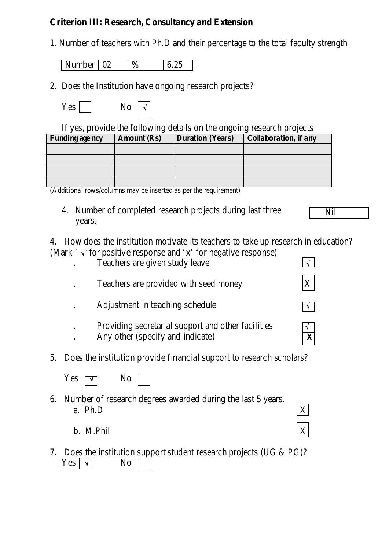#### **Criterion III: Research, Consultancy and Extension**

1. Number of teachers with Ph.D and their percentage to the total faculty strength

Number  $\begin{array}{|c|c|c|} \hline 02 & \frac{1}{6} & \frac{6.25}{6.25} \hline \end{array}$ 

2. Does the Institution have ongoing research projects?

| E Z<br>r ⊶v |  |  | חצ |
|-------------|--|--|----|
|-------------|--|--|----|

If yes, provide the following details on the ongoing research projects

| Funding age ncy | <b>Amount</b> (Rs) | <b>Duration</b> (Years) | Collaboration, if any |
|-----------------|--------------------|-------------------------|-----------------------|
|                 |                    |                         |                       |
|                 |                    |                         |                       |
|                 |                    |                         |                       |
|                 |                    |                         |                       |

(Additional rows/columns may be inserted as per the requirement)

4. Number of completed research projects during last three years.

Nil

4. How does the institution motivate its teachers to take up research in education? (Mark ' √ 'for positive response and 'x' for negative response)

- Teachers are given study leave  $\sqrt{\sqrt{2}}$
- Teachers are provided with seed money  $\vert X \vert$
- Adjustment in teaching schedule
- Providing secretarial support and other facilities
- . Any other (specify and indicate) **X**
- 5. Does the institution provide financial support to research scholars?

Yes  $\neg \neg$  No

- 6. Number of research degrees awarded during the last 5 years. a. Ph.D  $|X|$ 
	- b. M.Phil  $X$
- 7. Does the institution support student research projects (UG & PG)?  $Yes \mid \sqrt{}|$  No

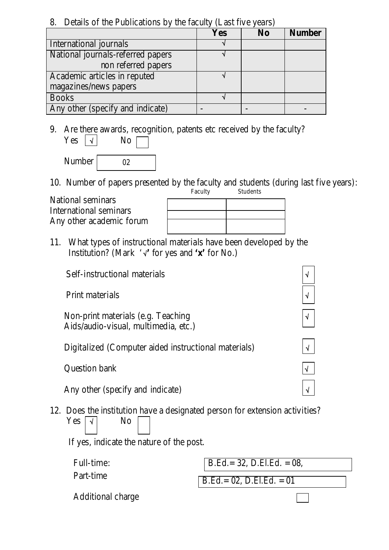#### 8. Details of the Publications by the faculty (Last five years)

|                                   | Yes | $\bf No$ | <b>Number</b> |
|-----------------------------------|-----|----------|---------------|
| International journals            |     |          |               |
| National journals-referred papers |     |          |               |
| non referred papers               |     |          |               |
| Academic articles in reputed      |     |          |               |
| magazines/news papers             |     |          |               |
| <b>Books</b>                      |     |          |               |
| Any other (specify and indicate)  |     |          |               |

9. Are there awards, recognition, patents etc received by the faculty?  $Yes \mid \lor \mid$  No

 Number 02

10. Number of papers presented by the faculty and students (during last five years):

National seminars International seminars Any other academic forum

| Faculty | Students |
|---------|----------|
|         |          |
|         |          |
|         |          |
|         |          |
|         |          |

11. What types of instructional materials have been developed by the Institution? (Mark '√**'** for yes and **'x'** for No.)

Self-instructional materials Print materials  $\vert \sqrt{2} \vert$ Non-print materials (e.g. Teaching √ Aids/audio-visual, multimedia, etc.) Digitalized (Computer aided instructional materials) Question bank Any other (specify and indicate)  $\vert \sqrt{\vert}$ 

12. Does the institution have a designated person for extension activities?  $Yes \mid \lor \mid$  No

If yes, indicate the nature of the post.

Full-time:

Part-time

 $B.Ed. = 32, D.El.Ed. = 08,$ 

 $B.Ed = 02$ , D.El.Ed. = 01

Additional charge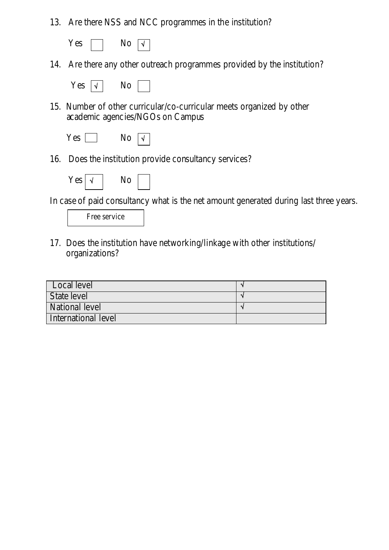- 13. Are there NSS and NCC programmes in the institution?
	- Yes  $\Box$  No  $\Box$
- 14. Are there any other outreach programmes provided by the institution?

| ÷<br>∼ | √ | мı |  |
|--------|---|----|--|
|--------|---|----|--|

15. Number of other curricular/co-curricular meets organized by other academic agencies/NGOs on Campus

| . .<br>$-8.$ | NO | $\sqrt{ }$ |
|--------------|----|------------|
|--------------|----|------------|

16. Does the institution provide consultancy services?

| r es- |  | NO. |  |
|-------|--|-----|--|
|-------|--|-----|--|

In case of paid consultancy what is the net amount generated during last three years.

| Free service |  |
|--------------|--|
|              |  |

17. Does the institution have networking/linkage with other institutions/ organizations?

| Local level         |  |
|---------------------|--|
| State level         |  |
| National level      |  |
| International level |  |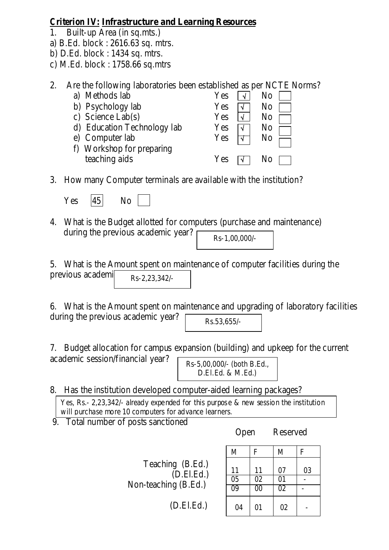#### *Criterion IV:* **Infrastructure and Learning Resources**

- 1. Built-up Area (in sq.mts.)
- a) B.Ed. block : 2616.63 sq. mtrs.
- b) D.Ed. block : 1434 sq. mtrs.
- c) M.Ed. block : 1758.66 sq.mtrs

## 2. Are the following laboratories been established as per NCTE Norms?

| Methods lab<br>a)           | Yes<br>No                  |
|-----------------------------|----------------------------|
| b) Psychology lab           | Yes<br>No                  |
| c) Science $Lab(s)$         | Yes<br>No<br>N             |
| d) Education Technology lab | Yes<br>N <sub>0</sub><br>V |
| Computer lab<br>e)          | Yes<br>No                  |
| f) Workshop for preparing   |                            |
| teaching aids               | Yes<br>Ν∩                  |

3. How many Computer terminals are available with the institution?

Yes  $|45|$  No

4. What is the Budget allotted for computers (purchase and maintenance) during the previous academic year? Rs-1,00,000/-

5. What is the Amount spent on maintenance of computer facilities during the previous academi Rs-2,23,342/-

6. What is the Amount spent on maintenance and upgrading of laboratory facilities during the previous academic year?

Rs.53,655/-

7. Budget allocation for campus expansion (building) and upkeep for the current

academic session/financial year?

Rs-5,00,000/- (both B.Ed., D.El.Ed. & M.Ed.)

## 8. Has the institution developed computer-aided learning packages?

Yes, Rs.- 2,23,342/- already expended for this purpose & new session the institution will purchase more 10 computers for advance learners.

9. Total number of posts sanctioned

Open Reserved

 $04 \mid 01 \mid 02$ 

|                                                          | M  |                | М  |    |
|----------------------------------------------------------|----|----------------|----|----|
| Teaching (B.Ed.)<br>(D. El. Ed.)<br>Non-teaching (B.Ed.) | 11 | $\Omega$<br>00 | 02 | 03 |
|                                                          |    |                |    |    |

(D.El.Ed.)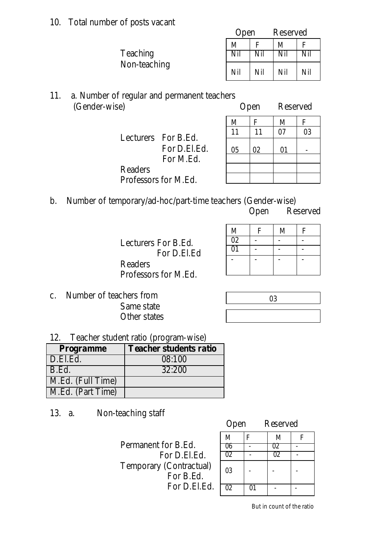10. Total number of posts vacant

|                 | Open |     | Reserved |     |
|-----------------|------|-----|----------|-----|
|                 | M    |     | M        | F   |
| <b>Teaching</b> | Nil  | Nil | Nil      | Nil |
| Non-teaching    | Nil  | Nil | Nil      | Nil |

| 11. a. Number of regular and permanent teachers |               |
|-------------------------------------------------|---------------|
| (Gender-wise)                                   | Open Reserved |

Readers

Lecturers For B.Ed.

Professors for M.Ed.

| Open |           | Reserved                |           |  |
|------|-----------|-------------------------|-----------|--|
| M    | ${\bf F}$ | $\overline{\mathbf{M}}$ | ${\bf F}$ |  |
| 11   | 11        | 07                      | 03        |  |
| 05   | 02        | 01                      |           |  |
|      |           |                         |           |  |
|      |           |                         |           |  |
|      |           |                         |           |  |

b. Number of temporary/ad-hoc/part-time teachers (Gender-wise)

 For D.El.Ed. For M.Ed.

Reserved

Lecturers For B.Ed. For D.El.Ed Readers Professors for M.Ed.

| M               | F | M | ${\bf F}$ |
|-----------------|---|---|-----------|
| 02              |   |   |           |
| $\overline{01}$ |   |   |           |
|                 |   |   |           |

c. Number of teachers from Same state Other states

| 0 <sub>3</sub> |  |
|----------------|--|
|                |  |
|                |  |
|                |  |

12. Teacher student ratio (program-wise)

| Programme         | <b>Teacher students ratio</b> |
|-------------------|-------------------------------|
| D.El.Ed.          | 08:100                        |
| B.Ed.             | 32:200                        |
| M.Ed. (Full Time) |                               |
| M.Ed. (Part Time) |                               |

13. a. Non-teaching staff

|                         | Open |   | Reserved |   |  |
|-------------------------|------|---|----------|---|--|
|                         | М    | F | M        | F |  |
| Permanent for B.Ed.     | Jh   |   |          |   |  |
| For D.El.Ed.            | 02   |   |          |   |  |
| Temporary (Contractual) | 03   |   |          |   |  |
| For B.Ed.               |      |   |          |   |  |
| For D.El.Ed.            | 02   |   |          |   |  |
|                         |      |   |          |   |  |

But in count of the ratio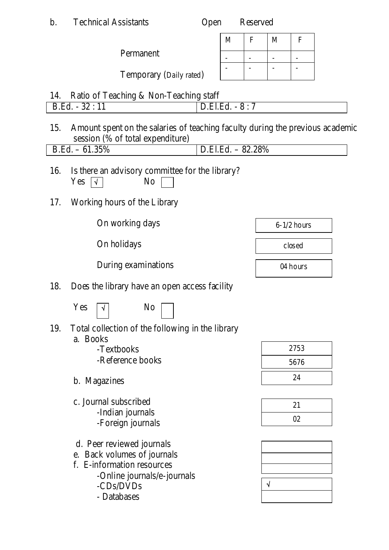| $\mathbf b$ . | <b>Technical Assistants</b>                                                                                       | Open |                   | Reserved          |                          |                 |  |
|---------------|-------------------------------------------------------------------------------------------------------------------|------|-------------------|-------------------|--------------------------|-----------------|--|
|               |                                                                                                                   |      | M                 | $\mathbf{F}$      | M                        | F               |  |
|               | Permanent                                                                                                         |      |                   |                   | $\overline{\phantom{0}}$ |                 |  |
|               | Temporary (Daily rated)                                                                                           |      |                   |                   |                          |                 |  |
|               |                                                                                                                   |      |                   |                   |                          |                 |  |
| 14.           | Ratio of Teaching & Non-Teaching staff<br>$B.Ed. - 32 : 11$                                                       |      | $D.E.l.Ed. - 8:7$ |                   |                          |                 |  |
|               |                                                                                                                   |      |                   |                   |                          |                 |  |
| 15.           | Amount spent on the salaries of teaching faculty during the previous academic<br>session (% of total expenditure) |      |                   |                   |                          |                 |  |
|               | $B.Ed. - 61.35%$                                                                                                  |      |                   | D.El.Ed. - 82.28% |                          |                 |  |
| 16.           | Is there an advisory committee for the library?<br>N <sub>o</sub><br>Yes<br>$\sqrt{ }$                            |      |                   |                   |                          |                 |  |
| 17.           | Working hours of the Library                                                                                      |      |                   |                   |                          |                 |  |
|               | On working days                                                                                                   |      |                   |                   |                          | $6 - 1/2$ hours |  |
|               | On holidays                                                                                                       |      |                   |                   |                          | closed          |  |
|               | During examinations                                                                                               |      |                   |                   |                          | 04 hours        |  |
| 18.           | Does the library have an open access facility                                                                     |      |                   |                   |                          |                 |  |
|               | Yes<br>N <sub>o</sub>                                                                                             |      |                   |                   |                          |                 |  |
| 19.           | Total collection of the following in the library<br>a. Books                                                      |      |                   |                   |                          |                 |  |
|               | -Textbooks                                                                                                        |      |                   |                   |                          | 2753            |  |
|               | -Reference books                                                                                                  |      |                   |                   |                          | 5676            |  |
|               | b. Magazines                                                                                                      |      |                   |                   |                          | 24              |  |
|               |                                                                                                                   |      |                   |                   |                          |                 |  |
|               | c. Journal subscribed                                                                                             |      |                   |                   |                          | 21              |  |
|               | -Indian journals<br>-Foreign journals                                                                             |      |                   |                   |                          | 02              |  |
|               |                                                                                                                   |      |                   |                   |                          |                 |  |
|               | d. Peer reviewed journals                                                                                         |      |                   |                   |                          |                 |  |
|               | e. Back volumes of journals                                                                                       |      |                   |                   |                          |                 |  |
|               | f. E-information resources                                                                                        |      |                   |                   |                          |                 |  |
|               | -Online journals/e-journals<br>-CDs/DVDs                                                                          |      |                   |                   | √                        |                 |  |
|               | - Databases                                                                                                       |      |                   |                   |                          |                 |  |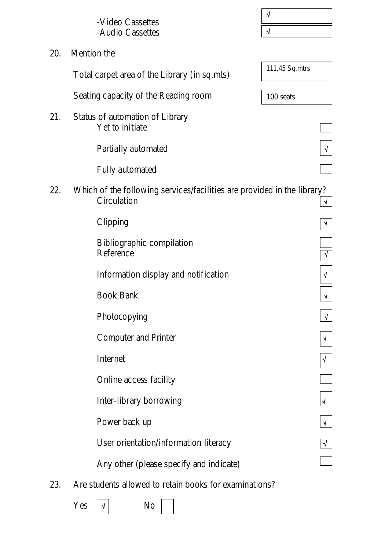|     | -Video Cassettes                                                                       | ٧              |
|-----|----------------------------------------------------------------------------------------|----------------|
|     | -Audio Cassettes                                                                       | $\sqrt{}$      |
| 20. | Mention the                                                                            |                |
|     | Total carpet area of the Library (in sq.mts)                                           | 111.45 Sq.mtrs |
|     | Seating capacity of the Reading room                                                   | 100 seats      |
| 21. | Status of automation of Library<br>Yet to initiate                                     |                |
|     | Partially automated                                                                    |                |
|     | Fully automated                                                                        |                |
| 22. | Which of the following services/facilities are provided in the library?<br>Circulation | √              |
|     | Clipping                                                                               |                |
|     | Bibliographic compilation<br>Reference                                                 | √              |
|     | Information display and notification                                                   | √              |
|     | <b>Book Bank</b>                                                                       | √              |
|     | Photocopying                                                                           |                |
|     | <b>Computer and Printer</b>                                                            |                |
|     | Internet                                                                               |                |
|     | Online access facility                                                                 |                |
|     | Inter-library borrowing                                                                |                |
|     | Power back up                                                                          |                |
|     | User orientation/information literacy                                                  |                |
|     | Any other (please specify and indicate)                                                |                |

23. Are students allowed to retain books for examinations?

 $\sqrt{ }$  No  $\sqrt{ }$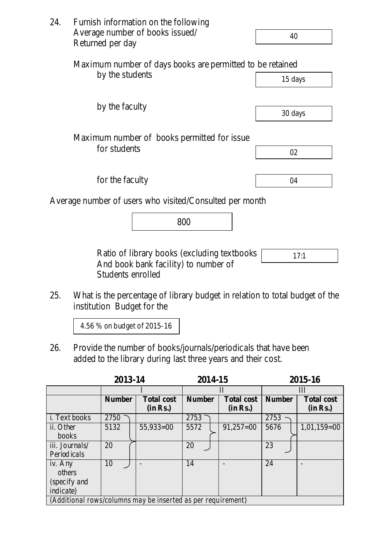| Average number of books issued/<br>Returned per day       | 40      |
|-----------------------------------------------------------|---------|
|                                                           |         |
| Maximum number of days books are permitted to be retained |         |
| by the students                                           | 15 days |
|                                                           |         |
| by the faculty                                            | 30 days |
| Maximum number of books permitted for issue.              |         |
| for students                                              | 02      |
| for the faculty                                           | 04      |

Average number of users who visited/Consulted per month

800

Ratio of library books (excluding textbooks And book bank facility) to number of Students enrolled 17:1

25. What is the percentage of library budget in relation to total budget of the institution Budget for the

4.56 % on budget of 2015-16

24. Furnish information on the following

26. Provide the number of books/journals/periodicals that have been added to the library during last three years and their cost.

| 2013-14                                                      |               | 2014-15                       |               | 2015-16                       |               |                               |  |
|--------------------------------------------------------------|---------------|-------------------------------|---------------|-------------------------------|---------------|-------------------------------|--|
|                                                              |               |                               |               | П                             | Ш             |                               |  |
|                                                              | <b>Number</b> | <b>Total cost</b><br>(in Rs.) | <b>Number</b> | <b>Total cost</b><br>(in Rs.) | <b>Number</b> | <b>Total cost</b><br>(in Rs.) |  |
| i. Text books                                                | 2750          |                               | 2753          |                               | 2753          |                               |  |
| ii. Other<br>books                                           | 5132          | $55,933=00$                   | 5572          | $91,257=00$                   | 5676          | $1,01,159=00$                 |  |
| iii. Journals/<br>Period icals                               | 20            |                               | 20            |                               | 23            |                               |  |
| iv. Any<br>others<br>(specify and<br>indicate)               | 10            |                               | 14            |                               | 24            |                               |  |
| (Additional rows/columns may be inserted as per requirement) |               |                               |               |                               |               |                               |  |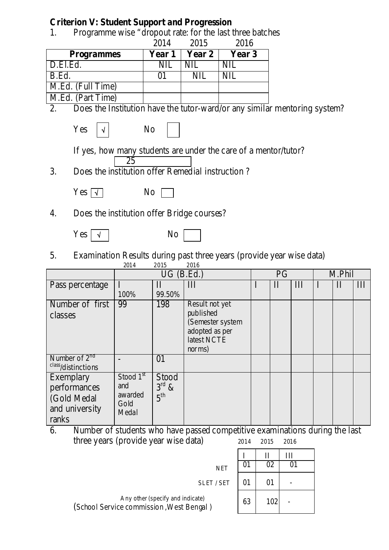#### **Criterion V: Student Support and Progression**

1. Programme wise "dropout rate: for the last three batches

|                   | 2014   | 2015   | 2016       |
|-------------------|--------|--------|------------|
| <b>Programmes</b> | Year 1 | Year 2 | Year 3     |
| D.El.Ed.          | NIL.   | NIL.   | <b>NIL</b> |
| B.Ed.             |        | NII    | NIL.       |
| M.Ed. (Full Time) |        |        |            |
| M.Ed. (Part Time) |        |        |            |

2. Does the Institution have the tutor-ward/or any similar mentoring system?

 $Yes \mid \lor \mid$  N

If yes, how many students are under the care of a mentor/tutor? 25

3. Does the institution offer Remedial instruction ?

|--|--|

| J٢ |
|----|
|----|

- 4. Does the institution offer Bridge courses?
	- $Yes \mid \sqrt{}$  No

5. Examination Results during past three years (provide year wise data)

|                               | 2014        | 2015            | 2016             |              |     |   |              |     |
|-------------------------------|-------------|-----------------|------------------|--------------|-----|---|--------------|-----|
|                               |             | $UG$ (B.Ed.)    |                  | <b>PG</b>    |     |   | M.Phil       |     |
| Pass percentage               |             | $\mathbf{I}$    | Ш                | $\mathbf{I}$ | III | I | $\mathbf{I}$ | III |
|                               | 100%        | 99.50%          |                  |              |     |   |              |     |
| Number of first               | 99          | 198             | Result not yet   |              |     |   |              |     |
| classes                       |             |                 | published        |              |     |   |              |     |
|                               |             |                 | (Semester system |              |     |   |              |     |
|                               |             |                 | adopted as per   |              |     |   |              |     |
|                               |             |                 | latest NCTE      |              |     |   |              |     |
|                               |             |                 | norms)           |              |     |   |              |     |
| Number of $2^{nd}$            |             | 01              |                  |              |     |   |              |     |
| $\frac{class}{d}$ istinctions |             |                 |                  |              |     |   |              |     |
| Exemplary                     | Stood $1st$ | Stood           |                  |              |     |   |              |     |
| performances                  | and         | $3^{\rm rd}$ &  |                  |              |     |   |              |     |
| (Gold Medal                   | awarded     | 5 <sup>th</sup> |                  |              |     |   |              |     |
| and university                | Gold        |                 |                  |              |     |   |              |     |
| ranks                         | Medal       |                 |                  |              |     |   |              |     |
|                               |             |                 |                  |              |     |   |              |     |

6. Number of students who have passed competitive examinations during the last three years (provide year wise data) 2014 2015 2016

 $\overline{\mathsf{T}}$ 

| <b>NET</b>                                                                   | UΙ |     |  |
|------------------------------------------------------------------------------|----|-----|--|
| SLET / SET                                                                   |    |     |  |
| Any other (specify and indicate)<br>(School Service commission, West Bengal) | 63 | 102 |  |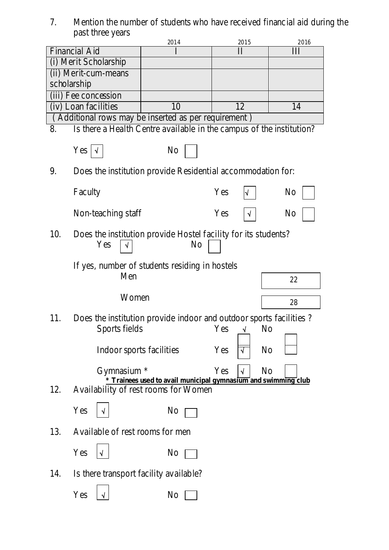7. Mention the number of students who have received financial aid during the past three years

|                                                      | 2014                                                                                                                                             |     | 2015                        | 2016           |
|------------------------------------------------------|--------------------------------------------------------------------------------------------------------------------------------------------------|-----|-----------------------------|----------------|
| Financial Aid                                        | I                                                                                                                                                |     | $\mathbf{I}$                | Ш              |
| (i) Merit Scholarship                                |                                                                                                                                                  |     |                             |                |
| (ii) Merit-cum-means                                 |                                                                                                                                                  |     |                             |                |
| scholarship                                          |                                                                                                                                                  |     |                             |                |
| (iii) Fee concession                                 |                                                                                                                                                  |     |                             |                |
| (iv) Loan facilities                                 | 10                                                                                                                                               |     | 12                          | 14             |
| (Additional rows may be inserted as per requirement) |                                                                                                                                                  |     |                             |                |
| 8.                                                   | Is there a Health Centre available in the campus of the institution?                                                                             |     |                             |                |
| Yes                                                  | N <sub>o</sub>                                                                                                                                   |     |                             |                |
| 9.                                                   | Does the institution provide Residential accommodation for:                                                                                      |     |                             |                |
| Faculty                                              |                                                                                                                                                  | Yes |                             | N <sub>o</sub> |
| Non-teaching staff                                   |                                                                                                                                                  | Yes |                             | N <sub>0</sub> |
| 10.<br>Yes                                           | Does the institution provide Hostel facility for its students?<br>N <sub>o</sub>                                                                 |     |                             |                |
| Men                                                  | If yes, number of students residing in hostels                                                                                                   |     |                             | 22             |
| Women                                                |                                                                                                                                                  |     |                             | 28             |
| 11.                                                  | Does the institution provide indoor and outdoor sports facilities?<br>Sports fields $\qquad \qquad \text{Yes} \quad \rightarrow \quad \text{No}$ |     |                             |                |
| Indoor sports facilities                             |                                                                                                                                                  | Yes | N <sub>o</sub><br>√         |                |
| Gymnasium *                                          | * Trainees used to avail municipal gymnasium and swimming club                                                                                   | Yes | N <sub>o</sub><br>$\sqrt{}$ |                |
| 12.                                                  | Availability of rest rooms for Women                                                                                                             |     |                             |                |
| Yes                                                  | N <sub>o</sub>                                                                                                                                   |     |                             |                |
| 13.<br>Available of rest rooms for men               |                                                                                                                                                  |     |                             |                |
| Yes                                                  | N <sub>o</sub>                                                                                                                                   |     |                             |                |
| Is there transport facility available?<br>14.        |                                                                                                                                                  |     |                             |                |
| Yes                                                  | N <sub>o</sub>                                                                                                                                   |     |                             |                |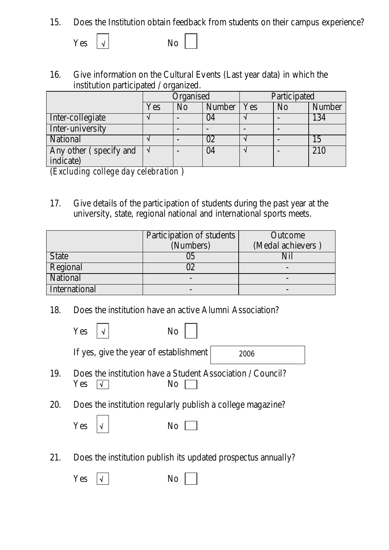15. Does the Institution obtain feedback from students on their campus experience?



16. Give information on the Cultural Events (Last year data) in which the institution participated / organized.

|                        | Organised |                | Partic ipated |        |                |               |
|------------------------|-----------|----------------|---------------|--------|----------------|---------------|
|                        | Yes       | N <sub>o</sub> | Number        | Yes    | N <sub>o</sub> | <b>Number</b> |
| Inter-collegiate       |           |                | ')4           |        |                | 34            |
| Inter-university       |           |                |               |        |                |               |
| <b>National</b>        |           |                | 02            |        |                |               |
| Any other (specify and | N         |                | 04            | $\sim$ |                | 210           |
| indicate)              |           |                |               |        |                |               |

(*Excluding college day celebration* )

17. Give details of the participation of students during the past year at the university, state, regional national and international sports meets.

|               | Partic ipation of students | Outcome          |
|---------------|----------------------------|------------------|
|               | (Numbers)                  | (Medal achievers |
| <b>State</b>  |                            |                  |
| Regional      |                            |                  |
| National      |                            |                  |
| International |                            |                  |

18. Does the institution have an active Alumni Association?

|     | Yes<br>No                              |                                                            |
|-----|----------------------------------------|------------------------------------------------------------|
|     | If yes, give the year of establishment | 2006                                                       |
| 19. | Yes<br>No                              | Does the institution have a Student Association / Council? |
| 20. |                                        | Does the institution regularly publish a college magazine? |
|     | Yes<br>N <sub>0</sub>                  |                                                            |
|     |                                        |                                                            |

21. Does the institution publish its updated prospectus annually?

 $Yes \vert \sqrt{} \vert$  No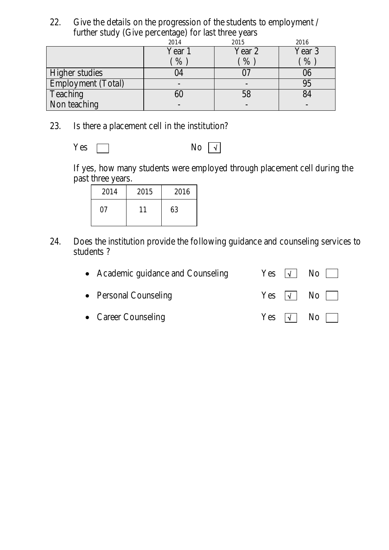22. Give the details on the progression of the students to employment / further study (Give percentage) for last three years

|                           | 2014   | 2015   | 2016   |
|---------------------------|--------|--------|--------|
|                           | Year 1 | Year 2 | Year 3 |
|                           | $\%$   | $\%$   | $\%$   |
| <b>Higher studies</b>     | U4     |        |        |
| <b>Employment</b> (Total) |        |        |        |
| Teaching                  | bU     | 58     |        |
| Non teaching              |        |        |        |

23. Is there a placement cell in the institution?

 $\Box$  No  $\boxed{\sqrt}$ 

If yes, how many students were employed through placement cell during the past three years.

| 2014 | 2015 | 2016 |
|------|------|------|
| 07   | 11   | 63   |

24. Does the institution provide the following guidance and counseling services to students ?

| • Academic guidance and Counseling |  | Yes $ \vee $ No $ $ |
|------------------------------------|--|---------------------|
| • Personal Counseling              |  | Yes $ \vee $ No $ $ |
| • Career Counseling                |  | Yes $ \vee $ No $ $ |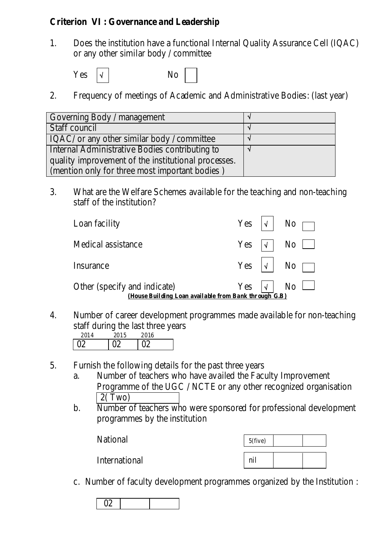#### **Criterion VI : Governance and Leader***ship*

1. Does the institution have a functional Internal Quality Assurance Cell (IQAC) or any other similar body / committee

| Yes<br>$\overline{\vee}$<br>No |
|--------------------------------|
|--------------------------------|

2. Frequency of meetings of Academic and Administrative Bodies: (last year)

| Governing Body / management                         |  |
|-----------------------------------------------------|--|
| Staff council                                       |  |
| IQAC/ or any other similar body / committee         |  |
| Internal Administrative Bodies contributing to      |  |
| quality improvement of the institutional processes. |  |
| (mention only for three most important bodies)      |  |

3. What are the Welfare Schemes available for the teaching and non-teaching staff of the institution?

| Loan facility                                                                         | Yes $ \vee $ No $\Box$       |  |  |
|---------------------------------------------------------------------------------------|------------------------------|--|--|
| Medical assistance                                                                    | Yes $\sqrt{ }$ No $\Box$     |  |  |
| Insurance                                                                             | Yes $ \mathbf{v} $ No $\Box$ |  |  |
| Other (specify and indicate)<br>(House Building Loan available from Bank through G.B) | Yes $ \vee $ No $\Box$       |  |  |

4. Number of career development programmes made available for non-teaching staff during the last three years

| 2014 | . .<br>2015 | <br>2016 |
|------|-------------|----------|
| m    |             | ∩ว       |

- 5. Furnish the following details for the past three years
	- a. Number of teachers who have availed the Faculty Improvement Programme of the UGC / NCTE or any other recognized organisation 2( Two)
	- b. Number of teachers who were sponsored for professional development programmes by the institution

| <b>National</b> | $5$ (five) |  |
|-----------------|------------|--|
| International   | nil        |  |

c. Number of faculty development programmes organized by the Institution :

02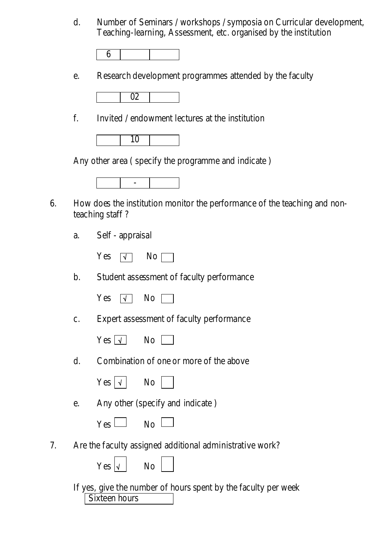d. Number of Seminars / workshops / symposia on Curricular development, Teaching-learning, Assessment, etc. organised by the institution

|--|

e. Research development programmes attended by the faculty

02

f. Invited / endowment lectures at the institution

10

Any other area ( specify the programme and indicate )



- 6. How does the institution monitor the performance of the teaching and nonteaching staff ?
	- a. Self appraisal

|  | –∙ |  | u c |  |
|--|----|--|-----|--|
|--|----|--|-----|--|

b. Student assessment of faculty performance

|--|--|--|

c. Expert assessment of faculty performance

 $Yes \nightharpoondown$  No  $\Box$ 

d. Combination of one or more of the above

 $Yes \vert \lor \vert$  No

e. Any other (specify and indicate )

| res. | <b>ING</b> |  |
|------|------------|--|
|------|------------|--|

7. Are the faculty assigned additional administrative work?

 $Yes \vert \downarrow \vert$  No

If yes, give the number of hours spent by the faculty per week Sixteen hours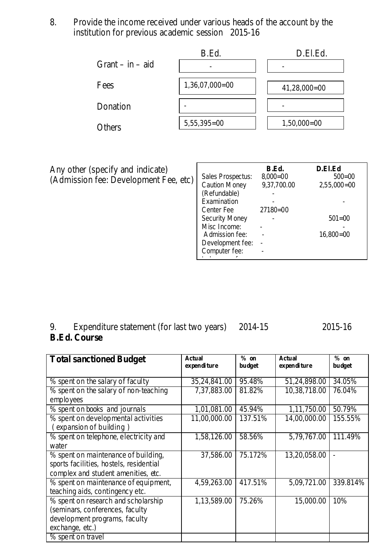8. Provide the income received under various heads of the account by the institution for previous academic session 2015-16

|                     | B.Ed.            | D.El.Ed.       |
|---------------------|------------------|----------------|
| $G$ rant – in – aid |                  |                |
|                     |                  |                |
| Fees                | $1,36,07,000=00$ | $41,28,000=00$ |
|                     |                  |                |
| Donation            |                  |                |
|                     | $5,55,395=00$    | $1,50,000=00$  |
| Others              |                  |                |

Any other (specify and indicate) (Admission fee: Development Fee, etc)

|                       | B.Ed.        | D.El.Ed       |
|-----------------------|--------------|---------------|
| Sales Prospectus:     | $8,000=00$   | $500=00$      |
| <b>Caution Money</b>  | 9,37,700.00  | $2,55,000=00$ |
| (Refundable)          |              |               |
| Examination           |              |               |
| Center Fee            | $27180 = 00$ |               |
| <b>Security Money</b> |              | $501=00$      |
| Misc Income:          |              |               |
| Admission fee:        |              | $16,800=00$   |
| Development fee:      |              |               |
| Computer fee:         |              |               |
|                       |              |               |

#### 9. Expenditure statement (for last two years) 2014-15 2015-16 **B.Ed. Course**

| <b>Total sanctioned Budget</b>                                                                                             | <b>Actual</b><br>expenditure | $%$ on<br>budget | <b>Actual</b><br>expenditure | $%$ on<br>budget |
|----------------------------------------------------------------------------------------------------------------------------|------------------------------|------------------|------------------------------|------------------|
| % spent on the salary of faculty                                                                                           | 35,24,841.00                 | 95.48%           | 51,24,898.00                 | 34.05%           |
| % spent on the salary of non-teaching<br>employees                                                                         | 7,37,883.00                  | 81.82%           | 10,38,718.00                 | 76.04%           |
| % spent on books and journals                                                                                              | 1,01,081.00                  | 45.94%           | 1,11,750.00                  | 50.79%           |
| % spent on developmental activities<br>(expansion of building)                                                             | 11,00,000.00                 | 137.51%          | 14,00,000.00                 | 155.55%          |
| % spent on telephone, electricity and<br>water                                                                             | 1,58,126.00                  | 58.56%           | 5,79,767.00                  | 111.49%          |
| % spent on maintenance of building,<br>sports facilities, hostels, residential<br>complex and student amenities, etc.      | 37,586.00                    | 75.172%          | 13,20,058.00                 | $\overline{a}$   |
| % spent on maintenance of equipment,<br>teaching aids, contingency etc.                                                    | 4,59,263.00                  | 417.51%          | 5,09,721.00                  | 339.814%         |
| % spent on research and scholarship<br>(seminars, conferences, faculty<br>development programs, faculty<br>exchange, etc.) | 1,13,589.00                  | 75.26%           | 15,000.00                    | 10%              |
| % spent on travel                                                                                                          |                              |                  |                              |                  |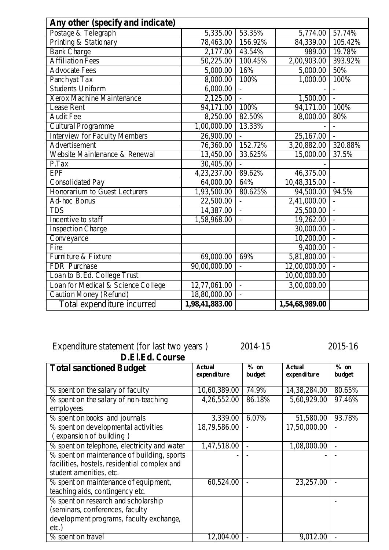| Any other (specify and indicate)     |                |                |                |                          |
|--------------------------------------|----------------|----------------|----------------|--------------------------|
| Postage & Telegraph                  | 5,335.00       | 53.35%         | 5,774.00       | 57.74%                   |
| Printing & Stationary                | 78,463.00      | 156.92%        | 84,339.00      | 105.42%                  |
| <b>Bank Charge</b>                   | 2,177.00       | 43.54%         | 989.00         | 19.78%                   |
| <b>Affiliation Fees</b>              | 50,225.00      | 100.45%        | 2,00,903.00    | 393.92%                  |
| <b>Advocate Fees</b>                 | 5,000.00       | 16%            | 5,000.00       | 50%                      |
| Panchyat Tax                         | 8,000.00       | 100%           | 1,000.00       | 100%                     |
| <b>Students Uniform</b>              | 6,000.00       |                |                | $\overline{a}$           |
| Xerox Machine Maintenance            | 2,125.00       |                | 1,500.00       | $\overline{\phantom{a}}$ |
| Lease Rent                           | 94,171.00      | 100%           | 94,171.00      | 100%                     |
| <b>Audit Fee</b>                     | 8,250.00       | 82.50%         | 8,000.00       | 80%                      |
| Cultural Programme                   | 1,00,000.00    | 13.33%         |                |                          |
| <b>Interview for Faculty Members</b> | 26,900.00      | $\equiv$       | 25,167.00      | $\overline{a}$           |
| Advertisement                        | 76,360.00      | 152.72%        | 3,20,882.00    | 320.88%                  |
| Website Maintenance & Renewal        | 13,450.00      | 33.625%        | 15,000.00      | 37.5%                    |
| P.Tax                                | 30,405.00      |                |                |                          |
| <b>EPF</b>                           | 4,23,237.00    | 89.62%         | 46,375.00      |                          |
| Consolidated Pay                     | 64,000.00      | 64%            | 10,48,315.00   |                          |
| Honorarium to Guest Lecturers        | 1,93,500.00    | 80.625%        | 94,500.00      | 94.5%                    |
| Ad-hoc Bonus                         | 22,500.00      |                | 2,41,000.00    |                          |
| <b>TDS</b>                           | 14,387.00      | $\overline{a}$ | 25,500.00      | $\overline{a}$           |
| Incentive to staff                   | 1,58,968.00    |                | 19,262.00      | $\overline{a}$           |
| <b>Inspection Charge</b>             |                |                | 30,000.00      |                          |
| Conveyance                           |                |                | 10,200.00      | $\overline{\phantom{a}}$ |
| Fire                                 |                |                | 9,400.00       | $\overline{a}$           |
| Furniture & Fixture                  | 69,000.00      | 69%            | 5,81,800.00    |                          |
| FDR Purchase                         | 90,00,000.00   | $\overline{a}$ | 12,00,000.00   | $\overline{a}$           |
| Loan to B.Ed. College Trust          |                |                | 10,00,000.00   |                          |
| Loan for Medical & Science College   | 12,77,061.00   | $\overline{a}$ | 3,00,000.00    |                          |
| Caution Money (Refund)               | 18,80,000.00   | $\overline{a}$ |                |                          |
| Total expenditure incurred           | 1,98,41,883.00 |                | 1,54,68,989.00 |                          |

Expenditure statement (for last two years ) 2014-15 2015-16

| D.El.Ed. Course                              |                              |                  |                              |                  |
|----------------------------------------------|------------------------------|------------------|------------------------------|------------------|
| <b>Total sanctioned Budget</b>               | <b>Actual</b><br>expenditure | $%$ on<br>budget | <b>Actual</b><br>expenditure | $%$ on<br>budget |
| % spent on the salary of faculty             | 10,60,389.00                 | 74.9%            | 14,38,284.00                 | 80.65%           |
| % spent on the salary of non-teaching        | 4,26,552.00                  | 86.18%           | 5,60,929.00                  | 97.46%           |
| employees                                    |                              |                  |                              |                  |
| % spent on books and journals                | 3,339.00                     | 6.07%            | 51,580.00                    | 93.78%           |
| % spent on developmental activities          | 18,79,586.00                 |                  | 17,50,000.00                 |                  |
| (expansion of building)                      |                              |                  |                              |                  |
| % spent on telephone, electricity and water  | 1,47,518.00                  |                  | 1,08,000.00                  |                  |
| % spent on maintenance of building, sports   |                              |                  |                              |                  |
| facilities, hostels, residential complex and |                              |                  |                              |                  |
| student amenities, etc.                      |                              |                  |                              |                  |
| % spent on maintenance of equipment,         | 60,524.00                    |                  | 23,257.00                    |                  |
| teaching aids, contingency etc.              |                              |                  |                              |                  |
| % spent on research and scholarship          |                              |                  |                              |                  |
| (seminars, conferences, faculty              |                              |                  |                              |                  |
| development programs, faculty exchange,      |                              |                  |                              |                  |
| $etc.$ )                                     |                              |                  |                              |                  |
| % spent on travel                            | 12,004.00                    |                  | 9,012.00                     |                  |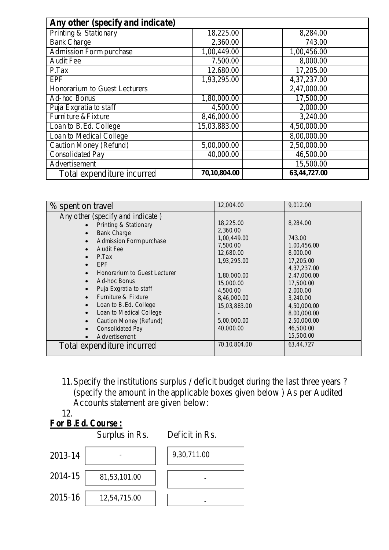| Any other (specify and indicate) |              |                          |  |  |
|----------------------------------|--------------|--------------------------|--|--|
| Printing & Stationary            | 18,225.00    | 8,284.00                 |  |  |
| <b>Bank Charge</b>               | 2,360.00     | 743.00                   |  |  |
| Admission Form purchase          | 1,00,449.00  | 1,00,456.00              |  |  |
| Audit Fee                        | 7.500.00     | 8,000.00                 |  |  |
| P.Tax                            | 12.680.00    | 17,205.00                |  |  |
| <b>EPF</b>                       | 1,93,295.00  | 4,37,237.00              |  |  |
| Honorarium to Guest Lecturers    |              | 2,47,000.00              |  |  |
| Ad-hoc Bonus                     | 1,80,000.00  | 17,500.00                |  |  |
| Puja Exgratia to staff           | 4,500.00     | 2,000.00                 |  |  |
| Furniture & Fixture              | 8,46,000.00  | 3,240.00                 |  |  |
| Loan to B.Ed. College            | 15,03,883.00 | $\overline{4,50,000.00}$ |  |  |
| Loan to Medical College          |              | 8,00,000.00              |  |  |
| Caution Money (Refund)           | 5,00,000.00  | 2,50,000.00              |  |  |
| Consolidated Pay                 | 40,000.00    | 46,500.00                |  |  |
| Advertisement                    |              | 15,500.00                |  |  |
| Total expenditure incurred       | 70,10,804.00 | 63,44,727.00             |  |  |

| Any other (specify and indicate)<br>18,225.00<br>Printing & Stationary<br>2,360.00<br><b>Bank Charge</b><br>$\bullet$                                                                                                                                                                                                                                                                                                                                                                                                   | 8,284.00                                                                                                                                                                                                  |
|-------------------------------------------------------------------------------------------------------------------------------------------------------------------------------------------------------------------------------------------------------------------------------------------------------------------------------------------------------------------------------------------------------------------------------------------------------------------------------------------------------------------------|-----------------------------------------------------------------------------------------------------------------------------------------------------------------------------------------------------------|
| 1,00,449.00<br>Admission Form purchase<br>7,500.00<br>Audit Fee<br>12,680.00<br>P.Tax<br>1,93,295.00<br>EPF<br>Honorarium to Guest Lecturer<br>1,80,000.00<br>Ad-hoc Bonus<br>15,000.00<br>Puja Exgratia to staff<br>4,500.00<br>Furniture & Fixture<br>8,46,000.00<br>Loan to B.Ed. College<br>15,03,883.00<br>$\bullet$<br>Loan to Medical College<br>$\bullet$<br>5,00,000.00<br>Caution Money (Refund)<br>40,000.00<br>Consolidated Pay<br>$\bullet$<br>Advertisement<br>70,10,804.00<br>Total expenditure incurred | 743.00<br>1,00,456.00<br>8,000.00<br>17,205.00<br>4, 37, 237.00<br>2,47,000.00<br>17,500.00<br>2,000.00<br>3,240.00<br>4,50,000.00<br>8,00,000.00<br>2,50,000.00<br>46,500.00<br>15,500.00<br>63, 44, 727 |

11.Specify the institutions surplus / deficit budget during the last three years ? (specify the amount in the applicable boxes given below ) As per Audited Accounts statement are given below:

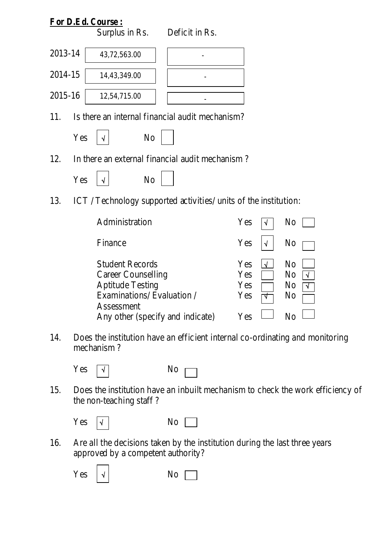

13. ICT / Technology supported activities/ units of the institution:

| Administration                                                                                                    | Yes                      |   | No                               |
|-------------------------------------------------------------------------------------------------------------------|--------------------------|---|----------------------------------|
| Finance                                                                                                           | Yes                      |   | No                               |
| <b>Student Records</b><br>Career Counselling<br><b>Aptitude Testing</b><br>Examinations/Evaluation/<br>Assessment | Yes<br>Yes<br>Yes<br>Yes | N | N <sub>0</sub><br>No<br>No<br>No |
| Any other (specify and indicate)                                                                                  | Yes                      |   |                                  |

14. Does the institution have an efficient internal co-ordinating and monitoring mechanism ?

Yes  $\boxed{\sqrt{}}$  N

15. Does the institution have an inbuilt mechanism to check the work efficiency of the non-teaching staff ?

| Yes | $\sqrt{ }$ | No |
|-----|------------|----|
|-----|------------|----|

16. Are all the decisions taken by the institution during the last three years approved by a competent authority?

 $Yes \mid \lor \mid$  No [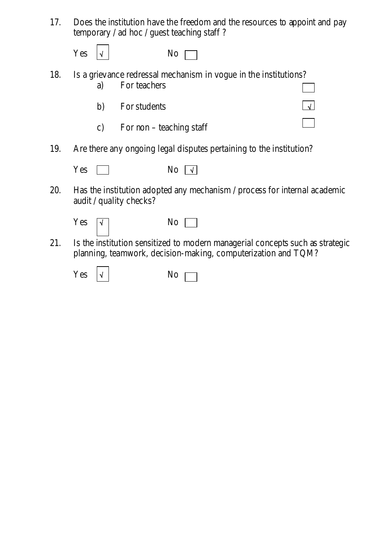17. Does the institution have the freedom and the resources to appoint and pay temporary / ad hoc / guest teaching staff ?

| Yes $ \sqrt{ }$ | No.                                                                                  |  |
|-----------------|--------------------------------------------------------------------------------------|--|
| a)              | 18. Is a grievance redressal mechanism in vogue in the institutions?<br>For teachers |  |
|                 | b) For students                                                                      |  |

- c) For non teaching staff
- 19. Are there any ongoing legal disputes pertaining to the institution?

| Y es<br>- - | No. | $\sqrt{ }$ |
|-------------|-----|------------|
|-------------|-----|------------|

20. Has the institution adopted any mechanism / process for internal academic audit / quality checks?

| Yes $\sqrt{ }$ | $No \Box$ |
|----------------|-----------|
|                |           |

21. Is the institution sensitized to modern managerial concepts such as strategic planning, teamwork, decision-making, computerization and TQM?

| Yes | $\sqrt{ }$ | No |
|-----|------------|----|
|     |            |    |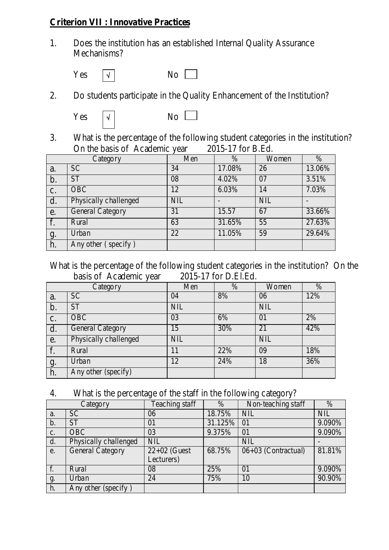### **Criterion VII : Innovative Practices**

1. Does the institution has an established Internal Quality Assurance Mechanisms?

```
Yes \quad \boxed{\sqrt{} } No \boxed{\phantom{2} }
```
2. Do students participate in the Quality Enhancement of the Institution?

$$
Yes \qquad \boxed{\sqrt{\phantom{a}}}\qquad No \qquad \boxed{\phantom{a}}
$$

3. What is the percentage of the following student categories in the institution?<br>On the basis of Academic year 2015-17 for B.Ed. On the basis of Academic year

|                  | Category              | Men | $\%$   | Women      | $\%$   |
|------------------|-----------------------|-----|--------|------------|--------|
| a.               | <b>SC</b>             | 34  | 17.08% | 26         | 13.06% |
| b.               | <b>ST</b>             | 08  | 4.02%  | 07         | 3.51%  |
| $\mathbf{c}$ .   | <b>OBC</b>            | 12  | 6.03%  | 14         | 7.03%  |
| $\overline{d}$ . | Physically challenged | NIL |        | <b>NIL</b> |        |
| e.               | General Category      | 31  | 15.57  | 67         | 33.66% |
| f.               | Rural                 | 63  | 31.65% | 55         | 27.63% |
|                  | Urban                 | 22  | 11.05% | 59         | 29.64% |
| $\frac{g}{h}$ .  | Any other (specify)   |     |        |            |        |

What is the percentage of the following student categories in the institution? On the basis of Academic year 2015-17 for D.El.Ed.

|                 | $\tilde{\phantom{a}}$<br>Category | Men | %   | Women      | %   |
|-----------------|-----------------------------------|-----|-----|------------|-----|
| a.              | <b>SC</b>                         | 04  | 8%  | 06         | 12% |
| b.              | <b>ST</b>                         | NIL |     | <b>NIL</b> |     |
| c.              | <b>OBC</b>                        | 03  | 6%  | 01         | 2%  |
| $\mathbf{d}$ .  | General Category                  | 15  | 30% | 21         | 42% |
| e.              | Physically challenged             | NIL |     | <b>NIL</b> |     |
| f.              | Rural                             | 11  | 22% | 09         | 18% |
|                 | Urban                             | 12  | 24% | 18         | 36% |
| $\frac{g}{h}$ . | Any other (specify)               |     |     |            |     |

4. What is the percentage of the staff in the following category?

|                | Category              | Teaching staff | $\%$    | Non-teaching staff  | %          |
|----------------|-----------------------|----------------|---------|---------------------|------------|
| a.             | <b>SC</b>             | 06             | 18.75%  | <b>NIL</b>          | <b>NIL</b> |
| b.             | <b>ST</b>             | 01             | 31.125% | 01                  | 9.090%     |
| $\mathbf{C}$ . | <b>OBC</b>            | 03             | 9.375%  | 01                  | 9.090%     |
| d.             | Physically challenged | <b>NIL</b>     |         | NIL                 |            |
| e.             | General Category      | $22+02$ (Guest | 68.75%  | 06+03 (Contractual) | 81.81%     |
|                |                       | Lecturers)     |         |                     |            |
| f.             | Rural                 | 08             | 25%     | 01                  | 9.090%     |
| g.             | Urban                 | 24             | 75%     | 10                  | 90.90%     |
| h.             | Any other (specify)   |                |         |                     |            |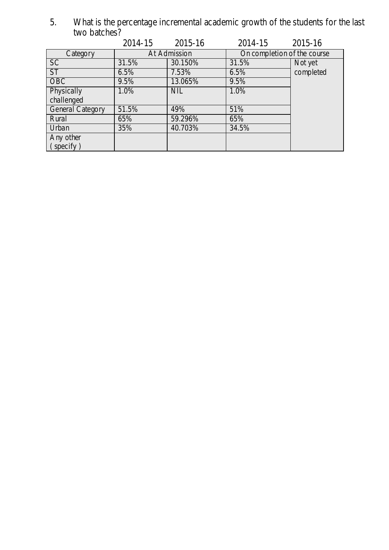5. What is the percentage incremental academic growth of the students for the last two batches? 2014-15 2015-16 2014-15 2015-16

|                        | 2014-19      | 2013-10    | 2014-13                     | 2015-10   |
|------------------------|--------------|------------|-----------------------------|-----------|
| Category               | At Admission |            | On completion of the course |           |
| <b>SC</b>              | 31.5%        | 30.150%    | 31.5%                       | Not yet   |
| $\overline{\text{ST}}$ | 6.5%         | 7.53%      | 6.5%                        | completed |
| <b>OBC</b>             | 9.5%         | 13.065%    | 9.5%                        |           |
| Physically             | 1.0%         | <b>NIL</b> | 1.0%                        |           |
| challenged             |              |            |                             |           |
| General Category       | 51.5%        | 49%        | 51%                         |           |
| Rural                  | 65%          | 59.296%    | 65%                         |           |
| Urban                  | 35%          | 40.703%    | 34.5%                       |           |
| Any other              |              |            |                             |           |
| (specify)              |              |            |                             |           |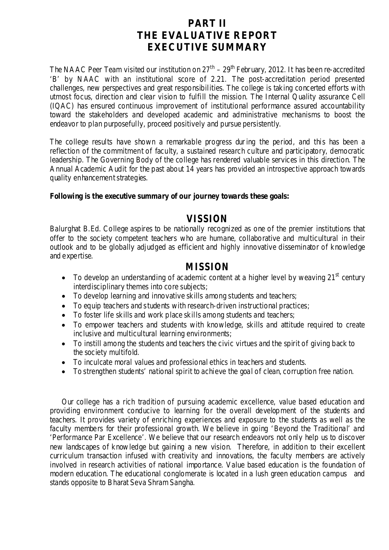## **PART II THE EVALUATIVE REPORT EXECUTIVE SUMMARY**

The NAAC Peer Team visited our institution on  $27<sup>th</sup> - 29<sup>th</sup>$  February, 2012. It has been re-accredited 'B' by NAAC with an institutional score of 2.21. The post-accreditation period presented challenges, new perspectives and great responsibilities. The college is taking concerted efforts with utmost focus, direction and clear vision to fulfill the mission. The Internal Quality assurance Cell (IQAC) has ensured continuous improvement of institutional performance assured accountability toward the stakeholders and developed academic and administrative mechanisms to boost the endeavor to plan purposefully, proceed positively and pursue persistently.

The college results have shown a remarkable progress dur ing the period, and this has been a reflection of the commitment of faculty, a sustained research culture and participatory, democratic leadership. The Governing Body of the college has rendered valuable services in this direction. The Annual Academic Audit for the past about 14 years has provided an introspective approach towards quality enhancement strategies.

#### **Following is the executive summary of our journey towards these goals:**

#### *VISSION*

Balurghat B.Ed. College aspires to be nationally recognized as one of the premier institutions that offer to the society competent teachers who are humane, collaborative and multicultural in their outlook and to be globally adjudged as efficient and highly innovative disseminator of knowledge and expertise.

#### *MISSION*

- To develop an understanding of academic content at a higher level by weaving  $21<sup>st</sup>$  century interdisciplinary themes into core subjects;
- To develop learning and innovative skills among students and teachers;
- To equip teachers and students with research-driven instructional practices;
- To foster life skills and work place skills among students and teachers;
- To empower teachers and students with knowledge, skills and attitude required to create inclusive and multicultural learning environments;
- To instill among the students and teachers the civic virtues and the spirit of giving back to the society multifold.
- To inculcate moral values and professional ethics in teachers and students.
- To strengthen students' national spirit to achieve the goal of clean, corruption free nation.

Our college has a rich tradition of pursuing academic excellence, value based education and providing environment conducive to learning for the overall development of the students and teachers. It provides variety of enriching experiences and exposure to the students as well as the faculty members for their professional growth. We believe in going 'Beyond the Traditional' and 'Performance Par Excellence'. We believe that our research endeavors not only help us to discover new landscapes of knowledge but gaining a new vision. Therefore, in addition to their excellent curriculum transaction infused with creativity and innovations, the faculty members are actively involved in research activities of national importance. Value based education is the foundation of modern education. The educational conglomerate is located in a lush green education campus and stands opposite to Bharat Seva Shram Sangha.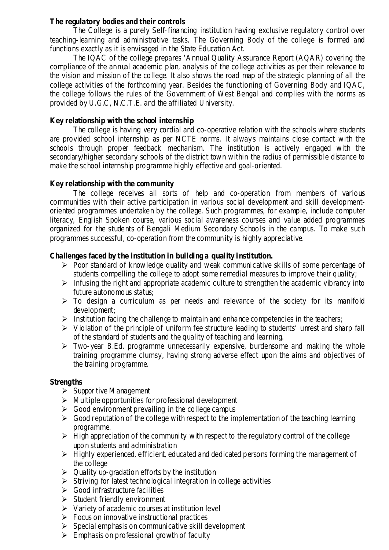#### **The regulatory bodies and their controls**

The College is a purely Self-financing institution having exclusive regulatory control over teaching-learning and administrative tasks. The Governing Body of the college is formed and functions exactly as it is envisaged in the State Education Act.

The IQAC of the college prepares 'Annual Quality Assurance Report (AQAR) covering the compliance of the annual academic plan, analysis of the college activities as per their relevance to the vision and mission of the college. It also shows the road map of the strategic planning of all the college activities of the forthcoming year. Besides the functioning of Governing Body and IQAC, the college follows the rules of the Government of West Bengal and complies with the norms as provided by U.G.C, N.C.T.E. and the affiliated University.

#### **Key relationship with the school internship**

The college is having very cordial and co-operative relation with the schools where students are provided school internship as per NCTE norms. It always maintains close contact with the schools through proper feedback mechanism. The institution is actively engaged with the secondary/higher secondary schools of the district town within the radius of permissible distance to make the school internship programme highly effective and goal-oriented.

#### **Key relationship with the community**

The college receives all sorts of help and co-operation from members of various communities with their active participation in various social development and skill developmentoriented programmes undertaken by the college. Such programmes, for example, include computer literacy, English Spoken course, various social awareness courses and value added programmes organized for the students of Bengali Medium Secondary Schoo ls in the campus. To make such programmes successful, co-operation from the community is highly appreciative.

#### **Challenges faced by the institution in building a quality institution.**

- $\triangleright$  Poor standard of knowledge quality and weak communicative skills of some percentage of students compelling the college to adopt some remedial measures to improve their quality;
- $\triangleright$  Infusing the right and appropriate academic culture to strengthen the academic vibrancy into future autonomous status;
- $\triangleright$  To design a curriculum as per needs and relevance of the society for its manifold development;
- $\triangleright$  Institution facing the challenge to maintain and enhance competencies in the teachers;
- $\triangleright$  Violation of the principle of uniform fee structure leading to students' unrest and sharp fall of the standard of students and the quality of teaching and learning.
- $\triangleright$  Two-year B.Ed. programme unnecessarily expensive, burdensome and making the whole training programme clumsy, having strong adverse effect upon the aims and objectives of the training programme.

#### **Strengths**

- $\triangleright$  Suppor tive Management
- $\triangleright$  Multiple opportunities for professional development
- $\triangleright$  Good environment prevailing in the college campus
- $\triangleright$  Good reputation of the college with respect to the implementation of the teaching learning programme.
- $\triangleright$  High appreciation of the community with respect to the regulatory control of the college upon students and administration
- $\triangleright$  Highly experienced, efficient, educated and dedicated persons forming the management of the college
- $\triangleright$  Quality up-gradation efforts by the institution
- $\triangleright$  Striving for latest technological integration in college activities
- $\triangleright$  Good infrastructure facilities
- $\triangleright$  Student friendly environment
- $\triangleright$  Variety of academic courses at institution level
- $\triangleright$  Focus on innovative instructional practices
- $\triangleright$  Special emphasis on communicative skill development
- $\triangleright$  Emphasis on professional growth of faculty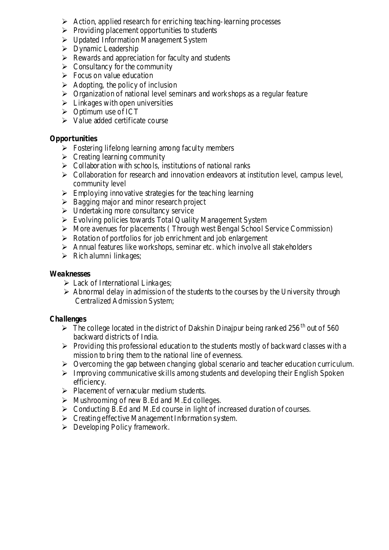- $\triangleright$  Action, applied research for enriching teaching-learning processes
- $\triangleright$  Providing placement opportunities to students
- $\triangleright$  Updated Information Management System
- **Dynamic Leadership**
- $\triangleright$  Rewards and appreciation for faculty and students
- $\triangleright$  Consultancy for the community
- $\triangleright$  Focus on value education
- $\triangleright$  Adopting, the policy of inclusion
- $\triangleright$  Organization of national level seminars and workshops as a regular feature
- $\triangleright$  Linkages with open universities
- $\triangleright$  Optimum use of ICT
- $\triangleright$  Value added certificate course

#### **Opportunities**

- $\triangleright$  Fostering lifelong learning among faculty members
- $\triangleright$  Creating learning community
- $\triangleright$  Collaboration with schools, institutions of national ranks
- $\triangleright$  Collaboration for research and innovation endeavors at institution level, campus level, community level
- $\triangleright$  Employing innovative strategies for the teaching learning
- $\triangleright$  Bagging major and minor research project
- $\triangleright$  Undertaking more consultancy service
- $\triangleright$  Evolving policies towards Total Quality Management System
- More avenues for placements ( Through west Bengal School Service Commission)
- $\triangleright$  Rotation of portfolios for job enrichment and job enlargement
- $\triangleright$  Annual features like workshops, seminar etc. which involve all stakeholders
- $\triangleright$  Rich alumni linkages;

#### **Weaknesses**

- $\triangleright$  Lack of International Linkages;
- $\triangleright$  Abnormal delay in admission of the students to the courses by the University through Centralized Admission System;

#### **Challenges**

- $\triangleright$  The college located in the district of Dakshin Dinajpur being ranked 256<sup>th</sup> out of 560 backward districts of India.
- $\triangleright$  Providing this professional education to the students mostly of backward classes with a mission to bring them to the national line of evenness.
- $\triangleright$  Overcoming the gap between changing global scenario and teacher education curriculum.
- $\triangleright$  Improving communicative skills among students and developing their English Spoken efficiency.
- $\triangleright$  Placement of vernacular medium students.
- $\triangleright$  Mushrooming of new B.Ed and M.Ed colleges.
- $\triangleright$  Conducting B.Ed and M.Ed course in light of increased duration of courses.
- $\triangleright$  Creating effective Management Information system.
- $\triangleright$  Developing Policy framework.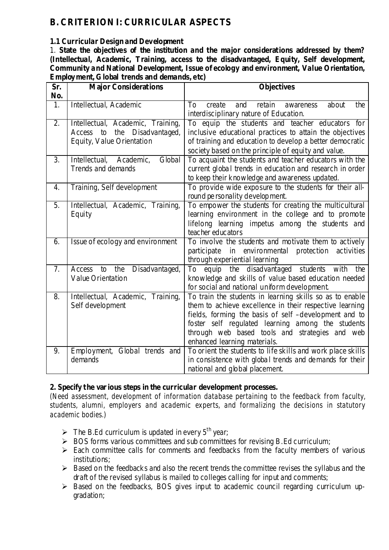# **B. CRITERION I: CURRICULAR ASPECTS**

# **1.1 Curricular Design and Development**

1. **State the objectives of the institution and the major considerations addressed by them? (Intellectual, Academic, Training, access to the disadvantaged, Equity, Self development, Community and National Development, Issue of ecology and environment, Value Orientation, Employment, Global trends and demands, etc)**

| Sr.              | <b>Major Considerations</b>                                                                          | <b>Objectives</b>                                                                                                                                                                                                                                                                                                  |
|------------------|------------------------------------------------------------------------------------------------------|--------------------------------------------------------------------------------------------------------------------------------------------------------------------------------------------------------------------------------------------------------------------------------------------------------------------|
| No.              |                                                                                                      |                                                                                                                                                                                                                                                                                                                    |
| 1.               | Intellectual, Academic                                                                               | To<br>retain<br>and<br>about<br>the<br>create<br>awareness<br>interdisciplinary nature of Education.                                                                                                                                                                                                               |
| $\overline{2}$ . | Intellectual, Academic, Training,<br>the Disadvantaged,<br>Access<br>to<br>Equity, Value Orientation | To equip the students and teacher educators for<br>inclusive educational practices to attain the objectives<br>of training and education to develop a better democratic<br>society based on the principle of equity and value.                                                                                     |
| 3.               | Global<br>Intellectual,<br>Academic,<br>Trends and demands                                           | To acquaint the students and teacher educators with the<br>current global trends in education and research in order<br>to keep their knowledge and awareness updated.                                                                                                                                              |
| $\overline{4}$ . | Training, Self development                                                                           | To provide wide exposure to the students for their all-<br>round personality development.                                                                                                                                                                                                                          |
| 5.               | Intellectual, Academic, Training,<br>Equity                                                          | To empower the students for creating the multicultural<br>learning environment in the college and to promote<br>lifelong learning impetus among the students and<br>teacher educators                                                                                                                              |
| 6.               | Issue of ecology and environment                                                                     | To involve the students and motivate them to actively<br>in environmental protection activities<br>participate<br>through experiential learning                                                                                                                                                                    |
| 7.               | the Disadvantaged,<br>Access<br>to<br><b>Value Orientation</b>                                       | equip the disadvantaged students<br>with<br>the<br>To<br>knowledge and skills of value based education needed<br>for social and national uniform development.                                                                                                                                                      |
| 8.               | Intellectual, Academic, Training,<br>Self development                                                | To train the students in learning skills so as to enable<br>them to achieve excellence in their respective learning<br>fields, forming the basis of self-development and to<br>foster self regulated learning among the students<br>through web based tools and strategies and web<br>enhanced learning materials. |
| 9.               | Employment, Global trends and<br>demands                                                             | To orient the students to life skills and work place skills<br>in consistence with global trends and demands for their<br>national and global placement.                                                                                                                                                           |

## **2. Specify the various steps in the curricular development processes.**

*(Need assessment, development of information database pertaining to the feedback from faculty, students, alumni, employers and academic experts, and formalizing the decisions in statutory academic bodies.)*

- The B.Ed curriculum is updated in every  $5<sup>th</sup>$  year;
- $\triangleright$  BOS forms various committees and sub committees for revising B.Ed curriculum;
- $\triangleright$  Each committee calls for comments and feedbacks from the faculty members of various institutions;
- $\triangleright$  Based on the feedbacks and also the recent trends the committee revises the syllabus and the draft of the revised syllabus is mailed to colleges calling for input and comments;
- $\triangleright$  Based on the feedbacks, BOS gives input to academic council regarding curriculum upgradation;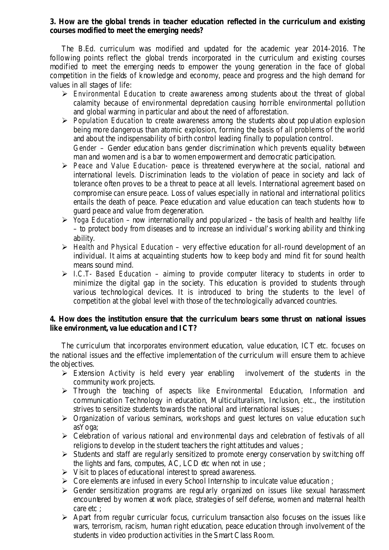#### **3. How are the global trends in teacher education reflected in the curriculum and existing courses modified to meet the emerging needs?**

The B.Ed. curriculum was modified and updated for the academic year 2014-2016. The following points reflect the global trends incorporated in the curriculum and existing courses modified to meet the emerging needs to empower the young generation in the face of global competition in the fields of knowledge and economy, peace and progress and the high demand for values in all stages of life:

- *Environmental Education* to create awareness among students about the threat of global calamity because of environmental depredation causing horrible environmental pollution and global warming in particular and about the need of afforestation.
- *Population Education* to create awareness among the students about pop ulation explosion being more dangerous than atomic explosion, forming the basis of all problems of the world and about the indispensability of birth control leading finally to population control. *Gender* – Gender education bans gender discrimination which prevents equality between man and women and is a bar to women empowerment and democratic participation.
- *Peace and Value Education-* peace is threatened everywhere at the social, national and international levels. Discrimination leads to the violation of peace in society and lack of tolerance often proves to be a threat to peace at all levels. International agreement based on compromise can ensure peace. Loss of values especially in national and international politics entails the death of peace. Peace education and value education can teach students how to guard peace and value from degeneration.
- *Yoga Education* now internationally and popularized the basis of health and healthy life – to protect body from diseases and to increase an individual's working ability and thinking ability.
- *Health and Physical Education* very effective education for all-round development of an individual. It aims at acquainting students how to keep body and mind fit for sound health means sound mind.
- *I.C.T- Based Education* aiming to provide computer literacy to students in order to minimize the digital gap in the society. This education is provided to students through various technological devices. It is introduced to bring the students to the level of competition at the global level with those of the technologically advanced countries.

## **4. How does the institution ensure that the curriculum bears some thrust on national issues like environment, va lue education and ICT?**

The curriculum that incorporates environment education, value education, ICT etc. focuses on the national issues and the effective implementation of the curriculum will ensure them to achieve the objectives.

- $\triangleright$  Extension Activity is held every year enabling involvement of the students in the community work projects.
- Through the teaching of aspects like Environmental Education, Information and communication Technology in education, Multiculturalism, Inclusion, etc., the institution strives to sensitize students towards the national and international issues ;
- $\triangleright$  Organization of various seminars, workshops and guest lectures on value education such asYoga;
- $\triangleright$  Celebration of various national and environmental days and celebration of festivals of all religions to develop in the student teachers the right attitudes and values ;
- $\triangleright$  Students and staff are regularly sensitized to promote energy conservation by switching off the lights and fans, computes, AC, LCD etc when not in use;
- $\triangleright$  Visit to places of educational interest to spread awareness.
- $\triangleright$  Core elements are infused in every School Internship to inculcate value education;
- $\triangleright$  Gender sensitization programs are regularly organized on issues like sexual harassment encountered by women at work place, strategies of self defense, women and maternal health care etc ;
- $\triangleright$  Apart from regular curricular focus, curriculum transaction also focuses on the issues like wars, terrorism, racism, human right education, peace education through involvement of the students in video production activities in the Smart Class Room.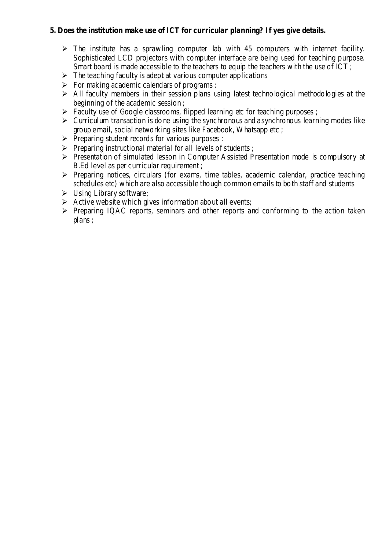# **5. Does the institution make use of ICT for curricular planning? If yes give details.**

- $\triangleright$  The institute has a sprawling computer lab with 45 computers with internet facility. Sophisticated LCD projectors with computer interface are being used for teaching purpose. Smart board is made accessible to the teachers to equip the teachers with the use of ICT ;
- $\triangleright$  The teaching faculty is adept at various computer applications
- $\triangleright$  For making academic calendars of programs ;
- $\triangleright$  All faculty members in their session plans using latest technological methodologies at the beginning of the academic session ;
- $\triangleright$  Faculty use of Google classrooms, flipped learning etc for teaching purposes;
- $\triangleright$  Curriculum transaction is done using the synchronous and asynchronous learning modes like group email, social networking sites like Facebook, Whatsapp etc ;
- $\triangleright$  Preparing student records for various purposes :
- $\triangleright$  Preparing instructional material for all levels of students :
- Presentation of simulated lesson in Computer Assisted Presentation mode is compulsory at B.Ed level as per curricular requirement ;
- $\triangleright$  Preparing notices, circulars (for exams, time tables, academic calendar, practice teaching schedules etc) which are also accessible though common emails to both staff and students
- $\triangleright$  Using Library software;
- $\triangleright$  Active website which gives information about all events;
- $\triangleright$  Preparing IQAC reports, seminars and other reports and conforming to the action taken plans ;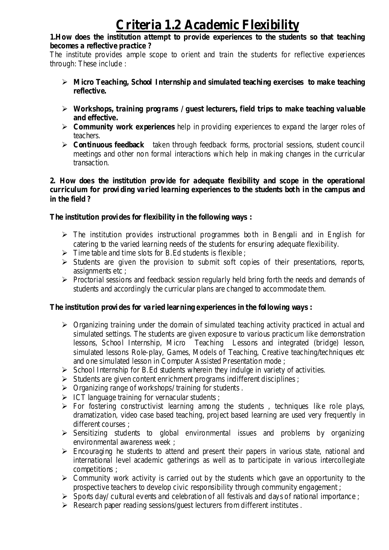# **Criteria 1.2 Academic Flexibility**

**1.How does the institution attempt to provide experiences to the students so that teaching becomes a reflective practice ?**

The institute provides ample scope to orient and train the students for reflective experiences through: These include :

- **Micro Teaching, School Internship and simulated teaching exercises to make teaching reflective.**
- **Workshops, training prog rams / guest lecturers, field trips to make teaching valuable and effective.**
- **Community work experiences** help in providing experiences to expand the larger roles of teachers.
- **Continuous feedback** taken through feedback forms, proctorial sessions, student council meetings and other non formal interactions which help in making changes in the curricular transaction.

# **2. How does the institution provide for adequate flexibility and scope in the operational curriculum for provi ding varied learning experiences to the students both in the campus and in the field ?**

# **The institution provides for flexibility in the following ways :**

- $\triangleright$  The institution provides instructional programmes both in Bengali and in English for catering to the varied learning needs of the students for ensuring adequate flexibility.
- $\triangleright$  Time table and time slots for B.Ed students is flexible ;
- $\triangleright$  Students are given the provision to submit soft copies of their presentations, reports, assignments etc ;
- $\triangleright$  Proctorial sessions and feedback session regularly held bring forth the needs and demands of students and accordingly the curricular plans are changed to accommodate them.

## **The institution provi des for varied learning experiences in the following ways :**

- $\triangleright$  Organizing training under the domain of simulated teaching activity practiced in actual and simulated settings. The students are given exposure to various practicum like demonstration lessons, School Internship, Micro Teaching Lessons and integrated (bridge) lesson, simulated lessons Role-play, Games, Models of Teaching, Creative teaching/techniques etc and one simulated lesson in Computer Assisted Presentation mode ;
- $\triangleright$  School Internship for B.Ed students wherein they indulge in variety of activities.
- $\triangleright$  Students are given content enrichment programs indifferent disciplines;
- $\triangleright$  Organizing range of workshops/training for students.
- $\triangleright$  ICT language training for vernacular students :
- $\triangleright$  For fostering constructivist learning among the students, techniques like role plays, dramatization, video case based teaching, project based learning are used very frequently in different courses ;
- $\triangleright$  Sensitizing students to global environmental issues and problems by organizing environmental awareness week ;
- $\triangleright$  Encouraging he students to attend and present their papers in various state, national and international level academic gatherings as well as to participate in various intercollegiate competitions ;
- $\triangleright$  Community work activity is carried out by the students which gave an opportunity to the prospective teachers to develop civic responsibility through community engagement ;
- $\triangleright$  Sports day/ cultural events and celebration of all festivals and days of national importance;
- $\triangleright$  Research paper reading sessions/guest lecturers from different institutes.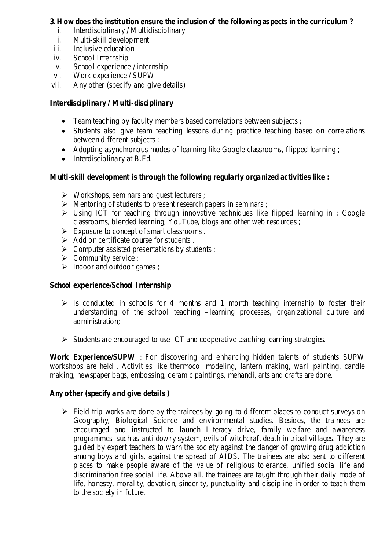# **3. How does the institution ensure the inclusion of the following as pects in the curriculum ?**

- i. Interdisciplinary / Multidisciplinary
- ii. Multi-skill development
- iii. Inclusive education
- iv. School Internship
- v. School experience / internship
- vi. Work experience / SUPW
- vii. Any other (specify and give details)

# **Interdisciplinary / Multi-disciplinary**

- Team teaching by faculty members based correlations between subjects;
- Students also give team teaching lessons during practice teaching based on correlations between different subjects ;
- Adopting asynchronous modes of learning like Google classrooms, flipped learning;
- Interdisciplinary at B.Ed.

# **Multi-skill development is through the following regularly organized activities like :**

- $\triangleright$  Workshops, seminars and guest lecturers;
- $\triangleright$  Mentoring of students to present research papers in seminars ;
- $\triangleright$  Using ICT for teaching through innovative techniques like flipped learning in ; Google classrooms, blended learning, YouTube, blogs and other web resources ;
- $\triangleright$  Exposure to concept of smart classrooms.
- $\triangleright$  Add on certificate course for students.
- $\triangleright$  Computer assisted presentations by students;
- $\triangleright$  Community service ;
- > Indoor and outdoor games ;

# **School experience/School Internship**

- $\triangleright$  Is conducted in schools for 4 months and 1 month teaching internship to foster their understanding of the school teaching –learning processes, organizational culture and administration;
- $\triangleright$  Students are encouraged to use ICT and cooperative teaching learning strategies.

**Work Experience/SUPW** : For discovering and enhancing hidden talents of students SUPW workshops are held . Activities like thermocol modeling, lantern making, warli painting, candle making, newspaper bags, embossing, ceramic paintings, mehandi, arts and crafts are done.

# **Any other (specify and give details )**

 $\triangleright$  Field-trip works are done by the trainees by going to different places to conduct surveys on Geography, Biological Science and environmental studies. Besides, the trainees are encouraged and instructed to launch Literacy drive, family welfare and awareness programmes such as anti-dowry system, evils of witchcraft death in tribal villages. They are guided by expert teachers to warn the society against the danger of growing drug addiction among boys and girls, against the spread of AIDS. The trainees are also sent to different places to make people aware of the value of religious tolerance, unified social life and discrimination free social life. Above all, the trainees are taught through their daily mode of life, honesty, morality, devotion, sincerity, punctuality and discipline in order to teach them to the society in future.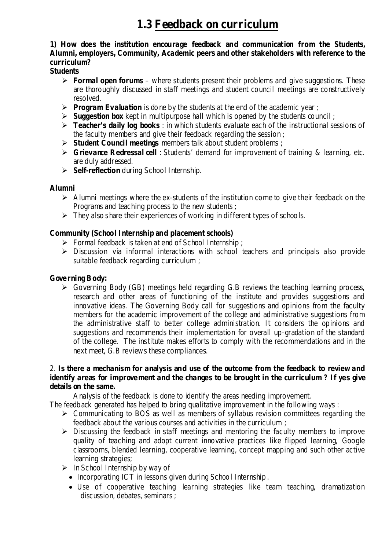# **1.3 Feedback on curriculum**

**1) How does the institution encourage feedback and communication from the Students, Alumni, employers, Community, Academic peers and other stakeholders with reference to the curriculum?**

**Students**

- **Formal open forums** where students present their problems and give suggestions. These are thoroughly discussed in staff meetings and student council meetings are constructively resolved.
- **Program Evaluation** is done by the students at the end of the academic year ;
- **Suggestion box** kept in multipurpose hall which is opened by the students council;
- **Teacher's daily log books**: in which students evaluate each of the instructional sessions of the faculty members and give their feedback regarding the session ;
- **Student Council meetings** members talk about student problems ;
- **Grievance Redressal cell** : Students' demand for improvement of training & learning, etc. are duly addressed.
- **Self-reflection** during School Internship.

## **Alumni**

- $\triangleright$  Alumni meetings where the ex-students of the institution come to give their feedback on the Programs and teaching process to the new students ;
- $\triangleright$  They also share their experiences of working in different types of schools.

## **Community (School Internship and placement schools)**

- $\triangleright$  Formal feedback is taken at end of School Internship ;
- $\triangleright$  Discussion via informal interactions with school teachers and principals also provide suitable feedback regarding curriculum ;

#### **Gove rning Body:**

 $\triangleright$  Governing Body (GB) meetings held regarding G.B reviews the teaching learning process, research and other areas of functioning of the institute and provides suggestions and innovative ideas. The Governing Body call for suggestions and opinions from the faculty members for the academic improvement of the college and administrative suggestions from the administrative staff to better college administration. It considers the opinions and suggestions and recommends their implementation for overall up-gradation of the standard of the college. The institute makes efforts to comply with the recommendations and in the next meet, G.B reviews these compliances.

#### 2. **Is there a mechanism for analysis and use of the outcome from the feedback to review and identify areas for improve ment and the changes to be brought in the curriculum ? If yes give details on the same.**

Analysis of the feedback is done to identify the areas needing improvement.

The feedback generated has helped to bring qualitative improvement in the following ways :

- $\triangleright$  Communicating to BOS as well as members of syllabus revision committees regarding the feedback about the various courses and activities in the curriculum ;
- $\triangleright$  Discussing the feedback in staff meetings and mentoring the faculty members to improve quality of teaching and adopt current innovative practices like flipped learning, Google classrooms, blended learning, cooperative learning, concept mapping and such other active learning strategies;
- $\triangleright$  In School Internship by way of
	- Incorporating ICT in lessons given during School Internship .
	- Use of cooperative teaching learning strategies like team teaching, dramatization discussion, debates, seminars ;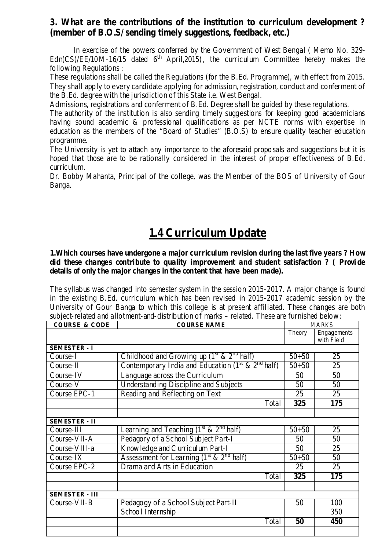# **3. What are the contributions of the institution to curriculum development ? (member of B.O.S/ sending timely suggestions, feedback, etc.)**

In exercise of the powers conferred by the Government of West Bengal ( Memo No. 329- Edn(CS)/EE/10M-16/15 dated  $6<sup>th</sup>$  April, 2015), the curriculum Committee hereby makes the following Regulations :

These regulations shall be called the Regulations (for the B.Ed. Programme), with effect from 2015. They shall apply to every candidate applying for admission, registration, conduct and conferment of the B.Ed. de gree with the jurisdiction of this State i.e. West Bengal.

Admissions, registrations and conferment of B.Ed. Degree shall be guided by these regulations.

The authority of the institution is also sending timely suggestions for keeping good academicians having sound academic & professional qualifications as per NCTE norms with expertise in education as the members of the "Board of Studies" (B.O.S) to ensure quality teacher education programme.

The University is yet to attach any importance to the aforesaid proposals and suggestions but it is hoped that those are to be rationally considered in the interest of proper effectiveness of B.Ed. curriculum.

Dr. Bobby Mahanta, Principal of the college, was the Member of the BOS of University of Gour Banga.

# **1.4 Curriculum Update**

**1.Which courses have undergone a major curriculum revision during the last five years ? How did these changes contribute to quality improve ment and student satisfaction ? ( Provi de details of only the major changes in the content that have been made).**

The syllabus was changed into semester system in the session 2015-2017. A major change is found in the existing B.Ed. curriculum which has been revised in 2015-2017 academic session by the University of Gour Banga to which this college is at present affiliated. These changes are both subject-related and allotment-and-distribution of marks – related. These are furnished below:

| <b>COURSE &amp; CODE</b> | <b>COURSE NAME</b>                                                      |           | <b>MARKS</b> |
|--------------------------|-------------------------------------------------------------------------|-----------|--------------|
|                          |                                                                         | Theory    | Engagements  |
|                          |                                                                         |           | with Field   |
| <b>SEMESTER - I</b>      |                                                                         |           |              |
| Course-I                 | Childhood and Growing up $(1st & 2nd half)$                             | $50 + 50$ | 25           |
| Course-II                | Contemporary India and Education $(1st & 2nd$ half)                     | $50 + 50$ | 25           |
| Course-IV                | Language across the Curriculum                                          | 50        | 50           |
| Course-V                 | Understanding Discipline and Subjects                                   | 50        | 50           |
| Course EPC-1             | Reading and Reflecting on Text                                          | 25        | 25           |
|                          | Total                                                                   | 325       | 175          |
|                          |                                                                         |           |              |
| <b>SEMESTER - II</b>     |                                                                         |           |              |
| Course-III               | Learning and Teaching $(1st & 2nd$ half)                                | $50 + 50$ | 25           |
| Course-VII-A             | Pedagory of a School Subject Part-I                                     | 50        | 50           |
| Course-VIII-a            | Knowledge and Curriculum Part-I                                         | 50        | 25           |
| Course-IX                | Assessment for Learning $(1^{\text{st}} \& 2^{\text{nd}} \text{ half})$ | $50 + 50$ | 50           |
| Course EPC-2             | Drama and Arts in Education                                             | 25        | 25           |
|                          | Total                                                                   | 325       | 175          |
|                          |                                                                         |           |              |
| <b>SEMESTER - III</b>    |                                                                         |           |              |
| Course-VII-B             | Pedagogy of a School Subject Part-II                                    | 50        | 100          |
|                          | School Internship                                                       |           | 350          |
|                          | Total                                                                   | 50        | 450          |
|                          |                                                                         |           |              |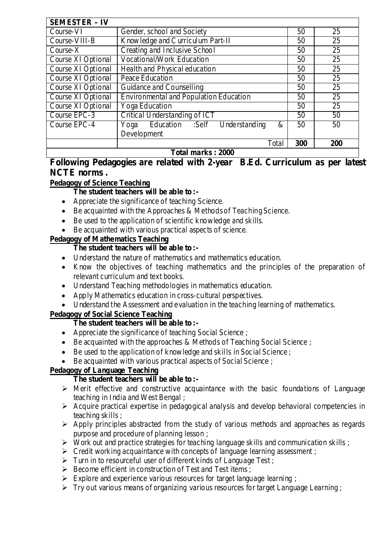| <b>SEMESTER - IV</b>                 |                                               |     |            |
|--------------------------------------|-----------------------------------------------|-----|------------|
| Course-VI                            | Gender, school and Society                    | 50  | 25         |
| Course-VIII-B                        | Knowledge and Curriculum Part-II              | 50  | 25         |
| $Course-X$                           | Creating and Inclusive School                 | 50  | 25         |
| Course XI Optional                   | Vocational/Work Education                     | 50  | 25         |
| Course XI Optional                   | Health and Physical education                 | 50  | 25         |
| Course XI Optional                   | Peace Education                               | 50  | 25         |
| Course XI Optional                   | Guidance and Counselling                      |     | 25         |
| Course XI Optional                   | <b>Environmental and Population Education</b> |     | 25         |
| Course XI Optional<br>Yoga Education |                                               | 50  | 25         |
| Course EPC-3                         | Critical Understanding of ICT                 | 50  | 50         |
| Course EPC-4                         | Education :Self<br>Understanding<br>&<br>Yoga | 50  | 50         |
|                                      | Development                                   |     |            |
|                                      | Total                                         | 300 | <b>200</b> |
| Total marks: 2000                    |                                               |     |            |

# **Following Pedagogies are related with 2-year B.Ed. Curriculum as per latest NCTE norms .**

# **Pedagogy of Science Teaching**

# **The student teachers will be able to :-**

- Appreciate the significance of teaching Science.
- Be acquainted with the Approaches & Methods of Teaching Science.
- Be used to the application of scientific knowledge and skills.
- Be acquainted with various practical aspects of science.

## **Pedagogy of Mathematics Teaching**

# **The student teachers will be able to :-**

- Understand the nature of mathematics and mathematics education.
- Know the objectives of teaching mathematics and the principles of the preparation of relevant curriculum and text books.
- Understand Teaching methodologies in mathematics education.
- Apply Mathematics education in cross-cultural perspectives.
- Understand the Assessment and evaluation in the teaching learning of mathematics.

# **Pedagogy of Social Science Teaching**

# **The student teachers will be able to :-**

- Appreciate the significance of teaching Social Science;
- Be acquainted with the approaches & Methods of Teaching Social Science;
- Be used to the application of knowledge and skills in Social Science;
- Be acquainted with various practical aspects of Social Science ;

# **Pedagogy of Language Teaching**

# **The student teachers will be able to :-**

- $\triangleright$  Merit effective and constructive acquaintance with the basic foundations of Language teaching in India and West Bengal ;
- $\triangleright$  Acquire practical expertise in pedagogical analysis and develop behavioral competencies in teaching skills ;
- $\triangleright$  Apply principles abstracted from the study of various methods and approaches as regards purpose and procedure of planning lesson ;
- $\triangleright$  Work out and practice strategies for teaching language skills and communication skills;
- $\triangleright$  Credit working acquaintance with concepts of language learning assessment;
- $\triangleright$  Turn in to resourceful user of different kinds of Language Test;
- $\triangleright$  Become efficient in construction of Test and Test items;
- $\triangleright$  Explore and experience various resources for target language learning ;
- $\triangleright$  Try out various means of organizing various resources for target Language Learning;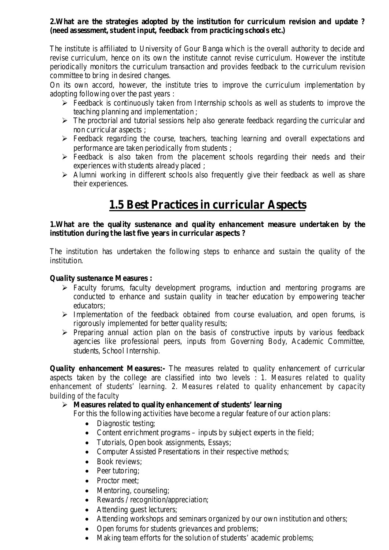#### **2.What are the strategies adopted by the institution for curriculum revision and update ? (need assessment, student input, feedback from practicing schools etc.)**

The institute is affiliated to University of Gour Banga which is the overall authority to decide and revise curriculum, hence on its own the institute cannot revise curriculum. However the institute periodically monitors the curriculum transaction and provides feedback to the curriculum revision committee to bring in desired changes.

On its own accord, however, the institute tries to improve the curriculum implementation by adopting following over the past years :

- Feedback is continuously taken from Internship schools as well as students to improve the teaching planning and implementation ;
- $\triangleright$  The proctorial and tutorial sessions help also generate feedback regarding the curricular and non curricular aspects ;
- $\triangleright$  Feedback regarding the course, teachers, teaching learning and overall expectations and performance are taken periodically from students ;
- $\triangleright$  Feedback is also taken from the placement schools regarding their needs and their experiences with students already placed ;
- $\triangleright$  Alumni working in different schools also frequently give their feedback as well as share their experiences.

# **1.5 Best Practices in curricular Aspects**

**1.What are the quality sustenance and quality enhancement measure undertaken by the institution during the last five years in curricular aspects ?**

The institution has undertaken the following steps to enhance and sustain the quality of the institution.

#### **Quality sustenance Measures :**

- Faculty forums, faculty development programs, induction and mentoring programs are conducted to enhance and sustain quality in teacher education by empowering teacher educators;
- $\triangleright$  Implementation of the feedback obtained from course evaluation, and open forums, is rigorously implemented for better quality results;
- $\triangleright$  Preparing annual action plan on the basis of constructive inputs by various feedback agencies like professional peers, inputs from Governing Body, Academic Committee, students, School Internship.

**Quality enhancement Measures:** The measures related to quality enhancement of curricular aspects taken by the college are classified into two levels : *1. Measures related to quality enhancement of students' learning. 2. Measures related to quality enhancement by capacity building of the faculty*

## **Measures related to quality enhancement of students' learning**

For this the following activities have become a regular feature of our action plans:

- Diagnostic testing;
- Content enrichment programs inputs by subject experts in the field;
- Tutorials, Open book assignments, Essays;
- Computer Assisted Presentations in their respective methods;
- Book reviews:
- Peer tutoring;
- Proctor meet;
- Mentoring, counseling;
- Rewards / recognition/appreciation;
- Attending guest lecturers;
- Attending workshops and seminars organized by our own institution and others;
- Open forums for students grievances and problems;
- Making team efforts for the solution of students' academic problems;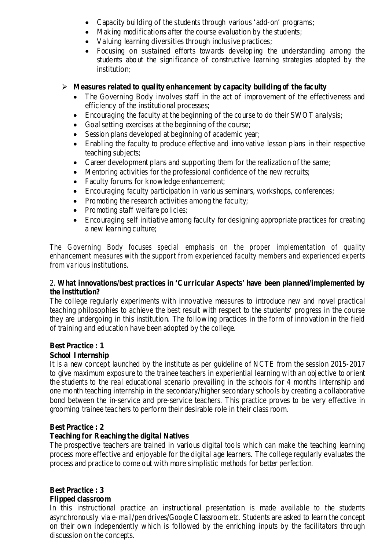- Capacity building of the students through various 'add-on' programs;
- Making modifications after the course evaluation by the students;
- Valuing learning diversities through inclusive practices;
- Focusing on sustained efforts towards developing the understanding among the students about the significance of constructive learning strategies adopted by the institution;

# **Measures related to quality enhancement by capacity building of the faculty**

- The Governing Body involves staff in the act of improvement of the effectiveness and efficiency of the institutional processes;
- Encouraging the faculty at the beginning of the course to do their SWOT analysis;
- Goal setting exercises at the beginning of the course;
- Session plans developed at beginning of academic year;
- Enabling the faculty to produce effective and inno vative lesson plans in their respective teaching subjects;
- Career development plans and supporting them for the realization of the same;
- Mentoring activities for the professional confidence of the new recruits;
- Faculty forums for knowledge enhancement;
- Encouraging faculty participation in various seminars, workshops, conferences;
- Promoting the research activities among the faculty;
- Promoting staff welfare policies;
- Encouraging self initiative among faculty for designing appropriate practices for creating a new learning culture;

*The Governing Body focuses special emphasis on the proper implementation of quality enhancement measures with the support from experienced faculty members and experienced experts from various institutions.* 

## 2. **What innovations/best practices in 'Curricular Aspects' have been planned/implemented by the institution?**

The college regularly experiments with innovative measures to introduce new and novel practical teaching philosophies to achieve the best result with respect to the students' progress in the course they are undergoing in this institution. The following practices in the form of innovation in the field of training and education have been adopted by the college.

# **Best Practice : 1**

# **School Internship**

It is a new concept launched by the institute as per guideline of NCTE from the session 2015-2017 to give maximum exposure to the trainee teachers in experiential learning with an objective to orient the students to the real educational scenario prevailing in the schools for 4 months Internship and one month teaching internship in the secondary/higher secondary schools by creating a collaborative bond between the in-service and pre-service teachers. This practice proves to be very effective in grooming trainee teachers to perform their desirable role in their class room.

# **Best Practice : 2**

# **Teaching for Reaching the digital Natives**

The prospective teachers are trained in various digital tools which can make the teaching learning process more effective and enjoyable for the digital age learners. The college regularly evaluates the process and practice to come out with more simplistic methods for better perfection.

# **Best Practice : 3**

# **Flipped classroom**

In this instructional practice an instructional presentation is made available to the students asynchronously via e-mail/pen drives/Google Classroom etc. Students are asked to learn the concept on their own independently which is followed by the enriching inputs by the facilitators through discussion on the concepts.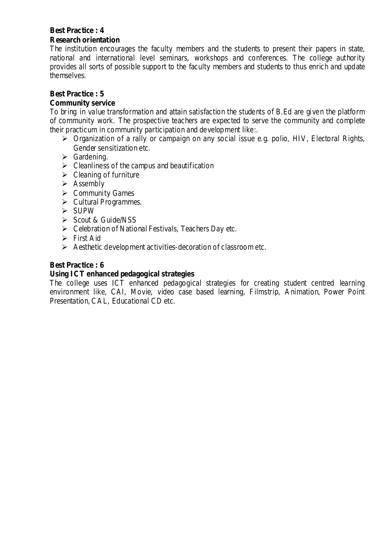## **Best Practice : 4 Research orientation**

The institution encourages the faculty members and the students to present their papers in state, national and international level seminars, workshops and conferences. The college authority provides all sorts of possible support to the faculty members and students to thus enrich and update themselves.

## **Best Practice : 5**

#### **Community service**

To bring in value transformation and attain satisfaction the students of B.Ed are given the platform of community work. The prospective teachers are expected to serve the community and complete their practicum in community participation and development like:.

- Organization of a rally or campaign on any social issue e.g. polio, HIV, Electoral Rights, Gender sensitization etc.
- $\triangleright$  Gardening.
- $\triangleright$  Cleanliness of the campus and beautification
- $\triangleright$  Cleaning of furniture
- $\triangleright$  Assembly
- $\triangleright$  Community Games
- $\triangleright$  Cultural Programmes.
- $\triangleright$  SUPW
- $\triangleright$  Scout & Guide/NSS
- $\triangleright$  Celebration of National Festivals, Teachers Day etc.
- $\triangleright$  First Aid
- $\triangleright$  Aesthetic development activities-decoration of classroom etc.

#### **Best Practice : 6**

#### **Using ICT enhanced pedagogical strategies**

The college uses ICT enhanced pedagogical strategies for creating student centred learning environment like, CAI, Movie, video case based learning, Filmstrip, Animation, Power Point Presentation, CAL, Educational CD etc.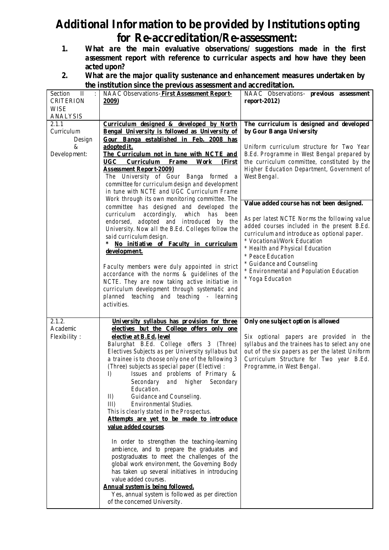# **Additional Information to be provided by Institutions opting for Re-accreditation/Re-assessment:**

- **1. What are the main evaluative observations/ suggestions made in the first assessment report with reference to curricular aspects and how have they been acted upon?**
- **2. What are the major quality sustenance and enhancement measures undertaken by the institution since the previous assessment and accreditation.**

|                        | are institution since the previous assessment and accreditation.                |                                                 |
|------------------------|---------------------------------------------------------------------------------|-------------------------------------------------|
| Section<br>$\mathbf I$ | NAAC Observations-First Assessment Report-                                      | NAAC Observations- previous assessment          |
| <b>CRITERION</b>       | 2009                                                                            | $report-2012)$                                  |
| <b>WISE</b>            |                                                                                 |                                                 |
| <b>ANALYSIS</b>        |                                                                                 |                                                 |
| 2.1.1                  | Curriculum designed & developed by North                                        | The curriculum is designed and developed        |
| Curriculum             | Bengal University is followed as University of                                  | by Gour Banga University                        |
| Design                 | Gour Banga established in Feb. 2008 has                                         |                                                 |
| &                      | adopted it.                                                                     | Uniform curriculum structure for Two Year       |
| Development:           | The Curriculum not in tune with NCTE and                                        | B.Ed. Programme in West Bengal prepared by      |
|                        | UGC Curriculum Frame<br><b>Work</b><br>(First                                   | the curriculum committee, constituted by the    |
|                        | <b>Assessment Report-2009)</b>                                                  | Higher Education Department, Government of      |
|                        | The University of Gour Banga formed a                                           | West Bengal.                                    |
|                        | committee for curriculum design and development                                 |                                                 |
|                        | in tune with NCTE and UGC Curriculum Frame                                      |                                                 |
|                        | Work through its own monitoring committee. The                                  |                                                 |
|                        | committee has designed and developed the                                        | Value added course has not been designed.       |
|                        | curriculum accordingly,<br>which has been                                       |                                                 |
|                        | endorsed, adopted and introduced by the                                         | As per latest NCTE Norms the following value    |
|                        | University. Now all the B.Ed. Colleges follow the                               | added courses included in the present B.Ed.     |
|                        | said curriculum design.                                                         | curriculum and introduce as optional paper.     |
|                        | No initiative of Faculty in curriculum<br>∗                                     | * Vocational/Work Education                     |
|                        | development.                                                                    | * Health and Physical Education                 |
|                        |                                                                                 | <i>* Peace Education</i>                        |
|                        | Faculty members were duly appointed in strict                                   | * Guidance and Counseling                       |
|                        | accordance with the norms & guidelines of the                                   | * Environmental and Population Education        |
|                        | NCTE. They are now taking active initiative in                                  | * Yoga Education                                |
|                        | curriculum development through systematic and                                   |                                                 |
|                        | planned teaching and teaching - learning                                        |                                                 |
|                        | <i>activities.</i>                                                              |                                                 |
|                        |                                                                                 |                                                 |
|                        |                                                                                 |                                                 |
| 2.1.2.                 | University syllabus has provision for three                                     | Only one subject option is allowed              |
| Academic               | electives but the College offers only one                                       |                                                 |
| Fle xibility:          | elective at B.Ed. level                                                         | Six optional papers are provided in the         |
|                        | Balurghat B.Ed. College offers 3 (Three)                                        | syllabus and the trainees has to select any one |
|                        | Electives Subjects as per University syllabus but                               | out of the six papers as per the latest Uniform |
|                        | a trainee is to choose only one of the following 3                              | Curriculum Structure for Two year B.Ed.         |
|                        | (Three) subjects as special paper (Elective) :                                  | Programme, in West Bengal.                      |
|                        | Issues and problems of Primary &<br>I)                                          |                                                 |
|                        | Secondary<br>and higher<br>Secondary                                            |                                                 |
|                        | Education.                                                                      |                                                 |
|                        | Guidance and Counseling.<br>II)                                                 |                                                 |
|                        | Environmental Studies.<br>$III$ )                                               |                                                 |
|                        | This is clearly stated in the Prospectus.                                       |                                                 |
|                        | Attempts are yet to be made to introduce                                        |                                                 |
|                        | value added courses.                                                            |                                                 |
|                        |                                                                                 |                                                 |
|                        | In order to strengthen the teaching-learning                                    |                                                 |
|                        | ambience, and to prepare the graduates and                                      |                                                 |
|                        | postgraduates to meet the challenges of the                                     |                                                 |
|                        | global work environment, the Governing Body                                     |                                                 |
|                        | has taken up several initiatives in introducing                                 |                                                 |
|                        | value added courses.                                                            |                                                 |
|                        |                                                                                 |                                                 |
|                        | Annual system is being followed.                                                |                                                 |
|                        | Yes, annual system is followed as per direction<br>of the concerned University. |                                                 |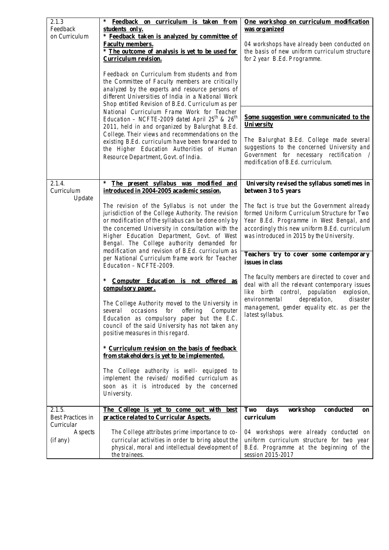| 2.1.3             | Feedback on curriculum is taken from                                                                | One workshop on curriculum modification                                                         |
|-------------------|-----------------------------------------------------------------------------------------------------|-------------------------------------------------------------------------------------------------|
| Feedback          | students only.                                                                                      | was organized                                                                                   |
| on Curriculum     | * Feedback taken is analyzed by committee of                                                        |                                                                                                 |
|                   | <b>Faculty members.</b>                                                                             | 04 workshops have already been conducted on                                                     |
|                   | * The outcome of analysis is yet to be used for                                                     | the basis of new uniform curriculum structure                                                   |
|                   | Curriculum revision.                                                                                | for 2 year B.Ed. Programme.                                                                     |
|                   | Feedback on Curriculum from students and from                                                       |                                                                                                 |
|                   | the Committee of Faculty members are critically                                                     |                                                                                                 |
|                   | analyzed by the experts and resource persons of                                                     |                                                                                                 |
|                   | different Universities of India in a National Work                                                  |                                                                                                 |
|                   | Shop entitled Revision of B.Ed. Curriculum as per                                                   |                                                                                                 |
|                   | National Curriculum Frame Work for Teacher                                                          | Some suggestion were communicated to the                                                        |
|                   | Education – NCFTE-2009 dated April $25^{th}$ & $26^{th}$                                            | University                                                                                      |
|                   | 2011, held in and organized by Balurghat B.Ed.                                                      |                                                                                                 |
|                   | College. Their views and recommendations on the<br>existing B.Ed. curriculum have been forwarded to | The Balurghat B.Ed. College made several                                                        |
|                   | the Higher Education Authorities of Human                                                           | suggestions to the concerned University and                                                     |
|                   | Resource Department, Govt. of India.                                                                | Government for necessary rectification /                                                        |
|                   |                                                                                                     | modification of B.Ed. curriculum.                                                               |
|                   |                                                                                                     |                                                                                                 |
| 2.1.4.            | ∗<br>The present syllabus was modified and                                                          | University revised the syllabus sometimes in                                                    |
| Curriculum        | introduced in 2004-2005 academic session.                                                           | between 3 to 5 years                                                                            |
| Update            |                                                                                                     |                                                                                                 |
|                   | The revision of the Syllabus is not under the                                                       | The fact is true but the Government already                                                     |
|                   | jurisdiction of the College Authority. The revision                                                 | formed Uniform Curriculum Structure for Two                                                     |
|                   | or modification of the syllabus can be done only by                                                 | Year B.Ed. Programme in West Bengal, and                                                        |
|                   | the concerned University in consultation with the                                                   | accordingly this new uniform B.Ed. curriculum                                                   |
|                   | Higher Education Department, Govt. of West<br>Bengal. The College authority demanded for            | was introduced in 2015 by the University.                                                       |
|                   | modification and revision of B.Ed. curriculum as                                                    |                                                                                                 |
|                   | per National Curriculum frame work for Teacher                                                      | Teachers try to cover some contemporary                                                         |
|                   | Education - NCFTE-2009.                                                                             | issues in class                                                                                 |
|                   |                                                                                                     |                                                                                                 |
|                   | Computer Education is not offered as<br>∗                                                           | The faculty members are directed to cover and<br>deal with all the relevant contemporary issues |
|                   | compulsory paper.                                                                                   | like birth control, population<br>explosion,                                                    |
|                   |                                                                                                     | depredation,<br>environmental<br>disaster                                                       |
|                   | The College Authority moved to the University in                                                    | management, gender equality etc. as per the                                                     |
|                   | several occasions for offering Computer                                                             | latest syllabus.                                                                                |
|                   | Education as compulsory paper but the E.C.<br>council of the said University has not taken any      |                                                                                                 |
|                   | positive measures in this regard.                                                                   |                                                                                                 |
|                   |                                                                                                     |                                                                                                 |
|                   | * Curriculum revision on the basis of feedback                                                      |                                                                                                 |
|                   | from stakeholders is yet to be implemented.                                                         |                                                                                                 |
|                   |                                                                                                     |                                                                                                 |
|                   | The College authority is well- equipped to                                                          |                                                                                                 |
|                   | implement the revised/ modified curriculum as<br>soon as it is introduced by the concerned          |                                                                                                 |
|                   | University.                                                                                         |                                                                                                 |
|                   |                                                                                                     |                                                                                                 |
| 2.1.5.            | The College is yet to come out with<br>best                                                         | days<br>workshop<br>$c$ on ducted<br>Two<br>on                                                  |
| Best Practices in | practice related to Curricular Aspects.                                                             | curriculum                                                                                      |
| Curricular        |                                                                                                     |                                                                                                 |
| Aspects           | The College attributes prime importance to co-                                                      | 04 workshops were already conducted on                                                          |
| (if any)          | curricular activities in order to bring about the                                                   | uniform curriculum structure for two year                                                       |
|                   | physical, moral and intellectual development of                                                     | B.Ed. Programme at the beginning of the                                                         |
|                   | the trainees.                                                                                       | session 2015-2017                                                                               |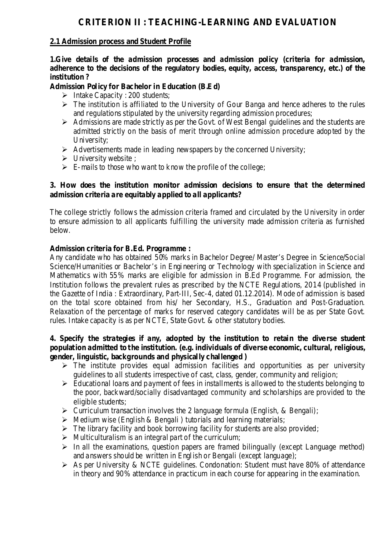# **CRITERION II : TEACHING-LEARNING AND EVALUATION**

#### **2.1 Admission process and Student Profile**

**1.Give details of the admission processes and admission policy (criteria for admission, adherence to the decisions of the regulatory bodies, equity, access, transparency, etc.) of the institution ?**

#### **Admission Policy for Bachelor in Education (B.Ed)**

- $\triangleright$  Intake Capacity : 200 students;
- $\triangleright$  The institution is affiliated to the University of Gour Banga and hence adheres to the rules and regulations stipulated by the university regarding admission procedures;
- $\triangleright$  Admissions are made strictly as per the Govt. of West Bengal guidelines and the students are admitted strictly on the basis of merit through online admission procedure adopted by the University;
- $\triangleright$  Advertisements made in leading newspapers by the concerned University;
- $\triangleright$  University website ;
- $\triangleright$  E-mails to those who want to know the profile of the college;

#### **3. How does the institution monitor admission decisions to ensure that the determined admission criteria are equitably applied to all applicants?**

The college strictly follows the admission criteria framed and circulated by the University in order to ensure admission to all applicants fulfilling the university made admission criteria as furnished below.

#### **Admission criteria for B.Ed. Programme :**

Any candidate who has obtained 50% marks in Bachelor Degree/ Master's Degree in Science/Social Science/Humanities or Bachelor's in Engineering or Technology with specialization in Science and Mathematics with 55% marks are eligible for admission in B.Ed Programme. For admission, the Institution follows the prevalent rules as prescribed by the NCTE Regulations, 2014 (published in the Gazette of India : Extraordinary, Part-III, Sec-4, dated 01.12.2014). Mode of admission is based on the total score obtained from his/ her Secondary, H.S., Graduation and Post-Graduation. Relaxation of the percentage of marks for reserved category candidates will be as per State Govt. rules. Intake capacity is as per NCTE, State Govt. & other statutory bodies.

#### **4. Specify the strategies if any, adopted by the institution to retain the dive rse student population admitted to the institution. (e.g. individuals of diverse economic, cultural, religious, gender, linguistic, backgrounds and physically challenged )**

- $\triangleright$  The institute provides equal admission facilities and opportunities as per university guidelines to all students irrespective of cast, class, gender, community and religion;
- $\triangleright$  Educational loans and payment of fees in installments is allowed to the students belonging to the poor, backward/socially disadvantaged community and scholarships are provided to the eligible students;
- $\triangleright$  Curriculum transaction involves the 2 language formula (English, & Bengali);
- $\triangleright$  Medium wise (English & Bengali) tutorials and learning materials;
- $\triangleright$  The library facility and book borrowing facility for students are also provided;
- $\triangleright$  Multiculturalism is an integral part of the curriculum;
- $\triangleright$  In all the examinations, question papers are framed bilingually (except Language method) and answers should be written in English or Bengali (except language);
- $\triangleright$  As per University & NCTE guidelines. Condonation: Student must have 80% of attendance in theory and 90% attendance in practicum in each course for appearing in the examination.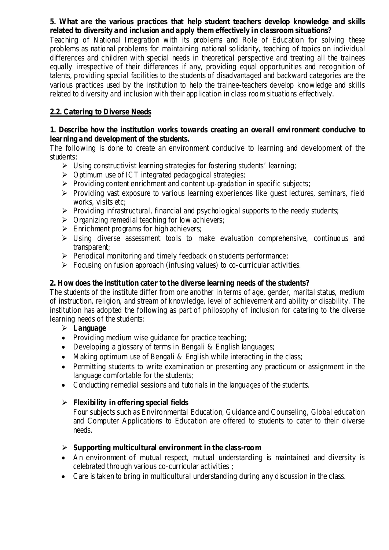## **5. What are the various practices that help student teachers develop knowledge and skills related to diversity and inclusion and apply them effectively in classroom situations?**

Teaching of National Integration with its problems and Role of Education for solving these problems as national problems for maintaining national solidarity, teaching of topics on individual differences and children with special needs in theoretical perspective and treating all the trainees equally irrespective of their differences if any, providing equal opportunities and recognition of talents, providing special facilities to the students of disadvantaged and backward categories are the various practices used by the institution to help the trainee-teachers develop knowledge and skills related to diversity and inclusion with their application in class room situations effectively.

# **2.2. Catering to Diverse Needs**

#### **1. Describe how the institution works towards creating an ove rall environment conducive to learning and development of the students.**

The following is done to create an environment conducive to learning and development of the students:

- $\triangleright$  Using constructivist learning strategies for fostering students' learning;
- $\triangleright$  Optimum use of ICT integrated pedagogical strategies;
- $\triangleright$  Providing content enrichment and content up-gradation in specific subjects;
- $\triangleright$  Providing vast exposure to various learning experiences like guest lectures, seminars, field works, visits etc;
- $\triangleright$  Providing infrastructural, financial and psychological supports to the needy students;
- $\triangleright$  Organizing remedial teaching for low achievers;
- $\triangleright$  Enrichment programs for high achievers;
- $\triangleright$  Using diverse assessment tools to make evaluation comprehensive, continuous and transparent;
- $\triangleright$  Periodical monitoring and timely feedback on students performance;
- $\triangleright$  Focusing on fusion approach (infusing values) to co-curricular activities.

## **2. How does the institution cater to the diverse learning needs of the students?**

The students of the institute differ from one another in terms of age, gender, marital status, medium of instruction, religion, and stream of knowledge, level of achievement and ability or disability. The institution has adopted the following as part of philosophy of inclusion for catering to the diverse learning needs of the students:

## **Language**

- Providing medium wise guidance for practice teaching;
- Developing a glossary of terms in Bengali & English languages;
- Making optimum use of Bengali & English while interacting in the class;
- Permitting students to write examination or presenting any practicum or assignment in the language comfortable for the students;
- Conducting remedial sessions and tutorials in the languages of the students.

## **Flexibility in offering special fields**

Four subjects such as Environmental Education, Guidance and Counseling, Global education and Computer Applications to Education are offered to students to cater to their diverse needs.

## **Supporting multicultural environment in the class-roo m**

- An environment of mutual respect, mutual understanding is maintained and diversity is celebrated through various co-curricular activities ;
- Care is taken to bring in multicultural understanding during any discussion in the class.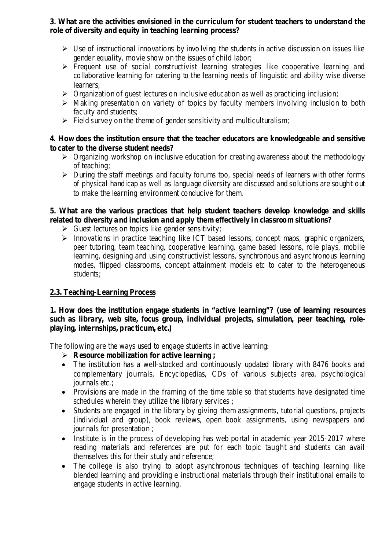#### **3. What are the activities envisioned in the curriculum for student teachers to understand the role of diversity and equity in teaching learning process?**

- $\triangleright$  Use of instructional innovations by involving the students in active discussion on issues like gender equality, movie show on the issues of child labor;
- $\triangleright$  Frequent use of social constructivist learning strategies like cooperative learning and collaborative learning for catering to the learning needs of linguistic and ability wise diverse learners;
- $\triangleright$  Organization of guest lectures on inclusive education as well as practicing inclusion;
- $\triangleright$  Making presentation on variety of topics by faculty members involving inclusion to both faculty and students;
- $\triangleright$  Field survey on the theme of gender sensitivity and multiculturalism;

#### **4. How does the institution ensure that the teacher educators are knowledgeable and sensitive to cater to the diverse student needs?**

- $\triangleright$  Organizing workshop on inclusive education for creating awareness about the methodology of teaching;
- $\triangleright$  During the staff meetings and faculty forums too, special needs of learners with other forms of physical handicap as well as language diversity are discussed and solutions are sought out to make the learning environment conducive for them.

# **5. What are the various practices that help student teachers develop knowledge and skills related to diversity and inclusion and apply them effectively in classroom situations?**

- $\triangleright$  Guest lectures on topics like gender sensitivity;
- $\triangleright$  Innovations in practice teaching like ICT based lessons, concept maps, graphic organizers, peer tutoring, team teaching, cooperative learning, game based lessons, role plays, mobile learning, designing and using constructivist lessons, synchronous and asynchronous learning modes, flipped classrooms, concept attainment models etc to cater to the heterogeneous students;

## **2.3. Teaching-Learning Process**

**1. How does the institution engage students in "active learning"? (use of learning resources such as library, web site, focus group, individual projects, simulation, peer teaching, roleplaying, internships, practicum, etc.)**

The following are the ways used to engage students in active learning:

- **Resource mobilization for active learning ;**
- The institution has a well-stocked and continuously updated library with 8476 books and complementary journals, Encyclopedias, CDs of various subjects area, psychological journals etc.;
- Provisions are made in the framing of the time table so that students have designated time schedules wherein they utilize the library services ;
- Students are engaged in the library by giving them assignments, tutorial questions, projects (individual and group), book reviews, open book assignments, using newspapers and jour nals for presentation ;
- Institute is in the process of developing has web portal in academic year 2015-2017 where reading materials and references are put for each topic taught and students can avail themselves this for their study and reference;
- The college is also trying to adopt asynchronous techniques of teaching learning like blended learning and providing e instructional materials through their institutional emails to engage students in active learning.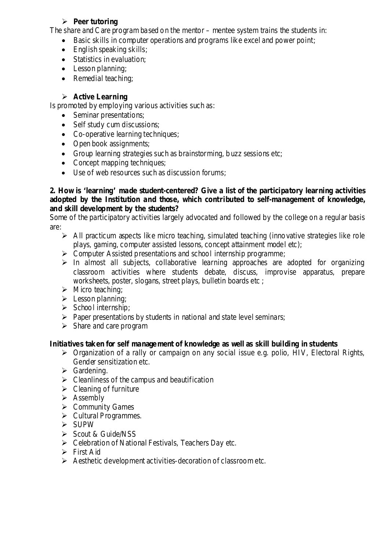# **Peer tutoring**

The share and Care program based on the mentor – mentee system trains the students in:

- Basic skills in computer operations and programs like excel and power point;
- English speaking skills;
- Statistics in evaluation;
- Lesson planning;
- Remedial teaching;

# **Active Learning**

Is promoted by employing various activities such as:

- Seminar presentations;
- Self study cum discussions;
- Co-operative learning techniques;
- Open book assignments;
- Group learning strategies such as brainstorming, buzz sessions etc;
- Concept mapping techniques;
- Use of web resources such as discussion forums;

### **2. How is 'learning' made student-centered? Give a list of the participatory learning activities adopted by the Institution and those, which contributed to self-management of knowledge, and skill development by the students?**

Some of the participatory activities largely advocated and followed by the college on a regular basis are:

- $\triangleright$  All practicum aspects like micro teaching, simulated teaching (innovative strategies like role plays, gaming, computer assisted lessons, concept attainment model etc);
- $\triangleright$  Computer Assisted presentations and school internship programme;
- $\triangleright$  In almost all subjects, collaborative learning approaches are adopted for organizing classroom activities where students debate, discuss, improvise apparatus, prepare worksheets, poster, slogans, street plays, bulletin boards etc ;
- $\triangleright$  Micro teaching;
- $\triangleright$  Lesson planning;
- $\triangleright$  School internship;
- $\triangleright$  Paper presentations by students in national and state level seminars;
- $\triangleright$  Share and care program

# **Initiatives taken for self manage ment of knowledge as well as skill building in students**

- Organization of a rally or campaign on any social issue e.g. polio, HIV, Electoral Rights, Gender sensitization etc.
- $\triangleright$  Gardening.
- $\triangleright$  Cleanliness of the campus and beautification
- $\triangleright$  Cleaning of furniture
- $\triangleright$  Assembly
- $\triangleright$  Community Games
- $\triangleright$  Cultural Programmes.
- $\triangleright$  SUPW
- $\triangleright$  Scout & Guide/NSS
- $\triangleright$  Celebration of National Festivals, Teachers Day etc.
- $\triangleright$  First Aid
- $\triangleright$  Aesthetic development activities-decoration of classroom etc.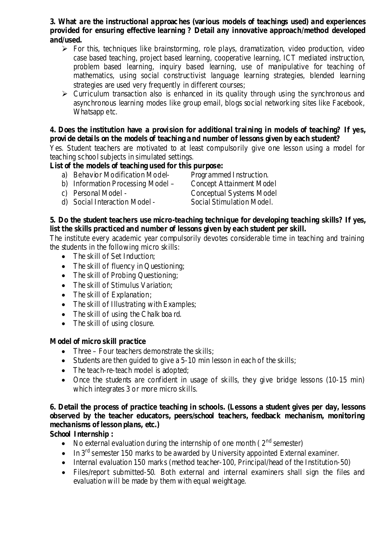**3. What are the instructional approac hes (various models of teachings used) and experiences provided for ensuring effective learning ? Detail any innovative approach/method developed and/used.**

- $\triangleright$  For this, techniques like brainstorming, role plays, dramatization, video production, video case based teaching, project based learning, cooperative learning, ICT mediated instruction, problem based learning, inquiry based learning, use of manipulative for teaching of mathematics, using social constructivist language learning strategies, blended learning strategies are used very frequently in different courses;
- $\triangleright$  Curriculum transaction also is enhanced in its quality through using the synchronous and asynchronous learning modes like group email, blogs social networking sites like Facebook, Whatsapp etc.

**4. Does the institution have a provision for additional training in models of teaching? If yes, provi de details on the models of teaching and number of lessons given by each student?**

Yes. Student teachers are motivated to at least compulsorily give one lesson using a model for teaching school subjects in simulated settings.

**List of the models of teaching used for this purpose:**

- a) Behavior Modification Model- Programmed Instruction.
- b) Information Processing Model Concept Attainment Model
- 

c) Personal Model - Conceptual Systems Model

d) Social Interaction Model - Social Stimulation Model.

# **5. Do the student teachers use micro-teaching technique for developing teaching skills? If yes, list the skills practiced and number of lessons given by each student per skill.**

The institute every academic year compulsorily devotes considerable time in teaching and training the students in the following micro skills:

- The skill of Set Induction;
- The skill of fluency in Questioning;
- The skill of Probing Questioning;
- The skill of Stimulus Variation;
- The skill of Explanation;
- The skill of Illustrating with Examples;
- The skill of using the Chalk boa rd.
- The skill of using closure.

## **Model of micro skill practice**

- Three Four teachers demonstrate the skills;
- Students are then guided to give a 5-10 min lesson in each of the skills;
- The teach-re-teach model is adopted;
- Once the students are confident in usage of skills, they give bridge lessons (10-15 min) which integrates 3 or more micro skills.

# **6. Detail the process of practice teaching in schools. (Lessons a student gives per day, lessons observed by the teacher educators, peers/school teachers, feedback mechanism, monitoring mechanisms of lesson plans, etc.)**

# **School Internship :**

- No external evaluation during the internship of one month ( $2<sup>nd</sup>$  semester)
- $\bullet$  In 3<sup>rd</sup> semester 150 marks to be awarded by University appointed External examiner.
- Internal evaluation 150 marks (method teacher-100, Principal/head of the Institution-50)
- Files/report submitted-50. Both external and internal examiners shall sign the files and evaluation will be made by them with equal weightage.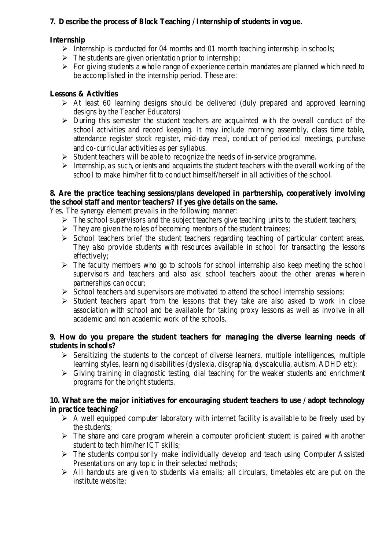# **7. D escribe the process of Block Teaching / Internship of students in vog ue.**

# **Internship**

- Internship is conducted for 04 months and 01 month teaching internship in schools;
- $\triangleright$  The students are given orientation prior to internship;
- $\triangleright$  For giving students a whole range of experience certain mandates are planned which need to be accomplished in the internship period. These are:

# **Lessons & Activities**

- $\triangleright$  At least 60 learning designs should be delivered (duly prepared and approved learning designs by the Teacher Educators)
- $\triangleright$  During this semester the student teachers are acquainted with the overall conduct of the school activities and record keeping. It may include morning assembly, class time table, attendance register stock register, mid-day meal, conduct of periodical meetings, purchase and co-curricular activities as per syllabus.
- $\triangleright$  Student teachers will be able to recognize the needs of in-service programme.
- $\triangleright$  Internship, as such, or ients and acquaints the student teachers with the overall working of the school to make him/her fit to conduct himself/herself in all activities of the school.

# **8. Are the practice teaching sessions/plans developed in partnership, cooperatively involving the school staff and mentor teachers? If yes give details on the same.**

Yes. The synergy element prevails in the following manner:

- $\triangleright$  The school supervisors and the subject teachers give teaching units to the student teachers;
- $\triangleright$  They are given the roles of becoming mentors of the student trainees;
- $\triangleright$  School teachers brief the student teachers regarding teaching of particular content areas. They also provide students with resources available in school for transacting the lessons effectively;
- $\triangleright$  The faculty members who go to schools for school internship also keep meeting the school supervisors and teachers and also ask school teachers about the other arenas wherein partnerships can occur;
- $\triangleright$  School teachers and supervisors are motivated to attend the school internship sessions;
- $\triangleright$  Student teachers apart from the lessons that they take are also asked to work in close association with school and be available for taking proxy lessons as well as involve in all academic and non academic work of the schools.

# **9. How do you prepare the student teachers for managing the diverse learning needs of students in schools?**

- $\triangleright$  Sensitizing the students to the concept of diverse learners, multiple intelligences, multiple learning styles, learning disabilities (dyslexia, disgraphia, dyscalculia, autism, ADHD etc);
- $\triangleright$  Giving training in diagnostic testing, dial teaching for the weaker students and enrichment programs for the bright students.

## **10. What are the major initiatives for encouraging student teachers to use / adopt technology in practice teaching?**

- $\triangleright$  A well equipped computer laboratory with internet facility is available to be freely used by the students;
- $\triangleright$  The share and care program wherein a computer proficient student is paired with another student to tech him/her ICT skills;
- $\triangleright$  The students compulsorily make individually develop and teach using Computer Assisted Presentations on any topic in their selected methods;
- $\triangleright$  All handouts are given to students via emails; all circulars, timetables etc are put on the institute website;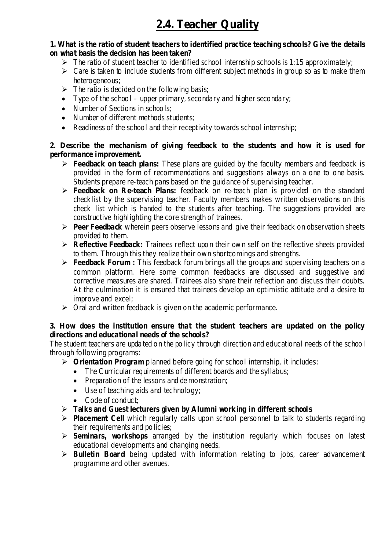**1. What is the ratio of student teachers to identified practice teaching schools? Give the details on what basis the decision has been taken?**

- $\triangleright$  The ratio of student teacher to identified school internship schools is 1:15 approximately;
- $\triangleright$  Care is taken to include students from different subject methods in group so as to make them heterogeneous;
- $\triangleright$  The ratio is decided on the following basis;
- Type of the school upper primary, secondary and higher secondary;
- Number of Sections in schools;
- Number of different methods students;
- Readiness of the school and their receptivity towards school internship;

## **2. Describe the mechanism of giving feedback to the students and how it is used for performance improvement.**

- **Feedback on teach plans:** These plans are guided by the faculty members and feedback is provided in the form of recommendations and suggestions always on a one to one basis. Students prepare re-teach pans based on the guidance of supervising teacher.
- **Feedback on Re-teach Plans:** feedback on re-teach plan is provided on the standard checklist by the supervising teacher. Faculty members makes written observations on this check list which is handed to the students after teaching. The suggestions provided are constructive highlighting the core strength of trainees.
- **Peer Feedback** wherein peers observe lessons and give their feedback on observation sheets provided to them.
- **Reflective Feedback:** Trainees reflect upon their own self on the reflective sheets provided to them. Through this they realize their own shortcomings and strengths.
- **Feedback Forum :** This feedback forum brings all the groups and supervising teachers on a common platform. Here some common feedbacks are discussed and suggestive and corrective measures are shared. Trainees also share their reflection and discuss their doubts. At the culmination it is ensured that trainees develop an optimistic attitude and a desire to improve and excel;
- $\triangleright$  Oral and written feedback is given on the academic performance.

## **3. How does the institution ensure that the student teachers are updated on the policy directions and educational needs of the schools?**

The student teachers are upda ted on the policy through direction and educational needs of the school through following programs:

- **Orientation Program** planned before going for school internship, it includes:
	- The Curricular requirements of different boards and the syllabus;
	- Preparation of the lessons and de monstration;
	- Use of teaching aids and technology;
	- Code of conduct;
- **Talks and Guest lecturers given by Alumni working in different schools**
- **Placement Cell** which regularly calls upon school personnel to talk to students regarding their requirements and policies;
- **Seminars, workshops** arranged by the institution regularly which focuses on latest educational developments and changing needs.
- **Bulletin Board** being updated with information relating to jobs, career advancement programme and other avenues.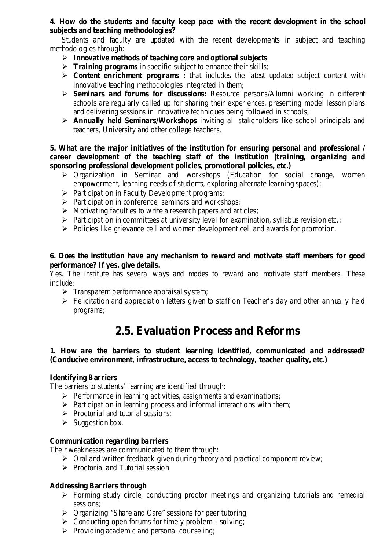#### **4. How do the students and faculty keep pace with the recent development in the school subjects and teaching methodologies?**

Students and faculty are updated with the recent developments in subject and teaching methodologies through:

- **Innovative methods of teaching core and optional subjects**
- **Training programs** in specific subject to enhance their skills;
- **Content enrichment programs :** that includes the latest updated subject content with innovative teaching methodologies integrated in them;
- **Seminars and forums for discussions:** Resource persons/Alumni working in different schools are regularly called up for sharing their experiences, presenting model lesson plans and delivering sessions in innovative techniques being followed in schools;
- **Annually held Seminars/Workshops** inviting all stakeholders like school principals and teachers, University and other college teachers.

#### **5. What are the major initiatives of the institution for ensuring personal and professional / career development of the teaching staff of the institution (training, organizing and sponsoring professional development policies, promotional policies, etc.)**

- $\triangleright$  Organization in Seminar and workshops (Education for social change, women empowerment, learning needs of students, exploring alternate learning spaces);
- $\triangleright$  Participation in Faculty Development programs;
- $\triangleright$  Participation in conference, seminars and workshops;
- $\triangleright$  Motivating faculties to write a research papers and articles;
- $\triangleright$  Participation in committees at university level for examination, syllabus revision etc.;
- $\triangleright$  Policies like grievance cell and women development cell and awards for promotion.

#### **6. Does the institution have any mechanism to reward and motivate staff members for good performance? If yes, give details.**

Yes. The institute has several ways and modes to reward and motivate staff members. These include:

- $\triangleright$  Transparent performance appraisal system;
- $\triangleright$  Felicitation and appreciation letters given to staff on Teacher's day and other annually held programs;

# **2.5. Evaluation Process and Reforms**

#### **1. How are the barriers to student learning identified, communicated and addressed? (Conducive environment, infrastructure, access to technology, teacher quality, etc.)**

#### **Identifying Barriers**

The barriers to students' learning are identified through:

- $\triangleright$  Performance in learning activities, assignments and examinations;
- $\triangleright$  Participation in learning process and informal interactions with them;
- $\triangleright$  Proctorial and tutorial sessions;
- $\triangleright$  Suggestion box.

#### **Communication regarding barriers**

Their weaknesses are communicated to them through:

- $\triangleright$  Oral and written feedback given during theory and practical component review;
- $\triangleright$  Proctorial and Tutorial session

#### **Addressing Barriers through**

- $\triangleright$  Forming study circle, conducting proctor meetings and organizing tutorials and remedial sessions;
- Organizing "Share and Care" sessions for peer tutoring;
- $\triangleright$  Conducting open forums for timely problem solving;
- $\triangleright$  Providing academic and personal counseling;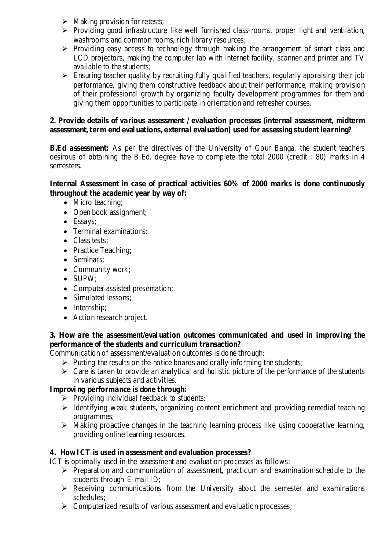- $\triangleright$  Making provision for retests;
- $\triangleright$  Providing good infrastructure like well furnished class-rooms, proper light and ventilation, washrooms and common rooms, rich library resources;
- $\triangleright$  Providing easy access to technology through making the arrangement of smart class and LCD projectors, making the computer lab with internet facility, scanner and printer and TV available to the students;
- $\triangleright$  Ensuring teacher quality by recruiting fully qualified teachers, regularly appraising their job performance, giving them constructive feedback about their performance, making provision of their professional growth by organizing faculty development programmes for them and giving them opportunities to participate in orientation and refresher courses.

## **2. Provide details of various assessment / evaluation processes (internal assessment, midterm assessment, term end eval uations, external evaluation) used for assessing student learning?**

**B.Ed assessment:** As per the directives of the University of Gour Banga, the student teachers desirous of obtaining the B.Ed. degree have to complete the total 2000 (credit : 80) marks in 4 semesters.

# **Internal Assessment in case of practical activities 60% of 2000 marks is done continuously throughout the academic year by way of:**

- Micro teaching;
- Open book assignment;
- Essays;
- Terminal examinations;
- Class tests;
- Practice Teaching;
- Seminars;
- Community work;
- SUPW;
- Computer assisted presentation;
- Simulated lessons;
- Internship;
- Action research project.

## **3. How are the assessment/eval uation outcomes communicated and used in improving the performance of the students and curriculum transaction?**

Communication of assessment/evaluation outcomes is done through:

- $\triangleright$  Putting the results on the notice boards and orally informing the students;
- $\triangleright$  Care is taken to provide an analytical and holistic picture of the performance of the students in various subjects and activities.

## **Improvi ng performance is done through:**

- $\triangleright$  Providing individual feedback to students;
- $\triangleright$  Identifying weak students, organizing content enrichment and providing remedial teaching programmes;
- $\triangleright$  Making proactive changes in the teaching learning process like using cooperative learning, providing online learning resources.

# **4. How ICT is used in assessment and evaluation processes?**

ICT is optimally used in the assessment and evaluation processes as follows:

- $\triangleright$  Preparation and communication of assessment, practicum and examination schedule to the students through E-mail ID;
- $\triangleright$  Receiving communications from the University about the semester and examinations schedules;
- $\triangleright$  Computerized results of various assessment and evaluation processes;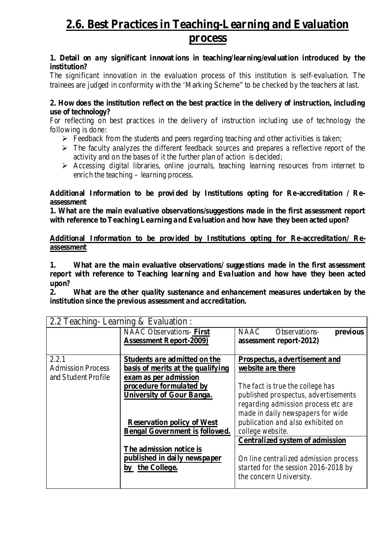# **2.6. Best Practices in Teaching-Learning and Evaluation process**

#### **1. Detail on any significant innovat ions in teaching/learning/evaluation introduced by the institution?**

The significant innovation in the evaluation process of this institution is self-evaluation. The trainees are judged in conformity with the 'Marking Scheme" to be checked by the teachers at last.

#### **2. How does the institution reflect on the best practice in the delivery of instruction, including use of technology?**

For reflecting on best practices in the delivery of instruction including use of technology the following is done:

- $\triangleright$  Feedback from the students and peers regarding teaching and other activities is taken;
- $\triangleright$  The faculty analyzes the different feedback sources and prepares a reflective report of the activity and on the bases of it the further plan of action is decided;
- $\triangleright$  Accessing digital libraries, online journals, teaching learning resources from internet to enrich the teaching – learning process.

#### **Additional Information to be provi ded by Institutions opting for Re-accreditation / Reassessment**

**1. What are the main evaluative observations/suggestions made in the first assessment report with reference to Teaching Learning and Evaluation and how have they been acted upon?**

#### **Additional Information to be provided by Institutions opting for Re-accreditation/ Reassessment**

**1. What are the main evaluative observations/ sugge stions made in the first assessment report with reference to Teaching learning and Evaluation and how have they been acted upon?**

**2. What are the other quality sustenance and enhancement measures undertaken by the institution since the previous assessment and accreditation.** 

| 2.2 Teaching-Learning $&$ Evaluation : |                                   |                                          |
|----------------------------------------|-----------------------------------|------------------------------------------|
|                                        | <b>NAAC</b> Observations- First   | <b>NAAC</b><br>Observations-<br>previous |
|                                        | <b>Assessment Report-2009)</b>    | assessment report-2012)                  |
|                                        |                                   |                                          |
| 2.2.1                                  | Students are admitted on the      | Prospectus, a dvertisement and           |
| <b>Admission Process</b>               | basis of merits at the qualifying | we bsite are there                       |
| and Student Profile                    | exam as per admission             |                                          |
|                                        | procedure formulated by           | The fact is true the college has         |
|                                        | <b>University of Gour Banga.</b>  | published prospectus, advertisements     |
|                                        |                                   | regarding admission process etc are      |
|                                        |                                   | made in daily newspapers for wide        |
|                                        | <b>Reservation policy of West</b> | publication and also exhibited on        |
|                                        | Bengal Government is followed.    | college website.                         |
|                                        |                                   | <b>Centralized system of admission</b>   |
|                                        | The admission notice is           |                                          |
|                                        | published in daily newspaper      | On line centralized admission process    |
|                                        | the College.<br>bv                | started for the session 2016-2018 by     |
|                                        |                                   | the concern University.                  |
|                                        |                                   |                                          |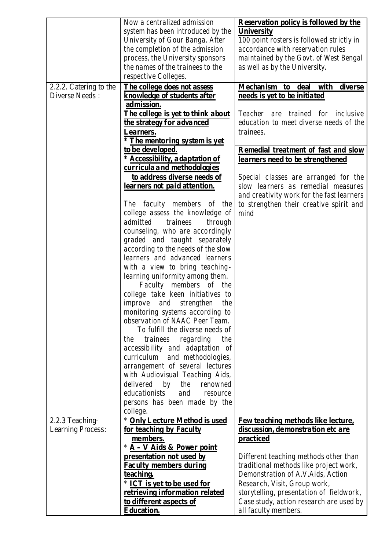|                        | Now a centralized admission                 | Reservation policy is followed by the     |
|------------------------|---------------------------------------------|-------------------------------------------|
|                        | system has been introduced by the           | <b>University</b>                         |
|                        | University of Gour Banga. After             | 100 point rosters is followed strictly in |
|                        | the completion of the admission             | accordance with reservation rules         |
|                        | process, the University sponsors            | maintained by the Govt. of West Bengal    |
|                        | the names of the trainees to the            | as well as by the University.             |
|                        | respective Colleges.                        |                                           |
| 2.2.2. Catering to the | The college does not assess                 | Mechanism to<br>deal with<br>dive rse     |
| Diverse Needs:         | knowledge of students after                 | needs is yet to be initiated              |
|                        | admission.                                  |                                           |
|                        | The college is yet to think about           | Teacher are trained for inclusive         |
|                        | the strategy for advanced                   | education to meet diverse needs of the    |
|                        | Learners.                                   | trainees.                                 |
|                        | * The mentoring system is yet               |                                           |
|                        | to be developed.                            | Remedial treatment of fast and slow       |
|                        | * Accessibility, a daptation of             | learners need to be strengthened          |
|                        | curricula and methodologies                 |                                           |
|                        | to address diverse needs of                 | Special classes are arranged for the      |
|                        | learners not paid attention.                | slow learners as remedial measures        |
|                        |                                             | and creativity work for the fast learners |
|                        | The faculty members of the                  | to strengthen their creative spirit and   |
|                        | college assess the knowledge of             | mind                                      |
|                        | admitted<br>trainees<br>through             |                                           |
|                        | counseling, who are accordingly             |                                           |
|                        | graded and taught separately                |                                           |
|                        | according to the needs of the slow          |                                           |
|                        | learners and advanced learners              |                                           |
|                        |                                             |                                           |
|                        | with a view to bring teaching-              |                                           |
|                        | learning uniformity among them.             |                                           |
|                        | Faculty members of the                      |                                           |
|                        | college take keen initiatives to            |                                           |
|                        | <i>improve</i> and <i>strengthen</i><br>the |                                           |
|                        | monitoring systems according to             |                                           |
|                        | observation of NAAC Peer Team.              |                                           |
|                        | To fulfill the diverse needs of             |                                           |
|                        | trainees<br>regarding<br>the<br>the         |                                           |
|                        | accessibility and adaptation of             |                                           |
|                        | curriculum and methodologies,               |                                           |
|                        | arrangement of several lectures             |                                           |
|                        | with Audiovisual Teaching Aids,             |                                           |
|                        | delivered<br>by the<br>renowned             |                                           |
|                        | educationists<br>and<br>resource            |                                           |
|                        | persons has been made by the                |                                           |
|                        | college.                                    |                                           |
| 2.2.3 Teaching-        | * Only Lecture Method is used               | Few teaching methods like lecture,        |
| Learning Process:      | for teaching by Faculty                     | discussion, de monstration etc are        |
|                        | members.                                    | practiced                                 |
|                        | * A – V Aids & Power point                  |                                           |
|                        | presentation not used by                    | Different teaching methods other than     |
|                        | Faculty members during                      | traditional methods like project work,    |
|                        | teaching.                                   | Demonstration of A.V.Aids, Action         |
|                        | * ICT is yet to be used for                 | Research, Visit, Group work,              |
|                        | retrieving information related              | storytelling, presentation of fieldwork,  |
|                        | to different aspects of                     | Case study, action research are used by   |
|                        | <b>Education.</b>                           | all faculty members.                      |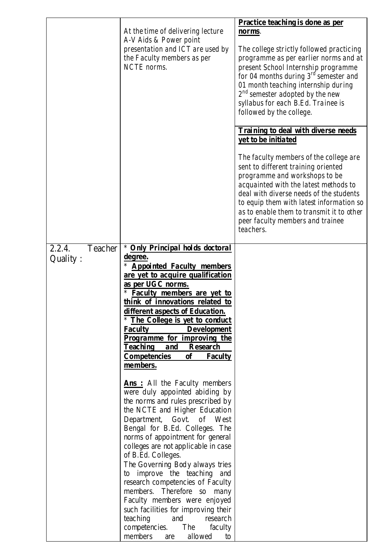|                               | At the time of delivering lecture<br>A-V Aids & Power point<br>presentation and ICT are used by<br>the Faculty members as per<br>NCTE norms.                                                                                                                                                                                                                                                                                                                                                                                                                                                                                                                                                                                                                                                                                                                                                                                                                                                                                                                                                                                 | Practice teaching is done as per<br>norms.<br>The college strictly followed practicing<br>programme as per earlier norms and at<br>present School Internship programme<br>for 04 months during $3^{rd}$ semester and<br>01 month teaching internship during<br>$2^{nd}$ semester adopted by the new<br>syllabus for each B.Ed. Trainee is<br>followed by the college.<br>Training to deal with diverse needs<br>yet to be initiated<br>The faculty members of the college are<br>sent to different training oriented<br>programme and workshops to be<br>acquainted with the latest methods to<br>deal with diverse needs of the students<br>to equip them with latest information so<br>as to enable them to transmit it to other<br>peer faculty members and trainee<br>teachers. |
|-------------------------------|------------------------------------------------------------------------------------------------------------------------------------------------------------------------------------------------------------------------------------------------------------------------------------------------------------------------------------------------------------------------------------------------------------------------------------------------------------------------------------------------------------------------------------------------------------------------------------------------------------------------------------------------------------------------------------------------------------------------------------------------------------------------------------------------------------------------------------------------------------------------------------------------------------------------------------------------------------------------------------------------------------------------------------------------------------------------------------------------------------------------------|-------------------------------------------------------------------------------------------------------------------------------------------------------------------------------------------------------------------------------------------------------------------------------------------------------------------------------------------------------------------------------------------------------------------------------------------------------------------------------------------------------------------------------------------------------------------------------------------------------------------------------------------------------------------------------------------------------------------------------------------------------------------------------------|
| Teacher<br>2.2.4.<br>Quality: | * Only Principal holds doctoral<br><u>degree.</u><br><b>Appointed Faculty members</b><br>∗<br>are yet to acquire qualification<br>as per UGC norms.<br>Faculty members are yet to<br>think of innovations related to<br>different aspects of Education.<br>* The College is yet to conduct<br><b>Faculty</b><br><b>Development</b><br>Programme for improving the<br><b>Teaching</b><br>and<br>Research<br>Competencies<br><sub>of</sub><br><b>Faculty</b><br>members.<br><b>Ans</b> : All the Faculty members<br>were duly appointed abiding by<br>the norms and rules prescribed by<br>the NCTE and Higher Education<br>Govt.<br>Department,<br>of West<br>Bengal for B.Ed. Colleges. The<br>norms of appointment for general<br>colleges are not applicable in case<br>of B.Ed. Colleges.<br>The Governing Body always tries<br>to improve the teaching and<br>research competencies of Faculty<br>Therefore<br>members.<br><b>SO</b><br>many<br>Faculty members were enjoyed<br>such facilities for improving their<br>teaching<br>and<br>research<br>competencies.<br>The<br>faculty<br>allowed<br>members<br>to<br>are |                                                                                                                                                                                                                                                                                                                                                                                                                                                                                                                                                                                                                                                                                                                                                                                     |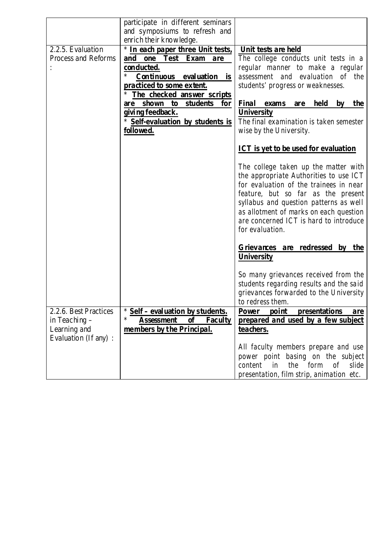|                       | participate in different seminars                                     |                                                           |
|-----------------------|-----------------------------------------------------------------------|-----------------------------------------------------------|
|                       | and symposiums to refresh and                                         |                                                           |
|                       | enrich the ir knowledge.                                              |                                                           |
| 2.2.5. Evaluation     | * In each paper three Unit tests,                                     | Unit tests are held                                       |
| Process and Reforms   | one Test Exam<br>and<br>are                                           | The college conducts unit tests in a                      |
|                       | conducted.                                                            | regular manner to make a regular                          |
|                       | *<br>Continuous<br>evaluation<br><i>is</i>                            | assessment and evaluation of the                          |
|                       | practiced to some extent.                                             | students' progress or weaknesses.                         |
|                       | ∗<br>The checked answer scripts                                       |                                                           |
|                       | shown to<br>students<br>for<br>are                                    | held<br>Final<br>exams<br>the<br>by<br>are                |
|                       | giving feedback.                                                      | <b>University</b>                                         |
|                       | * Self-evaluation by students is                                      | The final examination is taken semester                   |
|                       | followed.                                                             | wise by the University.                                   |
|                       |                                                                       | <b>ICT</b> is yet to be used for evaluation               |
|                       |                                                                       | The college taken up the matter with                      |
|                       |                                                                       | the appropriate Authorities to use ICT                    |
|                       |                                                                       | for evaluation of the trainees in near                    |
|                       |                                                                       | feature, but so far as the present                        |
|                       |                                                                       | syllabus and question patterns as well                    |
|                       |                                                                       | as allotment of marks on each question                    |
|                       |                                                                       | are concerned ICT is hard to introduce<br>for evaluation. |
|                       |                                                                       | Grievances are redressed by the                           |
|                       |                                                                       | <b>University</b>                                         |
|                       |                                                                       | So many grievances received from the                      |
|                       |                                                                       | students regarding results and the said                   |
|                       |                                                                       | grievances forwarded to the University                    |
|                       |                                                                       | to redress them.                                          |
| 2.2.6. Best Practices | ж<br><u>Self – evaluation by students.</u>                            | <u>Power</u><br>point<br><u>presentations</u><br>are      |
| in Teaching $-$       | *<br>$\overline{\textbf{0}}$ f<br><b>Faculty</b><br><b>Assessment</b> | prepared and used by a few subject                        |
| Learning and          | members by the Principal.                                             | teachers.                                                 |
| Evaluation (If any):  |                                                                       |                                                           |
|                       |                                                                       | All faculty members prepare and use                       |
|                       |                                                                       | power point basing on the subject                         |
|                       |                                                                       | in<br>the form<br>$\sigma f$<br>slide<br>content          |
|                       |                                                                       | presentation, film strip, animation etc.                  |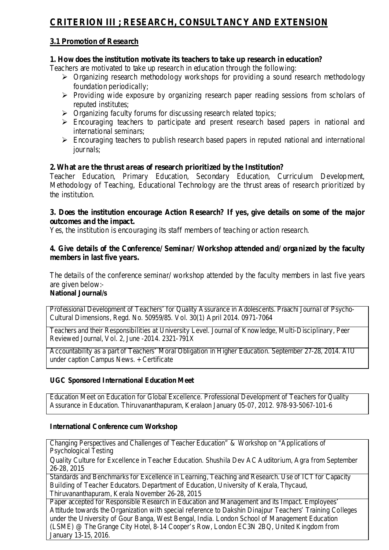# **CRITERION III ; RESEARCH, CONSULTANCY AND EXTENSION**

# **3.1 Promotion of Research**

#### **1. How does the institution motivate its teachers to take up research in education?**

Teachers are motivated to take up research in education through the following:

- Organizing research methodology workshops for providing a sound research methodology foundation periodically;
- $\triangleright$  Providing wide exposure by organizing research paper reading sessions from scholars of reputed institutes;
- $\triangleright$  Organizing faculty forums for discussing research related topics;
- Encouraging teachers to participate and present research based papers in national and international seminars;
- $\triangleright$  Encouraging teachers to publish research based papers in reputed national and international journals;

## **2. What are the thrust areas of research prioritized by the Institution?**

Teacher Education, Primary Education, Secondary Education, Curriculum Development, Methodology of Teaching, Educational Technology are the thrust areas of research prioritized by the institution.

#### **3. Does the institution encourage Action Research? If yes, give details on some of the major outcomes and the impact.**

Yes, the institution is encouraging its staff members of teaching or action research.

#### **4. Give details of the Conference/ Seminar/ Workshop attended and/ organized by the faculty members in last five years.**

The details of the conference seminar/ workshop attended by the faculty members in last five years are given below:- **National Journal/s**

Professional Development of Teachers' for Quality Assurance in Adolescents. Praachi Journal of Psycho-Cultural Dimensions, Regd. No. 50959/85. Vol. 30(1) April 2014. 0971-7064

Teachers and their Responsibilities at University Level. Journal of Knowledge, Multi-Disciplinary, Peer Reviewed Journal, Vol. 2, June -2014. 2321-791X

Accountability as a part of Teachers' Moral Obligation in Higher Education. September 27-28, 2014. AIU under caption Campus News. + Certificate

#### **UGC Sponsored International Education Meet**

Education Meet on Education for Global Excellence. Professional Development of Teachers for Quality Assurance in Education. Thiruvananthapuram, Keralaon January 05-07, 2012. 978-93-5067-101-6

#### **International Conference cum Workshop**

Changing Perspectives and Challenges of Teacher Education" & Workshop on "Applications of Psychological Testing

Quality Culture for Excellence in Teacher Education. Shushila Dev AC Auditorium, Agra from September 26-28, 2015

Standards and Benchmarks for Excellence in Learning, Teaching and Research. Use of ICT for Capacity Building of Teacher Educators. Department of Education, University of Kerala, Thycaud, Thiruvananthapuram, Kerala November 26-28, 2015

Paper accepted for Responsible Research in Education and Management and its Impact. Employees' Attitude towards the Organization with special reference to Dakshin Dinajpur Teachers' Training Colleges under the University of Gour Banga, West Bengal, India. London School of Management Education (LSME) @ The Grange City Hotel, 8-14 Cooper's Row, London EC3N 2BQ, United Kingdom from January 13-15, 2016.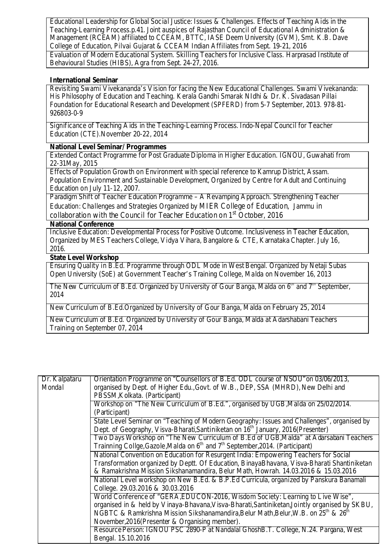Educational Leadership for Global Social Justice: Issues & Challenges. Effects of Teaching Aids in the Teaching-Learning Process.p.41. Joint auspices of Rajasthan Council of Educational Administration & Management (RCEAM) affiliated to CCEAM, BTTC, IASE Deem University (GVM), Smt. K.B. Dave College of Education, Pilvai Gujarat & CCEAM Indian Affiliates from Sept. 19-21, 2016 Evaluation of Modern Educational System. Skilling Teachers for Inclusive Class. Harprasad Institute of Behavioural Studies (HIBS), Agra from Sept. 24-27, 2016.

#### **International Seminar**

Revisiting Swami Vivekananda's Vision for facing the New Educational Challenges. Swami Vivekananda: His Philosophy of Education and Teaching. Kerala Gandhi Smarak NIdhi & Dr. K. Sivadasan Pillai Foundation for Educational Research and Development (SPFERD) from 5-7 September, 2013. 978-81- 926803-0-9

Significance of Teaching Aids in the Teaching-Learning Process. Indo-Nepal Council for Teacher Education (CTE).November 20-22, 2014

#### **National Level Seminar/ Programmes**

Extended Contact Programme for Post Graduate Diploma in Higher Education. IGNOU, Guwahati from 22-31May, 2015

Effects of Population Growth on Environment with special reference to Kamrup District, Assam. Population Environment and Sustainable Development, Organized by Centre for Adult and Continuing Education on July 11-12, 2007.

Paradigm Shift of Teacher Education Programme – A Revamping Approach. Strengthening Teacher Education: Challenges and Strategies Organized by MIER College of Education, Jammu in collaboration with the Council for Teacher Education on 1<sup>st</sup> October, 2016

#### **National Conference**

Inclusive Education: Developmental Process for Positive Outcome. Inclusiveness in Teacher Education, Organized by MES Teachers College, Vidya Vihara, Bangalore & CTE, Karnataka Chapter. July 16, 2016.

#### **State Level Workshop**

Ensuring Quality in B.Ed. Programme through ODL Mode in West Bengal. Organized by Netaji Subas Open University (SoE) at Government Teacher's Training College, Malda on November 16, 2013

The New Curriculum of B.Ed. Organized by University of Gour Banga, Malda on  $6<sup>th</sup>$  and  $7<sup>th</sup>$  September, 2014

New Curriculum of B.Ed.Organized by University of Gour Banga, Malda on February 25, 2014

New Curriculum of B.Ed. Organized by University of Gour Banga, Malda at Adarshabani Teachers Training on September 07, 2014

| Dr. Kalpataru | Orientation Programme on "Counsellors of B.Ed. ODL course of NSOU" on 03/06/2013,                          |
|---------------|------------------------------------------------------------------------------------------------------------|
| Mondal        | organised by Dept. of Higher Edu., Govt. of W.B., DEP, SSA (MHRD), New Delhi and                           |
|               | PBSSM, Kolkata. (Participant)                                                                              |
|               | Workshop on "The New Curriculum of B.Ed.", organised by UGB, Malda on 25/02/2014.                          |
|               | (Participant)                                                                                              |
|               | State Level Seminar on "Teaching of Modern Geography: Issues and Challenges", organised by                 |
|               | Dept. of Geography, Visva-Bharati, Santiniketan on $16^{th}$ January, 2016(Presenter)                      |
|               | Two Days Workshop on "The New Curriculum of B.Ed of UGB, Malda" at Adarsabani Teachers                     |
|               | Trainning Collge, Gazole, Malda on $6th$ and $7th$ September, 2014. (Participant)                          |
|               | National Convention on Education for Resurgent India: Empowering Teachers for Social                       |
|               | Transformation organized by Deptt. Of Education, BinayaBhavana, Visva-Bharati Shantiniketan                |
|               | & Ramakrishna Mission Sikshanamandira, Belur Math, Howrah. 14.03.2016 & 15.03.2016                         |
|               | National Level workshop on New B.Ed. & B.P.Ed Curricula, organized by Panskura Banamali                    |
|               | College. 29.03.2016 & 30.03.2016                                                                           |
|               | World Conference of "GERA, EDUCON-2016, Wisdom Society: Learning to Live Wise",                            |
|               | organised in & held by Vinaya-Bhavana, Visva-Bharati, Santiniketan, Jointly organised by SKBU,             |
|               | NGBTC & Ramkrishna Mission Sikshanamandira, Belur Math, Belur, W.B. on 25 <sup>th</sup> & 26 <sup>th</sup> |
|               | November, 2016 (Presenter & Organising member).                                                            |
|               | Resource Person: IGNOU PSC 2890-P at Nandalal GhoshB.T. College, N.24. Pargana, West                       |
|               | Bengal. 15.10.2016                                                                                         |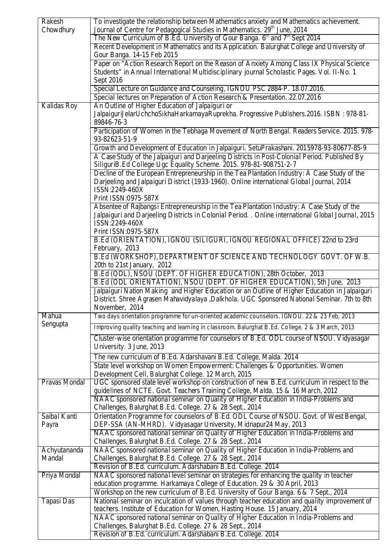| Rakesh<br>Chowdhury | To investigate the relationship between Mathematics anxiety and Mathematics achievement.<br>Journal of Centre for Pedagogical Studies in Mathematics. 29 <sup>th</sup> June, 2014                              |
|---------------------|----------------------------------------------------------------------------------------------------------------------------------------------------------------------------------------------------------------|
|                     | The New Curriculum of B.Ed. University of Gour Banga. 6 <sup>th</sup> and 7 <sup>th</sup> Sept 2014                                                                                                            |
|                     | Recent Development in Mathematics and its Application. Balurghat College and University of                                                                                                                     |
|                     | Gour Banga. 14-15 Feb 2015                                                                                                                                                                                     |
|                     | Paper on "Action Research Report on the Reason of Anxiety Among Class IX Physical Science                                                                                                                      |
|                     | Students" in Annual International Multidisciplinary journal Scholastic Pages. Vol. II-No. 1<br>Sept 2016                                                                                                       |
|                     | Special Lecture on Guidance and Counseling, IGNOU PSC 2884-P. 18.07.2016.                                                                                                                                      |
|                     | Special lectures on Preparation of Action Research & Presentation. 22.07.2016                                                                                                                                  |
| <b>Kalidas Roy</b>  | An Outline of Higher Education of Jalpaiguri or                                                                                                                                                                |
|                     | JalpaiguriJelarUchchoSikhaHarkamayaRuprekha. Progressive Publishers.2016. ISBN: 978-81-<br>89846-76-3                                                                                                          |
|                     | Participation of Women in the Tebhaga Movement of North Bengal. Readers Service. 2015. 978-<br>93-82623-51-9                                                                                                   |
|                     | Growth and Development of Education in Jalpaiguri. SetuPrakashani. 2015978-93-80677-85-9                                                                                                                       |
|                     | A Case Study of the Jalpaiguri and Darjeeling Districts in Post-Colonial Period. Published By<br>SiliguriB.Ed College Ugc Equality Scheme. 2015. 978-81-908751-2-7                                             |
|                     | Decline of the European Entrepreneurship in the Tea Plantation Industry: A Case Study of the                                                                                                                   |
|                     | Darjeeling and Jalpaiguri District (1933-1960). Online international Global Journal, 2014<br>ISSN:2249-460X                                                                                                    |
|                     | Print ISSN:0975-587X                                                                                                                                                                                           |
|                     | Absentee of Rajbangsi Entrepreneurship in the Tea Plantation Industry: A Case Study of the                                                                                                                     |
|                     | Jalpaiguri and Darjeeling Districts in Colonial Period. . Online international Global Journal, 2015                                                                                                            |
|                     | ISSN:2249-460X                                                                                                                                                                                                 |
|                     | Print ISSN:0975-587X                                                                                                                                                                                           |
|                     | B.Ed (ORIENTATION), IGNOU (SILIGURI, IGNOU REGIONAL OFFICE) 22nd to 23rd<br>February, 2013                                                                                                                     |
|                     | B.Ed (WORKSHOP), DEPARTMENT OF SCIENCE AND TECHNOLOGY GOVT. OF W.B.                                                                                                                                            |
|                     | 20th to 21st January, 2012                                                                                                                                                                                     |
|                     | B.Ed (ODL), NSOU (DEPT. OF HIGHER EDUCATION), 28th October, 2013                                                                                                                                               |
|                     | B.Ed (ODL ORIENTATION), NSOU (DEPT. OF HIGHER EDUCATION), 5th June, 2013                                                                                                                                       |
|                     | Jalpaiguri Nation Making and Higher Education or an Outline of Higher Education in Jalpaiguri<br>District. Shree Agrasen Mahavidyalaya ,Dalkhola. UGC Sponsored National Seminar. 7th to 8th<br>November, 2014 |
| Mahua               | Two days orientation programme for un-oriented academic counselors. IGNOU. 22 & 23 Feb, 2013                                                                                                                   |
| Sengupta            | Improving quality teaching and learning in classroom. Balurghat B.Ed. College. 2 & 3 March, 2013                                                                                                               |
|                     | Cluster-wise orientation programme for counselors of B.Ed. ODL course of NSOU. Vidyasagar                                                                                                                      |
|                     | University. 3 June, 2013                                                                                                                                                                                       |
|                     | The new curriculum of B.Ed. Adarshavani B.Ed. College, Malda. 2014                                                                                                                                             |
|                     | State level workshop on Women Empowerment: Challenges & Opportunities. Women                                                                                                                                   |
|                     | Development Cell, Balurghat College. 12 March, 2015                                                                                                                                                            |
| Pravas Mondal       | UGC sponsored state level workshop on construction of new B.Ed. curriculum in respect to the<br>guide lines of NCTE. Govt. Teachers Training College, Malda. 15 & 16 March, 2012                               |
|                     | NAAC sponsored national seminar on Quality of Higher Education in India-Problems and                                                                                                                           |
|                     | Challenges, Balurghat B.Ed. College. 27 & 28 Sept., 2014                                                                                                                                                       |
| Saibal Kanti        | Orientation Programme for counselors of B.Ed. ODL Course of NSOU. Govt. of West Bengal,                                                                                                                        |
| Payra               | DEP-SSA (AN-MHRD). Vidyasagar University, Midnapur24 May, 2013                                                                                                                                                 |
|                     | NAAC sponsored national seminar on Quality of Higher Education in India-Problems and                                                                                                                           |
|                     | Challenges, Balurghat B.Ed. College. 27 & 28 Sept., 2014                                                                                                                                                       |
| Achyutananda        | NAAC sponsored national seminar on Quality of Higher Education in India-Problems and                                                                                                                           |
| Mandal              | Challenges, Balurghat B.Ed. College. 27 & 28 Sept., 2014                                                                                                                                                       |
|                     | Revision of B.Ed. curriculum. Adarshabani B.Ed. College. 2014                                                                                                                                                  |
| Priya Mondal        | NAAC sponsored national level seminar on strategies for enhancing the quality in teacher<br>education programme. Harkamaya College of Education. 29 & 30 April, 2013                                           |
|                     | Workshop on the new curriculum of B.Ed. University of Gour Banga. 6 & 7 Sept., 2014                                                                                                                            |
| Tapasi Das          | National seminar on inculcation of values through teacher education and quality improvement of                                                                                                                 |
|                     | teachers. Institute of Education for Women, Hasting House. 15 January, 2014                                                                                                                                    |
|                     | NAAC sponsored national seminar on Quality of Higher Education in India-Problems and                                                                                                                           |
|                     | Challenges, Balurghat B.Ed. College. 27 & 28 Sept., 2014                                                                                                                                                       |
|                     | Revision of B.Ed. curriculum. Adarshabani B.Ed. College. 2014                                                                                                                                                  |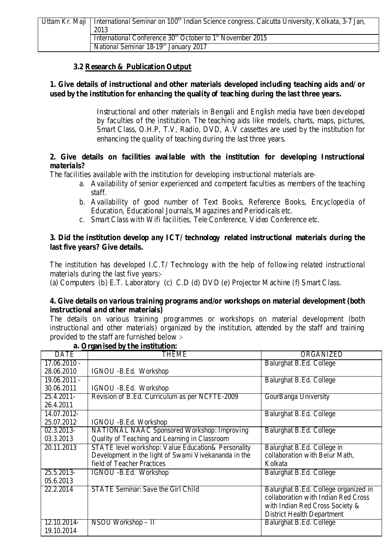| Uttam Kr. Maji   International Seminar on 100 <sup>th</sup> Indian Science congress. Calcutta University, Kolkata, 3-7 Jan,<br>2013 |
|-------------------------------------------------------------------------------------------------------------------------------------|
| International Conference $30th$ October to $1st$ November 2015                                                                      |
| National Seminar 18-19 <sup>th</sup> January 2017                                                                                   |

## **3.2 Research & Publication Output**

# **1. Give details of instructional and other materials developed including teaching aids and/ or used by the institution for enhancing the quality of teaching during the last three years.**

Instructional and other materials in Bengali and English media have been developed by faculties of the institution. The teaching aids like models, charts, maps, pictures, Smart Class, O.H.P, T.V, Radio, DVD, A.V cassettes are used by the institution for enhancing the quality of teaching during the last three years.

## **2. Give details on facilities avai lable with the institution for developing Instructional materials?**

The facilities available with the institution for developing instructional materials are-

- a. Availability of senior experienced and competent faculties as members of the teaching staff.
- b. Availability of good number of Text Books, Reference Books, Encyclopedia of Education, Educational Journals, Magazines and Periodicals etc.
- c. Smart Class with Wifi facilities, Tele Conference, Video Conference etc.

## **3. Did the institution develop any ICT/ technology related instructional materials during the last five years? Give details.**

The institution has developed I.C.T/ Technology with the help of following related instructional materials during the last five years:-

(a) Computers (b) E.T. Laboratory (c) C.D (d) DVD (e) Projector Machine (f) Smart Class.

#### **4. Give details on various training programs and/or workshops on material development (both instructional and other materials)**

The details on various training programmes or workshops on material development (both instructional and other materials) organized by the institution, attended by the staff and training provided to the staff are furnished below :-

| <b>DATE</b>    | $\ldots$<br><b>THEME</b>                             | <b>ORGANIZED</b>                     |
|----------------|------------------------------------------------------|--------------------------------------|
| $17.06.2010 -$ |                                                      | Balurghat B.Ed. College              |
| 28.06.2010     | IGNOU - B.Ed. Workshop                               |                                      |
| $19.06.2011 -$ |                                                      | Balurghat B.Ed. College              |
| 30.06.2011     | IGNOU - B.Ed. Workshop                               |                                      |
| 25.4.2011-     | Revision of B.Ed. Curriculum as per NCFTE-2009       | GourBanga University                 |
| 26.4.2011      |                                                      |                                      |
| 14.07.2012-    |                                                      | Balurghat B.Ed. College              |
| 25.07.2012     | IGNOU - B.Ed. Workshop                               |                                      |
| $02.3.2013 -$  | <b>NATIONAL NAAC Sponsored Workshop: Improving</b>   | Balurghat B.Ed. College              |
| 03.3.2013      | Quality of Teaching and Learning in Classroom        |                                      |
| 20.11.2013     | STATE level workshop: Value Education& Personality   | Balurghat B.Ed. College in           |
|                | Development in the light of Swami Vivekananda in the | collaboration with Belur Math,       |
|                | field of Teacher Practices                           | Kolkata                              |
| 25.5.2013-     | IGNOU - B.Ed. Workshop                               | Balurghat B.Ed. College              |
| 05.6.2013      |                                                      |                                      |
| 22.2.2014      | <b>STATE Seminar: Save the Girl Child</b>            | Balurghat B.Ed. College organized in |
|                |                                                      | collaboration with Indian Red Cross  |
|                |                                                      | with Indian Red Cross Society &      |
|                |                                                      | District Health Department           |
| 12.10.2014-    | NSOU Workshop - II                                   | Balurghat B.Ed. College              |
| 19.10.2014     |                                                      |                                      |

# **a. Organised by the institution :**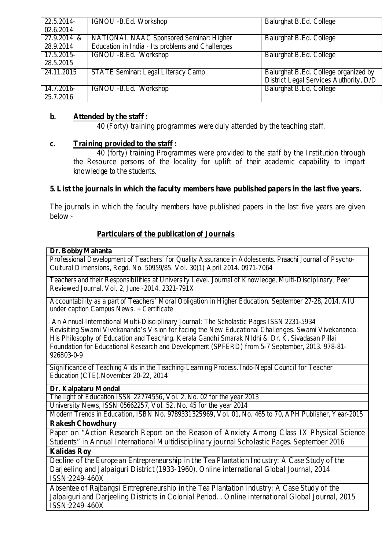| 22.5.2014-   | IGNOU - B.Ed. Workshop                           | Balurghat B.Ed. College                |
|--------------|--------------------------------------------------|----------------------------------------|
| 02.6.2014    |                                                  |                                        |
| 27.9.2014 &  | <b>NATIONAL NAAC Sponsored Seminar: Higher</b>   | Balurghat B.Ed. College                |
| 28.9.2014    | Education in India - Its problems and Challenges |                                        |
| $17.5.2015-$ | IGNOU - B.Ed. Workshop                           | Balurghat B.Ed. College                |
| 28.5.2015    |                                                  |                                        |
| 24.11.2015   | STATE Seminar: Legal Literacy Camp               | Balurghat B.Ed. College organized by   |
|              |                                                  | District Legal Services Authority, D/D |
| 14.7.2016-   | IGNOU - B.Ed. Workshop                           | Balurghat B.Ed. College                |
| 25.7.2016    |                                                  |                                        |

# **b. Attended by the staff :**

40 (Forty) training programmes were duly attended by the teaching staff.

# **c. Training provided to the staff :**

40 (forty) training Programmes were provided to the staff by the Institution through the Resource persons of the locality for uplift of their academic capability to impart knowledge to the students.

#### **5. List the journals in which the faculty members have published papers in the last five years.**

The journals in which the faculty members have published papers in the last five years are given below:-

#### **Particulars of the publication of Journals**

#### **Dr. Bobby Mahanta**

Professional Development of Teachers' for Quality Assurance in Adolescents. Praachi Journal of Psycho-Cultural Dimensions, Regd. No. 50959/85. Vol. 30(1) April 2014. 0971-7064

Teachers and their Responsibilities at University Level. Journal of Knowledge, Multi-Disciplinary, Peer Reviewed Journal, Vol. 2, June -2014. 2321-791X

Accountability as a part of Teachers' Moral Obligation in Higher Education. September 27-28, 2014. AIU under caption Campus News. + Certificate

An Annual International Multi-Disciplinary Journal: The Scholastic Pages ISSN 2231-5934

Revisiting Swami Vivekananda's Vision for facing the New Educational Challenges. Swami Vivekananda: His Philosophy of Education and Teaching. Kerala Gandhi Smarak NIdhi & Dr. K. Sivadasan Pillai Foundation for Educational Research and Development (SPFERD) from 5-7 September, 2013. 978-81- 926803-0-9

Significance of Teaching Aids in the Teaching-Learning Process. Indo-Nepal Council for Teacher Education (CTE).November 20-22, 2014

#### **Dr. Kalpataru Mondal**

The light of Education ISSN 22774556, Vol. 2, No. 02 for the year 2013

University News, ISSN 05662257, Vol. 52, No. 45 for the year 2014

Modern Trends in Education, ISBN No. 9789331325969, Vol. 01, No. 465 to 70, APH Publisher, Year-2015 **Rakesh Chowdhury**

Paper on "Action Research Report on the Reason of Anxiety Among Class IX Physical Science Students" in Annual International Multidisciplinary journal Scholastic Pages. September 2016

#### **Kalidas Roy**

Decline of the European Entrepreneurship in the Tea Plantation Industry: A Case Study of the Darjeeling and Jalpaiguri District (1933-1960). Online international Global Journal, 2014 ISSN:2249-460X

Absentee of Rajbangsi Entrepreneurship in the Tea Plantation Industry: A Case Study of the Jalpaiguri and Darjeeling Districts in Colonial Period. . Online international Global Journal, 2015 ISSN:2249-460X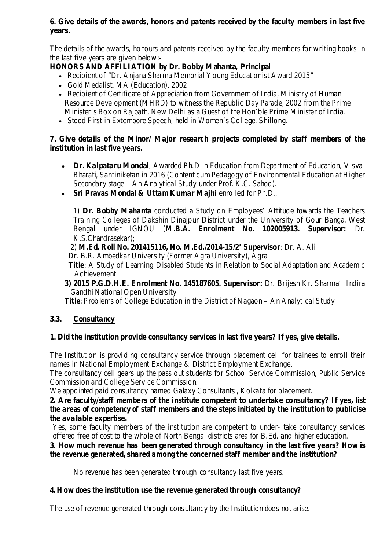## **6. Give details of the awards, honors and patents received by the faculty members in last five years.**

The details of the awards, honours and patents received by the faculty members for writing books in the last five years are given below:-

# **HONORS AND AFFILIATION by Dr. Bobby Mahanta, Principal**

- Recipient of "Dr. Anjana Sharma Memorial Young Educationist Award 2015"
- Gold Medalist, MA (Education), 2002
- Recipient of Certificate of Appreciation from Government of India, Ministry of Human Resource Development (MHRD) to witness the Republic Day Parade, 2002 from the Prime Minister's Box on Rajpath, New Delhi as a Guest of the Hon'ble Prime Minister of India.
- Stood First in Extempore Speech, held in Women's College, Shillong.

# **7. Give details of the Minor/ Major research projects completed by staff members of the institution in last five years.**

- **Dr. Kalpataru Mondal**, Awarded Ph.D in Education from Department of Education, Visva-Bharati, Santiniketan in 2016 (Content cum Pedagogy of Environmental Education at Higher Secondary stage – An Analytical Study under Prof. K.C. Sahoo).
- **Sri Pravas Mondal & Uttam Kumar Majhi** enrolled for Ph.D.,

1) **Dr. Bobby Mahanta** conducted a Study on Employees' Attitude towards the Teachers Training Colleges of Dakshin Dinajpur District under the University of Gour Banga, West Bengal under IGNOU (**M.B.A. Enrolment No. 102005913. Supervisor:** Dr. K.S.Chandrasekar);

## 2) **M.Ed. Roll No. 201415116, No. M.Ed./2014-15/2' Supervisor**: Dr. A. Ali

Dr. B.R. Ambedkar University (Former Agra University), Agra

**Title**: A Study of Learning Disabled Students in Relation to Social Adaptation and Academic Achievement

**3) 2015 P.G.D.H.E. Enrolment No. 145187605. Supervisor:** Dr. Brijesh Kr. Sharma' Indira Gandhi National Open University

**Title**: Prob lems of College Education in the District of Nagaon – An Analytical Study

## **3.3. Consultancy**

## **1. Did the institution provide consultancy services in last five years? If yes, give details.**

The Institution is providing consultancy service through placement cell for trainees to enroll their names in National Employment Exchange & District Employment Exchange.

The consultancy cell gears up the pass out students for School Service Commission, Public Service Commission and College Service Commission.

We appointed paid consultancy named Galaxy Consultants , Kolkata for placement.

**2. Are faculty/staff members of the institute competent to undertake consultancy? If yes, list the areas of competency of staff members and the steps initiated by the institution to publicise the available expertise.**

Yes, some faculty members of the institution are competent to under- take consultancy services offered free of cost to the whole of North Bengal districts area for B.Ed. and higher education.

## **3. How much revenue has been generated through consultancy in the last five years? How is the revenue generated, shared among the concerned staff member and the institution?**

No revenue has been generated through consultancy last five years.

## **4. How does the institution use the revenue generated through consultancy?**

The use of revenue generated through consultancy by the Institution does not arise.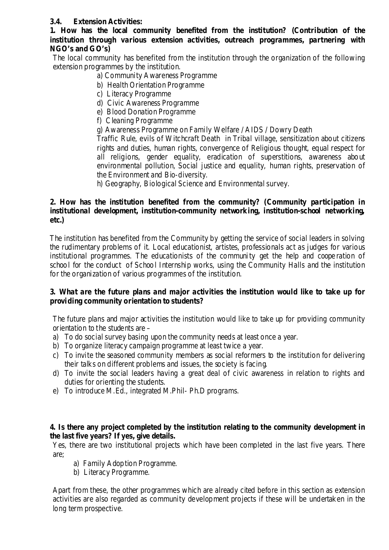#### **3.4. Extension Activities:**

**1. How has the local community benefited from the institution? (Contribution of the institution through various extension activities, outreach programmes, partnering with NGO's and GO's)**

The local community has benefited from the institution through the organization of the following extension programmes by the institution.

- a) Community Awareness Programme
- b) Health Orientation Programme
- c) Literacy Programme
- d) Civic Awareness Programme
- e) Blood Donation Programme
- f) Cleaning Programme
- g) Awareness Programme on Family Welfare / AIDS / Dowry Death

Traffic Rule, evils of Witchcraft Death in Tribal village, sensitization about citizens rights and duties, human rights, convergence of Religious thought, equal respect for all religions, gender equality, eradication of superstitions, awareness about environmental pollution, Social justice and equality, human rights, preservation of the Environment and Bio-diversity.

h) Geography, Biological Science and Environmental survey.

#### **2. How has the institution benefited from the community? (Community participation in institutional development, institution-community networking, institution-school networking, etc.)**

The institution has benefited from the Community by getting the service of social leaders in solving the rudimentary problems of it. Local educationist, artistes, professionals act as judges for various institutional programmes. The educationists of the community get the help and coope ration of school for the conduct of School Internship works, using the Community Halls and the institution for the organization of various programmes of the institution.

## **3. What are the future plans and major activities the institution would like to take up for providing community orientation to students?**

The future plans and major activities the institution would like to take up for providing community orientation to the students are –

- a) To do social survey basing upon the community needs at least once a year.
- b) To organize literacy campaign programme at least twice a year.
- c) To invite the seasoned community members as social reformers to the institution for delivering their talks on different problems and issues, the society is facing.
- d) To invite the social leaders having a great deal of civic awareness in relation to rights and duties for orienting the students.
- e) To introduce M.Ed., integrated M.Phil- Ph.D programs.

#### **4. Is there any project completed by the institution relating to the community development in the last five years? If yes, give details.**

Yes, there are two institutional projects which have been completed in the last five years. There are;

- a) Family Adoption Programme.
- b) Literacy Programme.

Apart from these, the other programmes which are already cited before in this section as extension activities are also regarded as community development projects if these will be undertaken in the long term prospective.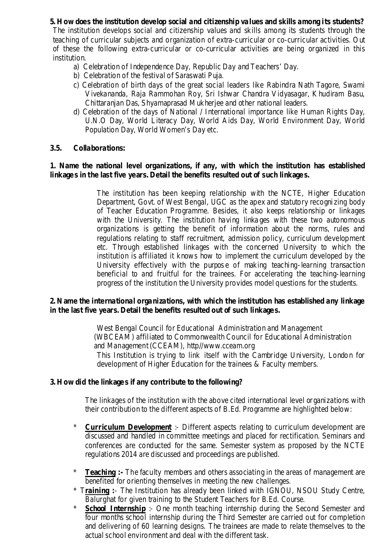**5. How does the institution develop social and citizenship values and skills among its students?**  The institution develops social and citizenship values and skills among its students through the teaching of curricular subjects and organization of extra-curricular or co-curricular activities. Out of these the following extra-curricular or co-curricular activities are being organized in this institution.

- a) Celebration of Independence Day, Republic Day and Teachers' Day.
- b) Celebration of the festival of Saraswati Puja.
- c) Celebration of birth days of the great social leaders like Rabindra Nath Tagore, Swami Vivekananda, Raja Rammohan Roy, Sri Ishwar Chandra Vidyasagar, Khudiram Basu, Chittaranjan Das, Shyamaprasad Mukherjee and other national leaders.
- d) Celebration of the days of National / International importance like Human Rights Day, U.N.O Day, World Literacy Day, World Aids Day, World Environment Day, World Population Day, World Women's Day etc.

#### **3.5. Collaborations:**

#### **1. Name the national level organizations, if any, with which the institution has established linkage s in the last five years. Detail the benefits resulted out of such linkage s.**

The institution has been keeping relationship with the NCTE, Higher Education Department, Govt. of West Bengal, UGC as the apex and statutory recognizing body of Teacher Education Programme. Besides, it also keeps relationship or linkages with the University. The institution having linka ges with these two autonomous organizations is getting the benefit of information about the norms, rules and regulations relating to staff recruitment, admission policy, curriculum development etc. Through established linkages with the concerned University to which the institution is affiliated it knows how to implement the curriculum developed by the University effectively with the purpos e of making teaching-learning transaction beneficial to and fruitful for the trainees. For accelerating the teaching-learning progress of the institution the University provides model questions for the students.

#### **2. N ame the international organizations, with which the institution has established any linkage in the last five years. Detail the benefits resulted out of such linkage s.**

West Bengal Council for Educational Administration and Management (WBCEAM) affiliated to Commonwealth Council for Educational Administration and Management (CCEAM), http//www.cceam.org This Institution is trying to link itself with the Cambridge University, London for development of Higher Education for the trainees & Faculty members.

#### **3. How did the linkage s if any contribute to the following?**

The linkages of the institution with the above cited international level organizations with their contribution to the different aspects of B.Ed. Programme are highlighted below:

- \* **Curriculum Development** :- Different aspects relating to curriculum development are discussed and handled in committee meetings and placed for rectification. Seminars and conferences are conducted for the same. Semester system as proposed by the NCTE regulations 2014 are discussed and proceedings are published.
- \* **Teaching :-** The faculty members and others associating in the areas of management are benefited for orienting themselves in meeting the new challenges.
- \* T **raining :** The Institution has already been linked with IGNOU, NSOU Study Centre, Balurghat for given training to the Student Teachers for B.Ed. Course.
- \* **School Internship** :- One month teaching internship during the Second Semester and four months school internship during the Third Semester are carried out for completion and delivering of 60 learning designs. The trainees are made to relate themselves to the actual school environment and deal with the different task.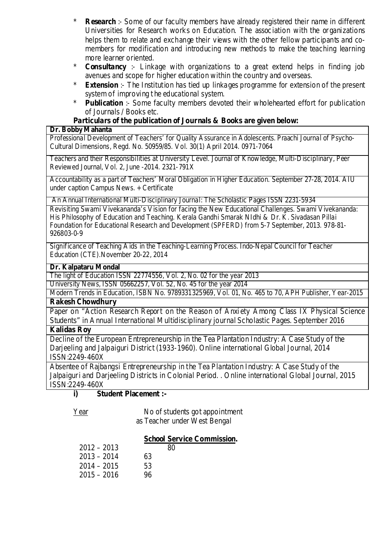- \* **Research** :- Some of our faculty members have already registered their name in different Universities for Research works on Education. The association with the organizations helps them to relate and exchange their views with the other fellow participants and comembers for modification and introducing new methods to make the teaching learning more learner oriented.
- \* **Consultancy** :- Linkage with organizations to a great extend helps in finding job avenues and scope for higher education within the country and overseas.
- \* **Extension** :- The Institution has tied up linkages programme for extension of the present system of improving t he educational system.
- \* **Publication** :- Some faculty members devoted their wholehearted effort for publication of Journals / Books etc.

#### **Particulars of the publication of Journals & Books are given below:**

#### **Dr. Bobby Mahanta**

Professional Development of Teachers' for Quality Assurance in Adolescents. Praachi Journal of Psycho-Cultural Dimensions, Regd. No. 50959/85. Vol. 30(1) April 2014. 0971-7064

Teachers and their Responsibilities at University Level. Journal of Knowledge, Multi-Disciplinary, Peer Reviewed Journal, Vol. 2, June -2014. 2321-791X

Accountability as a part of Teachers' Moral Obligation in Higher Education. September 27-28, 2014. AIU under caption Campus News. + Certificate

An Annual International Multi-Disciplinary Journal: The Scholastic Pages ISSN 2231-5934

Revisiting Swami Vivekananda's Vision for facing the New Educational Challenges. Swami Vivekananda: His Philosophy of Education and Teaching. Kerala Gandhi Smarak NIdhi & Dr. K. Sivadasan Pillai Foundation for Educational Research and Development (SPFERD) from 5-7 September, 2013. 978-81- 926803-0-9

Significance of Teaching Aids in the Teaching-Learning Process. Indo-Nepal Council for Teacher Education (CTE).November 20-22, 2014

#### **Dr. Kalpataru Mondal**

The light of Education ISSN 22774556, Vol. 2, No. 02 for the year 2013

University News, ISSN 05662257, Vol. 52, No. 45 for the year 2014

Modern Trends in Education, ISBN No. 9789331325969, Vol. 01, No. 465 to 70, APH Publisher, Year-2015 **Rakesh Chowdhury**

## Paper on "Action Research Report on the Reason of Anxiety Among Class IX Physical Science Students" in Annual International Multidisciplinary journal Scholastic Pages. September 2016

#### **Kalidas Roy**

Decline of the European Entrepreneurship in the Tea Plantation Industry: A Case Study of the Darjeeling and Jalpaiguri District (1933-1960). Online international Global Journal, 2014 ISSN:2249-460X

Absentee of Rajbangsi Entrepreneurship in the Tea Plantation Industry: A Case Study of the Jalpaiguri and Darjeeling Districts in Colonial Period. . Online international Global Journal, 2015 ISSN:2249-460X

## **i) Student Placement :-**

Year

 as Teacher under West Bengal No of students got appointment

#### **School Service Commission .**

| $2012 - 2013$ |    | 80 |
|---------------|----|----|
| $2013 - 2014$ | 63 |    |
| $2014 - 2015$ | 53 |    |
| $2015 - 2016$ | 96 |    |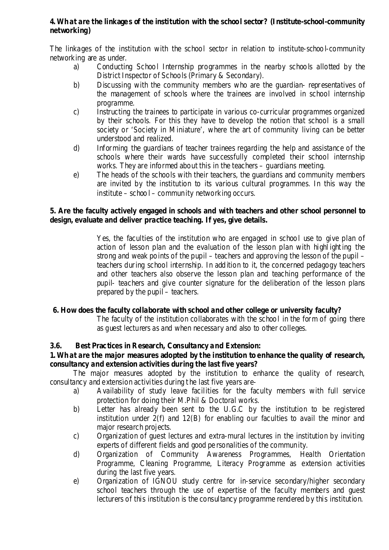## **4. What are the linkage s of the institution with the school sector? (Institute-school-community networking)**

The linkages of the institution with the school sector in relation to institute-school-community networking are as under.

- a) Conducting School Internship programmes in the nearby schools allotted by the District Inspector of Schools (Primary & Secondary).
- b) Discussing with the community members who are the guardian- representatives of the management of schools where the trainees are involved in school internship programme.
- c) Instructing the trainees to participate in various co-curricular programmes organized by their schools. For this they have to develop the notion that school is a small society or 'Society in Miniature', where the art of community living can be better understood and realized.
- d) Informing the guardians of teacher trainees regarding the help and assistance of the schools where their wards have successfully completed their school internship works. They are informed about this in the teachers – guardians meeting.
- e) The heads of the schools with their teachers, the guardians and community members are invited by the institution to its various cultural programmes. In this way the institute –  $\text{sch } 0$  – community networking occurs.

## **5. Are the faculty actively engaged in schools and with teachers and other school personnel to design, evaluate and deliver practice teaching. If yes, give details.**

Yes, the faculties of the institution who are engaged in school use to give plan of action of lesson plan and the evaluation of the lesson plan with highl ight ing the strong and weak points of the pupil – teachers and approving the lesson of the pupil – teachers during school internship. In addition to it, the concerned pedagogy teachers and other teachers also observe the lesson plan and teaching performance of the pupil- teachers and give counter signature for the deliberation of the lesson plans prepared by the pupil – teachers.

## **6. How does the faculty collaborate with school and other college or university faculty?**

The faculty of the institution collaborates with the school in the form of going there as guest lecturers as and when necessary and also to other colleges.

## **3.6. Best Practices in Research, Consultancy and Extension:**

#### **1. What are the major measures adopted by the institution to enhance the quality of research, consultancy and extension activities during the last five years?**

The major measures adopted by the institution to enhance the quality of research, consultancy and extension activities during t he last five years are-

- a) Availability of study leave facilities for the faculty members with full service protection for doing their M.Phil & Doctoral works.
- b) Letter has already been sent to the U.G.C by the institution to be registered institution under 2(f) and 12(B) for enabling our faculties to avail the minor and major research projects.
- c) Organization of guest lectures and extra-mural lectures in the institution by inviting experts of different fields and good pe rsonalities of the community.
- d) Organization of Community Awareness Programmes, Health Orientation Programme, Cleaning Programme, Literacy Programme as extension activities during the last five years.
- e) Organization of IGNOU study centre for in-service secondary/higher secondary school teachers through the use of expertise of the faculty members and guest lecturers of this institution is the consultancy programme rendered by this institution.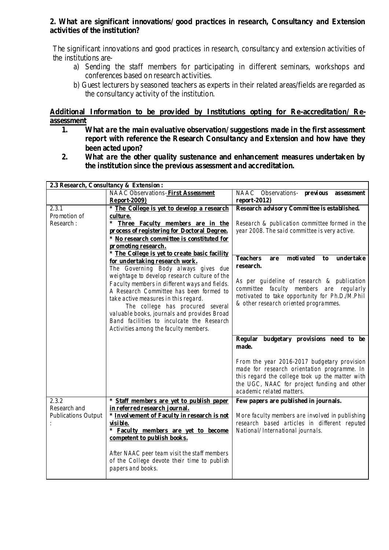## **2. What are significant innovations/ good practices in research, Consultancy and Extension activities of the institution?**

The significant innovations and good practices in research, consultancy and extension activities of the institutions are-

- a) Sending the staff members for participating in different seminars, workshops and conferences based on research activities.
- b) Guest lecturers by seasoned teachers as experts in their related areas/fields are regarded as the consultancy activity of the institution.

## **Additional Information to be provided by Institutions opting for Re-accreditation/ Reassessment**

- **1. What are the main evaluative observation/ suggestions made in the first assessment report with reference the Research Consultancy and Extension and how have they been acted upon?**
- **2. What are the other quality sustenance and enhancement measures undertaken by the institution since the previous assessment and accreditation.**

|                            | 2.3 Research, Consultancy & Extension:        |                                                                          |
|----------------------------|-----------------------------------------------|--------------------------------------------------------------------------|
|                            | NAAC Observations-First Assessment            | NAAC Observations- previous<br>assessment                                |
|                            | Report-2009)                                  | $report-2012)$                                                           |
| 2.3.1                      | * The College is yet to develop a research    | Research advisory Committee is established.                              |
| Promotion of               | culture.                                      |                                                                          |
| Research:                  | $\ast$<br>Three Faculty members are in the    | Research & publication committee formed in the                           |
|                            | process of registering for Doctoral Degree.   | year 2008. The said committee is very active.                            |
|                            | * No research committee is constituted for    |                                                                          |
|                            | promoting research.                           |                                                                          |
|                            | * The College is yet to create basic facility |                                                                          |
|                            | for undertaking research work.                | <b>Teachers</b><br>moti vated<br>undertake<br>are<br>to                  |
|                            | The Governing Body always gives due           | research.                                                                |
|                            | weightage to develop research culture of the  |                                                                          |
|                            | Faculty members in different ways and fields. | As per guideline of research & publication                               |
|                            | A Research Committee has been formed to       | committee faculty members are regularly                                  |
|                            | take active measures in this regard.          | motivated to take opportunity for Ph.D./M.Phil                           |
|                            | The college has procured several              | & other research oriented programmes.                                    |
|                            | valuable books, journals and provides Broad   |                                                                          |
|                            | Band facilities to inculcate the Research     |                                                                          |
|                            | Activities among the faculty members.         |                                                                          |
|                            |                                               | Regular budgetary provisions need to be                                  |
|                            |                                               | made.                                                                    |
|                            |                                               |                                                                          |
|                            |                                               | From the year 2016-2017 budgetary provision                              |
|                            |                                               | made for research orientation programme. In                              |
|                            |                                               | this regard the college took up the matter with                          |
|                            |                                               |                                                                          |
|                            |                                               | the UGC, NAAC for project funding and other<br>academic related matters. |
|                            |                                               |                                                                          |
| 2.3.2                      | * Staff members are yet to publish paper      | Few papers are published in journals.                                    |
| Research and               | in referred research journal.                 |                                                                          |
| <b>Publications Output</b> | * Involvement of Faculty in research is not   | More faculty members are involved in publishing                          |
|                            | visible.                                      | research based articles in different reputed                             |
|                            | <b>Faculty members are yet to become</b><br>∗ | National/International journals.                                         |
|                            | competent to publish books.                   |                                                                          |
|                            |                                               |                                                                          |
|                            | After NAAC peer team visit the staff members  |                                                                          |
|                            | of the College devote their time to publish   |                                                                          |
|                            | papers and books.                             |                                                                          |
|                            |                                               |                                                                          |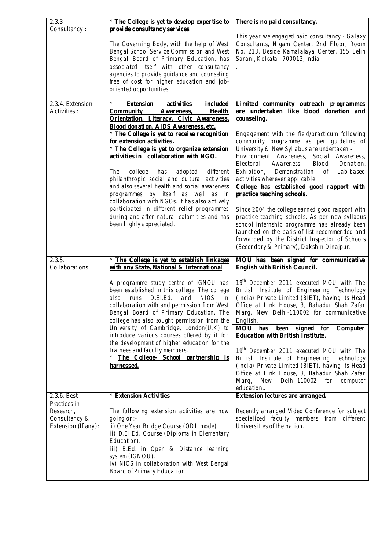| 2.3.3                            | * The College is yet to develop expertise to                                                       | There is no paid consultancy.                                                   |
|----------------------------------|----------------------------------------------------------------------------------------------------|---------------------------------------------------------------------------------|
| Consultancy:                     | provide consultancy services.                                                                      |                                                                                 |
|                                  |                                                                                                    | This year we engaged paid consultancy - Galaxy                                  |
|                                  | The Governing Body, with the help of West                                                          | Consultants, Nigam Center, 2nd Floor, Room                                      |
|                                  | Bengal School Service Commission and West                                                          | No. 213, Beside Kamalalaya Center, 155 Lelin                                    |
|                                  | Bengal Board of Primary Education, has                                                             | Sarani, Kolkata - 700013, India                                                 |
|                                  | associated itself with other consultancy                                                           |                                                                                 |
|                                  | agencies to provide guidance and counseling                                                        |                                                                                 |
|                                  | free of cost for higher education and job-                                                         |                                                                                 |
|                                  | oriented opportunities.                                                                            |                                                                                 |
|                                  |                                                                                                    |                                                                                 |
| 2.3.4. Extension<br>Activities : | *<br><b>Extension</b><br>activities<br>included<br><b>Community</b><br>Awareness,<br><b>Health</b> | Limited community outreach programmes<br>are undertaken like blood donation and |
|                                  | Orientation, Literacy, Civic Awareness,                                                            | counseling.                                                                     |
|                                  | Blood donation, AIDS Awareness, etc.                                                               |                                                                                 |
|                                  | * The College is yet to receive recognition                                                        | Engagement with the field/practicum following                                   |
|                                  | for extension activities.                                                                          | community programme as per guideline of                                         |
|                                  | * The College is yet to organize extension                                                         | University & New Syllabus are undertaken -                                      |
|                                  | activities in collaboration with NGO.                                                              | Environment Awareness,<br>Social Awareness,                                     |
|                                  |                                                                                                    | <b>Blood</b><br>Electoral<br>Awareness,<br>Donation,                            |
|                                  | <i>The</i><br>college<br>has<br>adopted<br>different                                               | Exhibition, Demonstration<br>Lab-based<br>of                                    |
|                                  | philanthropic social and cultural activities                                                       | activities wherever applicable.                                                 |
|                                  | and also several health and social awareness                                                       | College has established good rapport with                                       |
|                                  | programmes by itself as well as in                                                                 | practice teaching schools.                                                      |
|                                  | collaboration with NGOs. It has also actively                                                      |                                                                                 |
|                                  | participated in different relief programmes                                                        | Since 2004 the college earned good rapport with                                 |
|                                  | during and after natural calamities and has                                                        | practice teaching schools. As per new syllabus                                  |
|                                  | been highly appreciated.                                                                           | school internship programme has already been                                    |
|                                  |                                                                                                    | launched on the basis of list recommended and                                   |
|                                  |                                                                                                    | forwarded by the District Inspector of Schools                                  |
|                                  |                                                                                                    | (Secondary & Primary), Dakshin Dinajpur.                                        |
| 2.3.5.                           | * The College is yet to establish linkages                                                         | MOU has been signed for communicative                                           |
| Collaborations:                  | with any State, National & International.                                                          | English with British Council.                                                   |
|                                  |                                                                                                    |                                                                                 |
|                                  | A programme study centre of IGNOU has                                                              | $19th$ December 2011 executed MOU with The                                      |
|                                  | been established in this college. The college                                                      | British Institute of Engineering Technology                                     |
|                                  | D.El.Ed.<br>and<br><b>NIOS</b><br>also<br>runs<br>in                                               | (India) Private Limited (BIET), having its Head                                 |
|                                  | collaboration with and permission from West                                                        | Office at Link House, 3, Bahadur Shah Zafar                                     |
|                                  | Bengal Board of Primary Education. The                                                             | Marg, New Delhi-110002 for communicative                                        |
|                                  | college has also sought permission from the                                                        | English.                                                                        |
|                                  | University of Cambridge, London $( U.K )$ to                                                       | been signed for<br>MOU has<br>Computer                                          |
|                                  | introduce various courses offered by it for<br>the development of higher education for the         | <b>Education with British Institute.</b>                                        |
|                                  | trainees and faculty members.                                                                      | $19th$ December 2011 executed MOU with The                                      |
|                                  | The College- School partnership is<br>*                                                            | British Institute of Engineering Technology                                     |
|                                  | harnessed.                                                                                         | (India) Private Limited (BIET), having its Head                                 |
|                                  |                                                                                                    | Office at Link House, 3, Bahadur Shah Zafar                                     |
|                                  |                                                                                                    | Marg,<br>New<br>Delhi-110002<br>for<br>computer                                 |
|                                  |                                                                                                    | education                                                                       |
| 2.3.6. Best                      | * Extension Activities                                                                             | Extension lectures are arranged.                                                |
| Practices in                     |                                                                                                    |                                                                                 |
| Research,                        | The following extension activities are now                                                         | Recently arranged Video Conference for subject                                  |
| Consultancy &                    | going on:-                                                                                         | specialized faculty members from different                                      |
| Extension (If any):              | i) One Year Bridge Course (ODL mode)                                                               | Universities of the nation.                                                     |
|                                  | ii) D.El.Ed. Course (Diploma in Elementary                                                         |                                                                                 |
|                                  | Education).                                                                                        |                                                                                 |
|                                  | iii) B.Ed. in Open & Distance learning                                                             |                                                                                 |
|                                  | system (IGNOU).                                                                                    |                                                                                 |
|                                  | iv) NIOS in collaboration with West Bengal                                                         |                                                                                 |
|                                  |                                                                                                    |                                                                                 |
|                                  | Board of Primary Education.                                                                        |                                                                                 |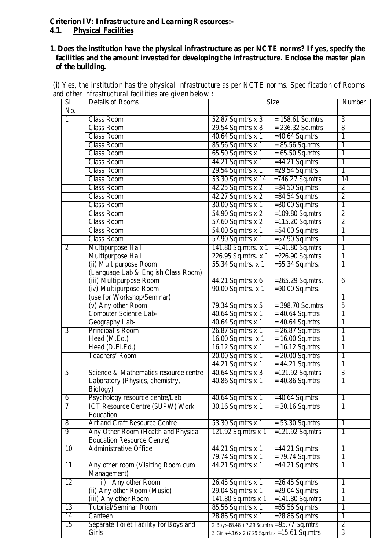# **Criterion IV: Infrastructure and Learning Resources:-**<br>4.1. Physical Facilities

# **4.1. Physical Facilities**

## **1. Does the institution have the physical infrastructure as per NCTE norms? If yes, specify the facilities and the amount invested for developing the infrastructure. Enclose the master plan of the building.**

(i) Yes, the institution has the physical infrastructure as per NCTE norms. Specification of Rooms and other infrastructural facilities are given below :

| Sl              | <b>Details of Rooms</b>                | Size                                          | Number          |
|-----------------|----------------------------------------|-----------------------------------------------|-----------------|
| No.             |                                        |                                               |                 |
| $\mathbf{1}$    | <b>Class Room</b>                      | 52.87 Sq.mtrs x 3<br>$= 158.61$ Sq.mtrs       | 3               |
|                 | Class Room                             | 29.54 Sq.mtrs x 8<br>$= 236.32$ Sq.mtrs       | 8               |
|                 | <b>Class Room</b>                      | 40.64 Sq.mtrs x 1<br>$=40.64$ Sq.mtrs         | $\overline{1}$  |
|                 | Class Room                             | 85.56 Sq.mtrs x 1<br>$= 85.56$ Sq.mtrs        | $\mathbf{1}$    |
|                 | <b>Class Room</b>                      | $65.50$ Sq.mtrs x 1<br>$= 65.50$ Sq.mtrs      | $\mathbf{1}$    |
|                 | <b>Class Room</b>                      | 44.21 Sq.mtrs x 1<br>$=44.21$ Sq.mtrs         | $\mathbf{1}$    |
|                 | <b>Class Room</b>                      | $29.54$ Sq.mtrs x 1<br>$=29.54$ Sq. mtrs      | $\mathbf{1}$    |
|                 | <b>Class Room</b>                      | 53.30 Sq.mtrs x 14<br>$=746.27$ Sq.mtrs       | $\overline{14}$ |
|                 | <b>Class Room</b>                      | $42.25$ Sq. mtrs $x$ 2<br>$= 84.50$ Sq.mtrs   | $\overline{2}$  |
|                 | <b>Class Room</b>                      | 42.27 Sq.mtrs x 2<br>$= 84.54$ Sq.mtrs        | $\overline{2}$  |
|                 | <b>Class Room</b>                      | 30.00 Sq.mtrs x 1<br>$=30.00$ Sq.mtrs         | $\mathbf{1}$    |
|                 | Class Room                             | 54.90 Sq.mtrs x 2<br>$=109.80$ Sq.mtrs        | $\overline{2}$  |
|                 | <b>Class Room</b>                      | $57.60$ Sq.mtrs $x$ 2<br>$=115.20$ Sq.mtrs    | $\overline{2}$  |
|                 | <b>Class Room</b>                      | 54.00 Sq.mtrs x 1<br>$=54.00$ Sq.mtrs         | $\mathbf{1}$    |
|                 | <b>Class Room</b>                      | 57.90 Sq.mtrs x 1<br>$=57.90$ Sq.mtrs         | $\mathbf{1}$    |
| $\overline{2}$  | Multipurpose Hall                      | 141.80 Sq.mtrs. x 1<br>$=141.80$ Sq.mtrs      | $\mathbf{1}$    |
|                 | Multipurpose Hall                      | 226.95 Sq.mtrs. x 1<br>$=226.90$ Sq.mtrs      | 1               |
|                 | (ii) Multipurpose Room                 | 55.34 Sq.mtrs. x 1<br>$=55.34$ Sq.mtrs.       | 1               |
|                 | (Language Lab & English Class Room)    |                                               |                 |
|                 | (iii) Multipurpose Room                | 44.21 Sq.mtrs x 6<br>$=265.29$ Sq.mtrs.       | 6               |
|                 | (iv) Multipurpose Room                 | 90.00 Sq.mtrs. x 1<br>$=90.00$ Sq.mtrs.       |                 |
|                 | (use for Workshop/Seminar)             |                                               | 1               |
|                 | (v) Any other Room                     | 79.34 Sq.mtrs x 5<br>$=$ 398.70 Sq.mtrs       | 5               |
|                 | Computer Science Lab-                  | 40.64 Sq.mtrs x 1<br>$=$ 40.64 Sq.mtrs        | 1               |
|                 | Geography Lab-                         | 40.64 Sq.mtrs x 1<br>$=$ 40.64 Sq.mtrs        | 1               |
| $\overline{3}$  | Principal's Room                       | $26.87$ Sq.mtrs x 1<br>$= 26.87$ Sq.mtrs      | 1               |
|                 | Head (M.Ed.)                           | 16.00 Sq.mtrs x 1<br>$= 16.00$ Sq.mtrs        | 1               |
|                 | Head (D.El.Ed.)                        | 16.12 Sq.mtrs x 1<br>$= 16.12$ Sq.mtrs        | $\mathbf{1}$    |
|                 | Teachers' Room                         | $20.00$ Sq.mtrs x 1<br>$= 20.00$ Sq.mtrs      | $\mathbf{1}$    |
|                 |                                        | 44.21 Sq.mtrs x 1<br>$= 44.21$ Sq.mtrs        | $\mathbf{1}$    |
| $\overline{5}$  | Science & Mathematics resource centre  | 40.64 Sq.mtrs x 3<br>$=121.92$ Sq.mtrs        | $\overline{3}$  |
|                 | Laboratory (Physics, chemistry,        | 40.86 Sq.mtrs x 1<br>$=$ 40.86 Sq.mtrs        | $\mathbf{1}$    |
|                 | Biology)                               |                                               |                 |
| $\overline{6}$  | Psychology resource centre/Lab         | $40.64$ Sq.mtrs x 1<br>$=40.64$ Sq.mtrs       | 1               |
| $\overline{7}$  | <b>ICT Resource Centre (SUPW) Work</b> | 30.16 Sq.mtrs x 1<br>$=$ 30.16 Sq.mtrs        | $\mathbf{1}$    |
|                 | Education                              |                                               |                 |
| 8               | Art and Craft Resource Centre          | 53.30 Sq.mtrs x 1<br>$=$ 53.30 Sq.mtrs        | 1               |
| $\overline{9}$  | Any Other Room (Health and Physical    | 121.92 Sq.mtrs x 1<br>$=121.92$ Sq.mtrs       | 1               |
|                 | <b>Education Resource Centre)</b>      |                                               |                 |
| 10              | Administrative Office                  | 44.21 Sq.mtrs x 1<br>$=44.21$ Sq.mtrs         | $\mathbf{1}$    |
|                 |                                        | 79.74 Sq.mtrs x 1<br>$= 79.74$ Sq.mtrs        | $\mathbf{1}$    |
| $\overline{11}$ | Any other room (Visiting Room cum      | 44.21 Sq.mtrs x 1<br>$=44.21$ Sq.mtrs         | 1               |
|                 | Management)                            |                                               |                 |
| 12              | ii) Any other Room                     | $=26.45$ Sq.mtrs<br>26.45 Sq.mtrs x 1         | $\mathbf{1}$    |
|                 | (ii) Any other Room (Music)            | 29.04 Sq.mtrs x 1<br>$=29.04$ Sq.mtrs         | $\mathbf 1$     |
|                 | (iii) Any other Room                   | $=141.80$ Sq.mtrs<br>141.80 Sq.mtrs x 1       |                 |
| 13              | Tutorial/Seminar Room                  | 85.56 Sq.mtrs x 1<br>$= 85.56$ Sq.mtrs        | $\mathbf{1}$    |
| $\overline{14}$ | Canteen                                | 28.86 Sq.mtrs x 1<br>$=28.86$ Sq.mtrs         | 1               |
| 15              | Separate Toilet Facility for Boys and  | 2 Boys-88.48 + 7.29 Sq.mtrs = 95.77 Sq.mtrs   | $\overline{2}$  |
|                 | Girls                                  | 3 Girls-4.16 x 2+7.29 Sq.mtrs = 15.61 Sq.mtrs | 3               |
|                 |                                        |                                               |                 |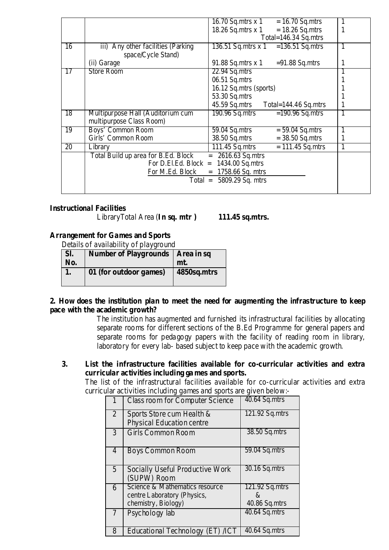|                 |                                     | 16.70 Sq.mtrs $x$ 1<br>$= 16.70$ Sq.mtrs   |   |
|-----------------|-------------------------------------|--------------------------------------------|---|
|                 |                                     | 18.26 Sq.mtrs x 1<br>$= 18.26$ Sq.mtrs     |   |
|                 |                                     | Total= $146.34$ Sq.mtrs                    |   |
| 16              | iii) Any other facilities (Parking  | $=136.51$ Sq.mtrs<br>136.51 Sq.mtrs x 1    | 1 |
|                 | space/Cycle Stand)                  |                                            |   |
|                 | (ii) Garage                         | 91.88 Sq.mtrs $x$ 1<br>$=91.88$ Sq.mtrs    | 1 |
| $\overline{17}$ | <b>Store Room</b>                   | 22.94 Sq.mtrs                              |   |
|                 |                                     | 06.51 Sq.mtrs                              |   |
|                 |                                     | 16.12 Sq.mtrs (sports)                     |   |
|                 |                                     | 53.30 Sq.mtrs                              |   |
|                 |                                     | $45.59$ Sq.mtrs<br>Total= $144.46$ Sq.mtrs | 1 |
| 18              | Multipurpose Hall (Auditorium cum   | 190.96 Sq.mtrs<br>$=190.96$ Sq.mtrs        | 1 |
|                 | multipurpose Class Room)            |                                            |   |
| 19              | <b>Boys' Common Room</b>            | 59.04 Sq.mtrs<br>$=$ 59.04 Sq. mtrs        | 1 |
|                 | Girls' Common Room                  | 38.50 Sq.mtrs<br>$=$ 38.50 Sq.mtrs         | 1 |
| 20              | Library                             | 111.45 Sq.mtrs<br>$= 111.45$ Sq.mtrs       | 1 |
|                 | Total Build up area for B.Ed. Block | 2616.63 Sq.mtrs<br>$=$                     |   |
|                 | For D.El.Ed. Block $=$              | 1434.00 Sq.mtrs                            |   |
|                 | For M.Ed. Block                     | $= 1758.66$ Sq. mtrs                       |   |
|                 |                                     | Total = $5809.29$ Sq. mtrs                 |   |
|                 |                                     |                                            |   |

## **Instructional Facilities**

LibraryTotal Area (**In sq. mtr ) 111.45 sq.mtrs.**

#### **Arrangement for Games and Sports**

Details of availability of playground

| Sl.<br>No. | <b>Number of Playgrounds</b> | Area in sq<br>mt. |
|------------|------------------------------|-------------------|
| ı.         | 01 (for outdoor games)       | 4850sq.mtrs       |

#### **2. How does the institution plan to meet the need for augmenting the infrastructure to keep pace with the academic growth?**

The institution has augmented and furnished its infrastructural facilities by allocating separate rooms for different sections of the B.Ed Programme for general papers and separate rooms for pedagogy papers with the facility of reading room in library, laboratory for every lab- based subject to keep pace with the academic growth.

## **3. List the infrastructure facilities available for co-curricular activities and extra curricular activities including ga mes and sports.**

The list of the infrastructural facilities available for co-curricular activities and extra curricular activities including games and sports are given below:-

| 1              | Class room for Computer Science  | 40.64 Sq.mtrs  |
|----------------|----------------------------------|----------------|
| $\overline{2}$ | Sports Store cum Health $\&$     | 121.92 Sq.mtrs |
|                | Physical Education centre        |                |
| 3              | Girls Common Room                | 38.50 Sq.mtrs  |
|                |                                  |                |
| $\overline{4}$ | Boys Common Room                 | 59.04 Sq.mtrs  |
|                |                                  |                |
| $\overline{5}$ | Socially Useful Productive Work  | 30.16 Sq.mtrs  |
|                | (SUPW) Room                      |                |
| 6              | Science & Mathematics resource   | 121.92 Sq.mtrs |
|                | centre Laboratory (Physics,      | $\chi$         |
|                | chemistry, Biology)              | 40.86 Sq.mtrs  |
| 7              | Psychology lab                   | 40.64 Sq.mtrs  |
|                |                                  |                |
| 8              | Educational Technology (ET) /ICT | 40.64 Sq.mtrs  |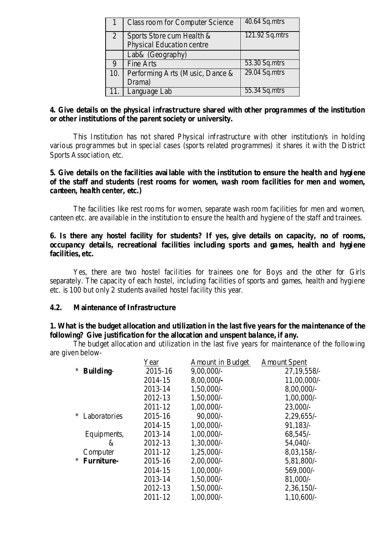|     | Class room for Computer Science | 40.64 Sq.mtrs  |
|-----|---------------------------------|----------------|
| 2   | Sports Store cum Health &       | 121.92 Sq.mtrs |
|     | Physical Education centre       |                |
|     | Lab& (Geography)                |                |
| 9   | Fine Arts                       | 53.30 Sq.mtrs  |
| 10. | Performing Arts (Music, Dance & | 29.04 Sq.mtrs  |
|     | Drama)                          |                |
|     | Language Lab                    | 55.34 Sq.mtrs  |

## **4. Give details on the physical infrastructure shared with other programmes of the institution or other institutions of the parent society or university.**

This Institution has not shared Physical infrastructure with other institution/s in holding various programmes but in special cases (sports related programmes) it shares it with the District Sports Association, etc.

## **5. Give details on the facilities avai lable with the institution to ensure the health and hygiene of the staff and students (rest rooms for women, wash room facilities for men and women, canteen, health center, etc.)**

The facilities like rest rooms for women, separate wash room facilities for men and women, canteen etc. are available in the institution to ensure the health and hygiene of the staff and trainees.

## **6. Is there any hostel facility for students? If yes, give details on capacity, no of rooms, occupancy details, recreational facilities including sports and games, health and hygiene facilities, etc.**

Yes, there are two hostel facilities for trainees one for Boys and the other for Girls separately. The capacity of each hostel, including facilities of sports and games, health and hygiene etc. is 100 but only 2 students availed hostel facility this year.

## **4.2. Maintenance of Infrastructure**

## **1. What is the budget allocation and utilization in the last five years for the maintenance of the following? Give justification for the allocation and unspent balance, if any.**

The budget allocation and utilization in the last five years for maintenance of the following are given below-

|                       | Year        | Amount in Budget | <b>Amount Spent</b> |
|-----------------------|-------------|------------------|---------------------|
| ∗<br><b>Building-</b> | 2015-16     | $9,00,000/$ -    | 27, 19, 558/-       |
|                       | 2014-15     | 8,00,000/-       | 11,00,000/-         |
|                       | 2013-14     | 1,50,000/-       | $8,00,000/$ -       |
|                       | 2012-13     | $1,50,000/-$     | $1,00,000/-$        |
|                       | $2011 - 12$ | $1,00,000/-$     | $23,000/-$          |
| *<br>Laboratories     | $2015 - 16$ | $90,000/-$       | $2,29,655/-$        |
|                       | 2014-15     | $1,00,000/-$     | 91,183/             |
| Equipments,           | 2013-14     | $1,00,000/-$     | $68,545/-$          |
| $\&$                  | 2012-13     | $1,30,000/-$     | $54,040/-$          |
| Computer              | $2011 - 12$ | 1,25,000/-       | 8,03,158/-          |
| Furniture-<br>∗       | 2015-16     | $2,00,000/$ -    | 5,81,800/-          |
|                       | 2014-15     | $1,00,000/-$     | 569,000/-           |
|                       | 2013-14     | $1,50,000/-$     | $81,000/-$          |
|                       | 2012-13     | 1,50,000/-       | $2,36,150/-$        |
|                       | 2011-12     | 1,00,000/-       | $1,10,600/-$        |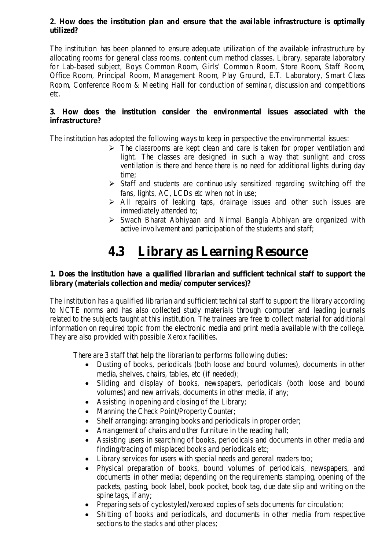## **2. How does the institution plan and ensure that the avai lable infrastructure is optimally utilized?**

The institution has been planned to ensure adequate utilization of the available infrastructure by allocating rooms for general class rooms, content cum method classes, Library, separate laboratory for Lab-based subject, Boys Common Room, Girls' Common Room, Store Room, Staff Room, Office Room, Principal Room, Management Room, Play Ground, E.T. Laboratory, Smart Class Room, Conference Room & Meeting Hall for conduction of seminar, discussion and competitions etc.

## **3. How does the institution consider the environmental issues associated with the infrastructure?**

The institution has adopted the following ways to keep in perspective the environmental issues:

- $\triangleright$  The classrooms are kept clean and care is taken for proper ventilation and light. The classes are designed in such a way that sunlight and cross ventilation is there and hence there is no need for additional lights during day time;
- $\triangleright$  Staff and students are continuously sensitized regarding switching off the fans, lights, AC, LCDs etc when not in use;
- $\triangleright$  All repairs of leaking taps, drainage issues and other such issues are immediately attended to;
- $\triangleright$  Swach Bharat Abhiyaan and Nirmal Bangla Abhiyan are organized with active involvement and participation of the students and staff;

# **4.3 Library as Learning Resource**

## **1. Does the institution have a qualified librarian and sufficient technical staff to support the library (materials collection and media/ computer services)?**

The institution has a qualified librarian and sufficient technical staff to support the library according to NCTE norms and has also collected study materials through computer and leading journals related to the subjects taught at this institution. The trainees are free to collect material for additional information on required topic from the electronic media and print media available with the college. They are also provided with possible Xerox facilities.

There are 3 staff that help the librarian to pe rforms following duties:

- Dusting of books, periodicals (both loose and bound volumes), documents in other media, shelves, chairs, tables, etc (if needed);
- Sliding and display of books, newspapers, periodicals (both loose and bound volumes) and new arrivals, documents in other media, if any;
- Assisting in opening and closing of the Library;
- Manning the Check Point/Property Counter;
- Shelf arranging: arranging books and periodicals in proper order;
- Arrangement of chairs and other furniture in the reading hall;
- Assisting users in searching of books, periodicals and documents in other media and finding/tracing of misplaced books and periodicals etc;
- Library services for users with special needs and general readers too;
- Physical preparation of books, bound volumes of periodicals, newspapers, and documents in other media; depending on the requirements stamping, opening of the packets, pasting, book label, book pocket, book tag, due date slip and writing on the spine tags, if any;
- Preparing sets of cyclostyled/xeroxed copies of sets documents for circulation;
- Shitting of books and periodicals, and documents in other media from respective sections to the stacks and other places;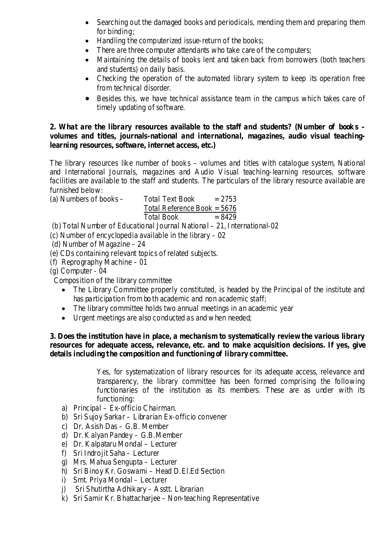- Searching out the damaged books and periodicals, mending them and preparing them for binding;
- Handling the computerized issue-return of the books;
- There are three computer attendants who take care of the computers;
- Maintaining the details of books lent and taken back from borrowers (both teachers and students) on daily basis.
- Checking the operation of the automated library system to keep its operation free from technical disorder.
- Besides this, we have technical assistance team in the campus which takes care of timely updating of software.

## **2. What are the library resources available to the staff and students? (Number of books – volumes and titles, journals-national and international, magazines, audio visual teachinglearning resources, software, internet access, etc.)**

The library resources like number of books – volumes and titles with catalogue system, National and International Journals, magazines and Audio Visual teaching-learning resources, software facilities are available to the staff and students. The particulars of the library resource available are furnished below:

(a) Numbers of books – Total Text Book =  $2753$ Total Book  $= 8429$ Total Reference Book = 5676

(b) Total Number of Educational Journal Nationa l – 21, International-02

- (c) Number of encyclopedia available in the library  $-02$
- (d) Number of Magazine 24
- (e) CDs containing relevant topics of related subjects.
- (f) Reprography Machine 01
- (g) Computer 04

Composition of the library committee

- The Library Committee properly constituted, is headed by the Principal of the institute and has pa rticipa tion from bo th academic and non academic staff;
- The library committee holds two annual meetings in an academic year
- Urgent meetings are also conducted as and when needed;

## **3. Does the institution have in place, a mechanism to systematically review the various library resources for adequate access, relevance, etc. and to make acquisition decisions. If yes, give details including the composition and functioning of library committee.**

Yes, for systematization of library resources for its adequate access, relevance and transparency, the library committee has been formed comprising the following functionaries of the institution as its members. These are as under with its functioning:

- a) Principal Ex-officio Chairman.
- b) Sri Sujoy Sarkar Librarian Ex-officio convener
- c) Dr. Asish Das G.B. Member
- d) Dr. Kalyan Pandey G.B.Member
- e) Dr. Kalpataru Mondal Lecturer
- f) Sri Indrojit Saha Lecturer
- g) Mrs. Mahua Sengupta Lecturer
- h) Sri Binoy Kr. Goswami Head D.El.Ed Section
- i) Smt. Priya Mondal Lecturer
- j) Sri Shutirtha Adhikary Asstt. Librarian
- k) Sri Samir Kr. Bhattacharjee Non-teaching Representative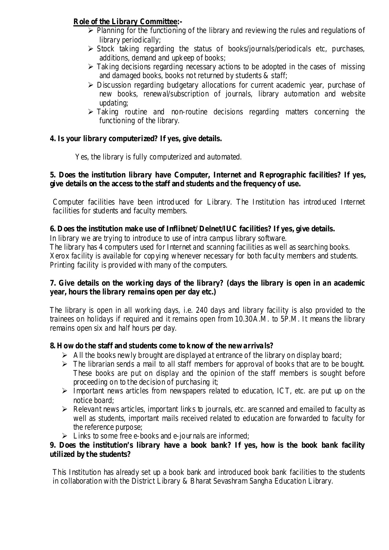# **Role of the Library Committee :-**

- $\triangleright$  Planning for the functioning of the library and reviewing the rules and regulations of library periodically;
- $\triangleright$  Stock taking regarding the status of books/journals/periodicals etc, purchases, additions, demand and upkeep of books;
- $\triangleright$  Taking decisions regarding necessary actions to be adopted in the cases of missing and damaged books, books not returned by students & staff;
- $\triangleright$  Discussion regarding budgetary allocations for current academic year, purchase of new books, renewal/subscription of journals, library automation and website updating;
- $\triangleright$  Taking routine and non-routine decisions regarding matters concerning the functioning of the library.

## **4. Is your library computerized? If yes, give details.**

Yes, the library is fully computerized and automated.

## **5. Does the institution library have Computer, Internet and Reprographic facilities? If yes, give details on the access to the staff and students and the frequency of use.**

Computer facilities have been introduced for Library. The Institution has introduced Internet facilities for students and faculty members.

## **6. Does the institution make use of Inflibnet/ Delnet/IUC facilities? If yes, give details.**

In library we are trying to introduce to use of intra campus library software.

The library has 4 computers used for Internet and scanning facilities as well as searching books. Xerox facility is available for copying whenever necessary for both faculty members and students. Printing facility is provided with many of the computers.

## **7. Give details on the working days of the library? (days the library is open in an academic year, hours the library remains open per day etc.)**

The library is open in all working days, i.e. 240 days and library facility is also provided to the trainees on holidays if required and it remains open from 10.30A.M. to 5P.M. It means the library remains open six and half hours per day.

## **8. How do the staff and students come to know of the new arriva ls?**

- $\triangleright$  All the books newly brought are displayed at entrance of the library on display board;
- $\triangleright$  The librarian sends a mail to all staff members for approval of books that are to be bought. These books are put on display and the opinion of the staff members is sought before proceeding on to the decision of purchasing it;
- $\triangleright$  Important news articles from newspapers related to education, ICT, etc. are put up on the notice board;
- $\triangleright$  Relevant news articles, important links to journals, etc. are scanned and emailed to faculty as well as students, important mails received related to education are forwarded to faculty for the reference purpose;
- $\triangleright$  Links to some free e-books and e-journals are informed;

## **9. Does the institution's library have a book bank? If yes, how is the book bank facility utilized by the students?**

This Institution has already set up a book bank and introduced book bank facilities to the students in collaboration with the District Library & Bharat Sevashram Sangha Education Library.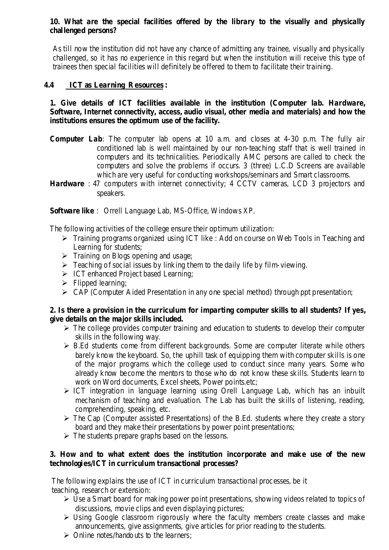## **10. What are the special facilities offered by the library to the visually and physically challenged persons?**

As till now the institution did not have any chance of admitting any trainee, visually and physically challenged, so it has no experience in this regard but when the institution will receive this type of trainees then special facilities will definitely be offered to them to facilitate their training.

## **4.4 ICT as Learning Resources :**

## **1. Give details of ICT facilities available in the institution (Computer lab. Hardware, Software, Internet connectivity, access, audio visual, other media and materials) and how the institutions ensures the optimum use of the facility.**

- **Computer Lab**: The computer lab opens at 10 a.m. and closes at 4-30 p.m. The fully air conditioned lab is well maintained by our non-teaching staff that is well trained in computers and its technicalities. Periodically AMC persons are called to check the computers and solve the problems if occurs. 3 (three) L.C.D Screens are available which are very useful for conducting workshops/seminars and Smart classrooms.
- **Hardware** : 47 computers with internet connectivity; 4 CCTV cameras, LCD 3 projectors and speakers.

**Software like** : Orrell Language Lab, MS-Office, Windows XP.

The following activities of the college ensure their optimum utilization:

- Training programs organized using ICT like : Add on course on Web Tools in Teaching and Learning for students;
- $\triangleright$  Training on Blogs opening and usage;
- $\triangleright$  Teaching of social issues by linking them to the daily life by film-viewing.
- > ICT enhanced Project based Learning;
- $\triangleright$  Flipped learning;
- $\triangleright$  CAP (Computer Aided Presentation in any one special method) through ppt presentation;

#### **2. Is there a provision in the curriculum for imparting computer skills to all students? If yes, give details on the major skills included.**

- $\triangleright$  The college provides computer training and education to students to develop their computer skills in the following way.
- $\triangleright$  B.Ed students come from different backgrounds. Some are computer literate while others barely know the keyboard. So, the uphill task of equipping them with computer skills is one of the major programs which the college used to conduct since many years. Some who already know become the mentors to those who do not know these skills. Students learn to work on Word documents, Excel sheets, Power points.etc;
- $\triangleright$  ICT integration in language learning using Orell Language Lab, which has an inbuilt mechanism of teaching and evaluation. The Lab has built the skills of listening, reading, comprehending, speaking, etc.
- $\triangleright$  The Cap (Computer assisted Presentations) of the B.Ed. students where they create a story board and they make their presentations by power point presentations;
- $\triangleright$  The students prepare graphs based on the lessons.

## **3. How and to what extent does the institution incorporate and make use of the new technologies/ICT in curriculum transactional processes?**

The following explains the use of ICT in curriculum transactional processes, be it teaching, research or extension:

- $\triangleright$  Use a Smart board for making power point presentations, showing videos related to topics of discussions, movie clips and even displaying pictures;
- $\triangleright$  Using Google classroom rigorously where the faculty members create classes and make announcements, give assignments, give articles for prior reading to the students.
- $\triangleright$  Online notes/handouts to the learners: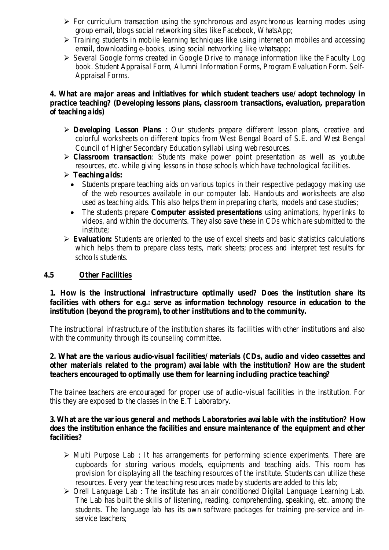- $\triangleright$  For curriculum transaction using the synchronous and asynchronous learning modes using group email, blogs social networking sites like Facebook, WhatsApp;
- $\triangleright$  Training students in mobile learning techniques like using internet on mobiles and accessing email, downloading e-books, using social networking like whatsapp;
- $\triangleright$  Several Google forms created in Google Drive to manage information like the Faculty Log book. Student Appraisal Form, Alumni Information Forms, Program Evaluation Form. Self-Appraisal Forms.

## **4. What are major areas and initiatives for which student teachers use/ adopt technology in practice teaching? (Developing lessons plans, classroom transactions, evaluation, preparation of teaching aids)**

- **Developing Lesson Plans** : Our students prepare different lesson plans, creative and colorful worksheets on different topics from West Bengal Board of S.E. and West Bengal Council of Higher Secondary Education syllabi using web resources.
- **Classroom transaction**: Students make power point presentation as well as youtube resources, etc. while giving lessons in those schools which have technological facilities.

## **Teaching aids:**

- Students prepare teaching aids on various topics in their respective pedagogy making use of the web resources available in our computer lab. Handouts and worksheets are also used as teaching aids. This also helps them in preparing charts, models and case studies;
- The students prepare **Computer assisted presentations** using animations, hyperlinks to videos, and within the documents. They also save these in CDs which are submitted to the institute;
- **Evaluation:** Students are oriented to the use of excel sheets and basic statistics calculations which helps them to prepare class tests, mark sheets; process and interpret test results for schools students.

## **4.5 Other Facilities**

## **1. How is the instructional infrastructure optimally used? Does the institution share its facilities with others for e.g.: serve as information technology resource in education to the institution (beyond the program), to ot her institutions and to the community.**

The instructional infrastructure of the institution shares its facilities with other institutions and also with the community through its counseling committee.

## **2. What are the various audio-visual facilities/ materials (CDs, audio and video cassettes and other materials related to the program) avai lable with the institution? How are the student teachers encouraged to optimally use them for learning including practice teaching?**

The trainee teachers are encouraged for proper use of audio-visual facilities in the institution. For this they are exposed to the classes in the E.T Laboratory.

## **3. What are the various general and methods Laboratories avai lable with the institution? How does the institution enhance the facilities and ensure maintenance of the equipment and other facilities?**

- $\triangleright$  Multi Purpose Lab : It has arrangements for performing science experiments. There are cupboards for storing various models, equipments and teaching aids. This room has provision for displaying all the teaching resources of the institute. Students can utilize these resources. Every year the teaching resources made by students are added to this lab;
- $\triangleright$  Orell Language Lab : The institute has an air conditioned Digital Language Learning Lab. The Lab has built the skills of listening, reading, comprehending, speaking, etc. among the students. The language lab has its own software packages for training pre-service and inservice teachers;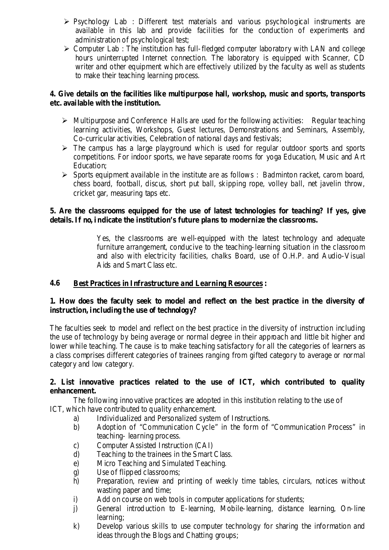- $\triangleright$  Psychology Lab : Different test materials and various psychological instruments are available in this lab and provide facilities for the conduction of experiments and administration of psychological test;
- $\triangleright$  Computer Lab : The institution has full-fledged computer laboratory with LAN and college hours uninterrupted Internet connection. The laboratory is equipped with Scanner, CD writer and other equipment which are effectively utilized by the faculty as well as students to make their teaching learning process.

## **4. Give details on the facilities like multipurpose hall, workshop, music and sports, transports etc. available with the institution.**

- $\triangleright$  Multipurpose and Conference Halls are used for the following activities: Regular teaching learning activities, Workshops, Guest lectures, Demonstrations and Seminars, Assembly, Co-curricular activities, Celebration of national days and festivals;
- $\triangleright$  The campus has a large playground which is used for regular outdoor sports and sports competitions. For indoor sports, we have separate rooms for yoga Education, Music and Art Education;
- $\triangleright$  Sports equipment available in the institute are as follows : Badminton racket, carom board, chess board, football, discus, short put ball, skipping rope, volley ball, net javelin throw, cricket gar, measuring taps etc.

## **5. Are the classrooms equipped for the use of latest technologies for teaching? If yes, give details. If no, i ndicate the institution's future plans to modernize the classrooms.**

Yes, the classrooms are well-equipped with the latest technology and adequate furniture arrangement, conducive to the teaching-learning situation in the classroom and also with electricity facilities, chalks Board, use of O.H.P. and Audio-Visual Aids and Smart Class etc.

## **4.6 Best Practices in Infrastructure and Learning Resources :**

## **1. How does the faculty seek to model and reflect on the best practice in the diversity of instruction, including the use of technology?**

The faculties seek to model and reflect on the best practice in the diversity of instruction including the use of technology by being average or normal degree in their approach and little bit higher and lower while teaching. The cause is to make teaching satisfactory for all the categories of learners as a class comprises different categories of trainees ranging from gifted category to average or normal category and low category.

## **2. List innovative practices related to the use of ICT, which contributed to quality enhancement.**

The following innovative practices are adopted in this institution relating to the use of ICT, which have contributed to quality enhancement.

- a) Individualized and Personalized system of Instructions.
- b) Adoption of "Communication Cycle" in the form of "Communication Process" in teaching- learning process.
- c) Computer Assisted Instruction (CAI)
- d) Teaching to the trainees in the Smart Class.
- e) Micro Teaching and Simulated Teaching.
- g) Use of flipped classrooms;
- h) Preparation, review and printing of weekly time tables, circulars, notices without wasting paper and time;
- i) Add on course on web tools in computer applications for students;
- j) General introduction to E-learning, Mobile-learning, distance learning, On-line learning;
- k) Develop various skills to use computer technology for sharing the information and ideas through the Blogs and Chatting groups;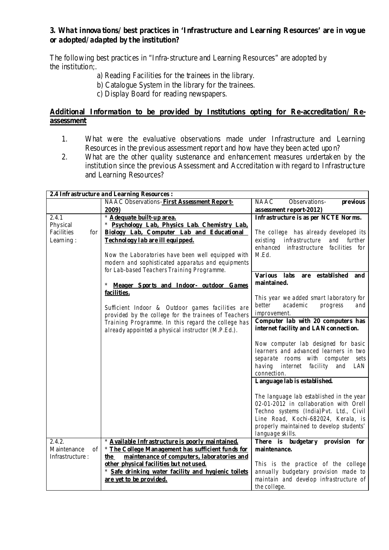## **3. What innova tions/ best practices in 'Infrastructure and Learning Resources' are in vog ue or adopted/ adapted by the institution?**

The following best practices in "Infra-structure and Learning Resources" are adopted by the institution;.

- a) Reading Facilities for the trainees in the library.
- b) Catalogue System in the library for the trainees.
- c) Display Board for reading newspapers.

## **Additional Information to be provided by Institutions opting for Re-accreditation/ Reassessment**

- 1. What were the evaluative observations made under Infrastructure and Learning Resources in the previous assessment report and how have they been acted upon?
- 2. What are the other quality sustenance and enhancement measures undertaken by the institution since the previous Assessment and Accreditation with regard to Infrastructure and Learning Resources?

|                   | 2.4 Infrastructure and Learning Resources :          |                                                                            |
|-------------------|------------------------------------------------------|----------------------------------------------------------------------------|
|                   | NAAC Observations-First Assessment Report-           | <b>NAAC</b><br>Observations-<br>previous                                   |
|                   | 2009)                                                | assessment report-2012)                                                    |
| 2.4.1             | * Adequate built-up area.                            | Infrastructure is as per NCTE Norms.                                       |
| Physical          | * Psychology Lab, Physics Lab. Chemistry Lab,        |                                                                            |
| Facilities<br>for | Biology Lab, Computer Lab and Educational            | The college has already developed its                                      |
| Learning:         | Technology lab are ill equipped.                     | existing<br>infrastructure<br>and further                                  |
|                   |                                                      | enhanced infrastructure facilities for                                     |
|                   | Now the Laboratories have been well equipped with    | M.Ed.                                                                      |
|                   | modern and sophisticated apparatus and equipments    |                                                                            |
|                   | for Lab-based Teachers Training Programme.           |                                                                            |
|                   |                                                      | Various labs<br>established<br>are<br>and                                  |
|                   | * Meager Sports and Indoor- outdoor Games            | maintained.                                                                |
|                   | facilities.                                          |                                                                            |
|                   |                                                      | This year we added smart laboratory for                                    |
|                   | Sufficient Indoor & Outdoor games facilities are     | better<br>academic<br>and<br>progress                                      |
|                   | provided by the college for the trainees of Teachers | improvement.                                                               |
|                   | Training Programme. In this regard the college has   | Computer lab with 20 computers has                                         |
|                   | already appointed a physical instructor (M.P.Ed.).   | internet facility and LAN connection.                                      |
|                   |                                                      |                                                                            |
|                   |                                                      | Now computer lab designed for basic                                        |
|                   |                                                      | learners and advanced learners in two<br>separate rooms with computer sets |
|                   |                                                      | having internet facility and LAN                                           |
|                   |                                                      | connection.                                                                |
|                   |                                                      | Language lab is established.                                               |
|                   |                                                      |                                                                            |
|                   |                                                      | The language lab established in the year                                   |
|                   |                                                      | 02-01-2012 in collaboration with Orell                                     |
|                   |                                                      | Techno systems (India)Pvt. Ltd., Civil                                     |
|                   |                                                      | Line Road, Kochi-682024, Kerala, is                                        |
|                   |                                                      | properly maintained to develop students'                                   |
|                   |                                                      | language skills.                                                           |
| 2.4.2.            | * Available Infrastructure is poorly maintained.     | There is budgetary provision for                                           |
| Maintenance<br>οf | * The College Management has sufficient funds for    | maintenance.                                                               |
| Infrastructure:   | maintenance of computers, laboratories and<br>the    |                                                                            |
|                   | other physical facilities but not used.              | This is the practice of the college                                        |
|                   | * Safe drinking water facility and hygienic toilets  | annually budgetary provision made to                                       |
|                   | are yet to be provided.                              | maintain and develop infrastructure of                                     |
|                   |                                                      | the college.                                                               |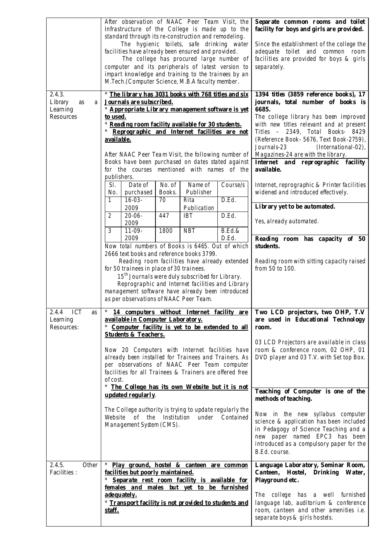| 2.4.3.                                         | After observation of NAAC Peer Team Visit, the<br>Infrastructure of the College is made up to the<br>standard through its re-construction and remodeling.<br>The hygienic toilets, safe drinking water<br>facilities have already been ensured and provided.<br>The college has procured large number of<br>computer and its peripherals of latest version to<br>impart knowledge and training to the trainees by an<br>M.Tech.(Computer Science, M.B.A faculty member.<br>* The library has 3031 books with 768 titles and six                                                                                                                                                          | Separate common rooms and toilet<br>facility for boys and girls are provided.<br>Since the establishment of the college the<br>adequate toilet and common room<br>facilities are provided for boys & girls<br>separately.<br>1394 titles (3859 reference books), 17                                                                                                                                                                                                                               |
|------------------------------------------------|------------------------------------------------------------------------------------------------------------------------------------------------------------------------------------------------------------------------------------------------------------------------------------------------------------------------------------------------------------------------------------------------------------------------------------------------------------------------------------------------------------------------------------------------------------------------------------------------------------------------------------------------------------------------------------------|---------------------------------------------------------------------------------------------------------------------------------------------------------------------------------------------------------------------------------------------------------------------------------------------------------------------------------------------------------------------------------------------------------------------------------------------------------------------------------------------------|
| Library<br>as<br>a<br>Learning<br>Resources    | Journals are subscribed.<br>* Appropriate Library management software is yet<br>to used.<br>* Reading room facility available for 30 students.<br>* Reprographic and Internet facilities are not<br>available.<br>After NAAC Peer Team Visit, the following number of<br>Books have been purchased on dates stated against<br>for the courses mentioned with names of the<br>publishers.                                                                                                                                                                                                                                                                                                 | journals, total number of books is<br>6685.<br>The college library has been improved<br>with new titles relevant and at present<br>Titles - 2349, Total Books- 8429<br>(Reference Book- 5676, Text Book-2759),<br>Journals-23<br>(International-02),<br>Magazines-24 are with the library.<br>Internet and reprographic facility<br>available.                                                                                                                                                    |
|                                                | Sl.<br>Date of<br>No. of<br>Course/s<br>Name of<br>Publisher<br>No.<br>purchased<br>Books.<br>$16 - 03 -$<br>70<br>D.Ed.<br>$\mathcal{I}$<br>Rita<br>2009<br>Publication<br>$\overline{c}$<br>$20 - 06 -$<br>447<br>D.Ed.<br><b>IBT</b><br>2009<br>$B.Ed.\&$<br>$\mathfrak{Z}$<br>$11-09-$<br>1800<br>NBT<br>2009<br>D.Ed.<br>Now total numbers of Books is 6465. Out of which<br>2666 text books and reference books 3799.<br>Reading room facilities have already extended<br>for 50 trainees in place of 30 trainees.<br>$15^{th}$ Journals were duly subscribed for Library.<br>Reprographic and Internet facilities and Library<br>management software have already been introduced | Internet, reprographic & Printer facilities<br>widened and introduced effectively.<br>Library yet to be automated.<br>Yes, already automated.<br>Reading room has capacity of 50<br>students.<br>Reading room with sitting capacity raised<br>from 50 to 100.                                                                                                                                                                                                                                     |
| 2.4.4<br>– ICT<br>as<br>Learning<br>Resources: | as per observations of NAAC Peer Team.<br>14 computers without Internet facility are<br>available in Computer Laboratory.<br>Computer facility is yet to be extended to all<br><b>Students &amp; Teachers.</b><br>Now 20 Computers with Internet facilities have<br>already been installed for Trainees and Trainers. As<br>per observations of NAAC Peer Team computer<br>facilities for all Trainees & Trainers are offered free<br>of cost.<br>* The College has its own Website but it is not<br>updated regularly.<br>The College authority is trying to update regularly the<br>Website of the Institution<br>under<br>Contained<br>Management System (CMS).                       | Two LCD projectors, two OHP, T.V<br>are used in Educational Technology<br>room.<br>03 LCD Projectors are available in class<br>room & conference room, 02 OHP, 01<br>DVD player and 03 T.V. with Set top Box.<br>Teaching of Computer is one of the<br>methods of teaching.<br>Now in the new syllabus computer<br>science & application has been included<br>in Pedagogy of Science Teaching and a<br>new paper named EPC3 has been<br>introduced as a compulsory paper for the<br>B.Ed. course. |
| 2.4.5.<br>Other<br>Facilities :                | Play ground, hostel & canteen are common<br>$*$<br>facilities but poorly maintained.<br>Separate rest room facility is available for<br>females and males but yet to be furnished<br>adequately.<br>* Transport facility is not provided to students and<br>staff.                                                                                                                                                                                                                                                                                                                                                                                                                       | Language Laboratory, Seminar Room,<br>Canteen, Hostel,<br>Drinking Water,<br>Playground etc.<br>The college has a well furnished<br>language lab, auditorium & conference<br>room, canteen and other amenities i.e.<br>separate boys & girls hostels.                                                                                                                                                                                                                                             |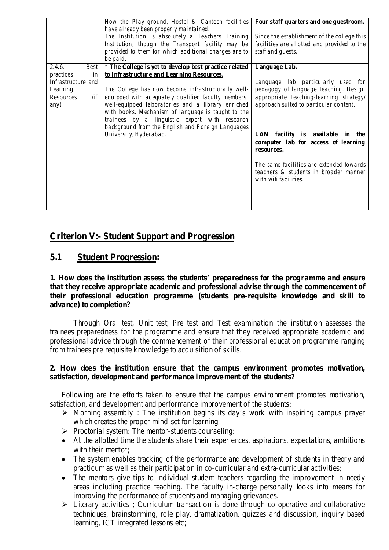|                    |      | Now the Play ground, Hostel & Canteen facilities<br>have already been properly maintained.<br>The Institution is absolutely a Teachers Training<br>Institution, though the Transport facility may be<br>provided to them for which additional charges are to         | Four staff quarters and one guestroom.<br>Since the establishment of the college this<br>facilities are allotted and provided to the<br>staff and guests.                        |
|--------------------|------|----------------------------------------------------------------------------------------------------------------------------------------------------------------------------------------------------------------------------------------------------------------------|----------------------------------------------------------------------------------------------------------------------------------------------------------------------------------|
| 2.4.6.             | Best | be paid.<br>* The College is yet to develop best practice related                                                                                                                                                                                                    | Language Lab.                                                                                                                                                                    |
| practices          | in   | to Infrastructure and Learning Resources.                                                                                                                                                                                                                            |                                                                                                                                                                                  |
| Infrastructure and |      |                                                                                                                                                                                                                                                                      | Language lab particularly used for                                                                                                                                               |
| Learning           |      | The College has now become infrastructurally well-                                                                                                                                                                                                                   | pedagogy of language teaching. Design                                                                                                                                            |
| Resources<br>any)  | (ii) | equipped with adequately qualified faculty members,<br>well-equipped laboratories and a library enriched<br>with books. Mechanism of language is taught to the<br>trainees by a linguistic expert with research<br>background from the English and Foreign Languages | appropriate teaching-learning strategy/<br>approach suited to particular content.                                                                                                |
|                    |      | University, Hyderabad.                                                                                                                                                                                                                                               | LAN facility is available<br>in<br>the<br>computer lab for access of learning<br>resources.<br>The same facilities are extended towards<br>teachers & students in broader manner |
|                    |      |                                                                                                                                                                                                                                                                      | with wift facilities.                                                                                                                                                            |

# **Criterion V:- Student Support and Progression**

# **5.1 Student Progression:**

## **1. How does the institution assess the students' preparedness for the programme and ensure that they receive appropriate academic and professional advise through the commencement of their professional education programme (students pre-requisite knowledge and skill to advance) to completion?**

Through Oral test, Unit test, Pre test and Test examination the institution assesses the trainees preparedness for the programme and ensure that they received appropriate academic and professional advice through the commencement of their professional education programme ranging from trainees pre requisite knowledge to acquisition of skills.

## **2. How does the institution ensure that the campus environment promotes motivation, satisfaction, development and performance improve ment of the students?**

Following are the efforts taken to ensure that the campus environment promotes motivation, satisfaction, and development and performance improvement of the students;

- $\triangleright$  Morning assembly : The institution begins its day's work with inspiring campus prayer which creates the proper mind-set for learning;
- $\triangleright$  Proctorial system: The mentor-students counseling:
- At the allotted time the students share their experiences, aspirations, expectations, ambitions with their mentor;
- The system enables tracking of the performance and development of students in theory and practicum as well as their participation in co-curricular and extra-curricular activities;
- The mentors give tips to individual student teachers regarding the improvement in needy areas including practice teaching. The faculty in-charge personally looks into means for improving the performance of students and managing grievances.
- $\triangleright$  Literary activities ; Curriculum transaction is done through co-operative and collaborative techniques, brainstorming, role play, dramatization, quizzes and discussion, inquiry based learning, ICT integrated lessons etc;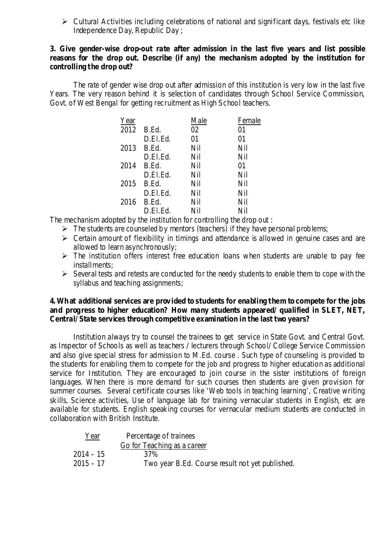$\triangleright$  Cultural Activities including celebrations of national and significant days, festivals etc like Independence Day, Republic Day ;

## **3. Give gender-wise drop-out rate after admission in the last five years and list possible reasons for the drop out. Describe (if any) the mechanism adopted by the institution for controlling the drop out?**

The rate of gender wise drop out after admission of this institution is very low in the last five Years. The very reason behind it is selection of candidates through School Service Commission, Govt. of West Bengal for getting recruitment as High School teachers.

| Year |          | Male | Female |
|------|----------|------|--------|
| 2012 | B.Ed.    | 02   | 01     |
|      | D.El.Ed. | 01   | 01     |
| 2013 | B.Ed.    | Nil  | Nil    |
|      | D.El.Ed. | Nil  | Nil    |
| 2014 | B.Ed.    | Nil  | 01     |
|      | D.El.Ed. | Nil  | Nil    |
| 2015 | B.Ed.    | Nil  | Nil    |
|      | D.El.Ed. | Nil  | Nil    |
| 2016 | B.Ed.    | Nil  | Nil    |
|      | D.El.Ed. | Nil  | Nil    |

The mechanism adopted by the institution for controlling the drop out :

- $\triangleright$  The students are counseled by mentors (teachers) if they have personal problems;
- $\triangleright$  Certain amount of flexibility in timings and attendance is allowed in genuine cases and are allowed to learn asynchronously;
- $\triangleright$  The institution offers interest free education loans when students are unable to pay fee installments;
- $\triangleright$  Several tests and retests are conducted for the needy students to enable them to cope with the syllabus and teaching assignments;

## **4. What additional services are provided to students for enabling them to compete for the jobs and progress to higher education? How many students appeared/ qualified in SLET, NET, Central/ State services through competitive examination in the last two years?**

Institution always try to counsel the trainees to get service in State Govt. and Central Govt. as Inspector of Schools as well as teachers / lecturers through School/ College Service Commission and also give special stress for admission to M.Ed. course . Such type of counseling is provided to the students for enabling them to compete for the job and progress to higher education as additional service for Institution. They are encouraged to join course in the sister institutions of foreign languages. When there is more demand for such courses then students are given provision for summer courses. Several certificate courses like 'Web tools in teaching learning', Creative writing skills, Science activities, Use of language lab for training vernacular students in English, etc are available for students. English speaking courses for vernacular medium students are conducted in collaboration with British Institute.

| Year        | Percentage of trainees                          |
|-------------|-------------------------------------------------|
|             | Go for Teaching as a career                     |
| $2014 - 15$ | 37%                                             |
| $2015 - 17$ | Two year B.Ed. Course result not yet published. |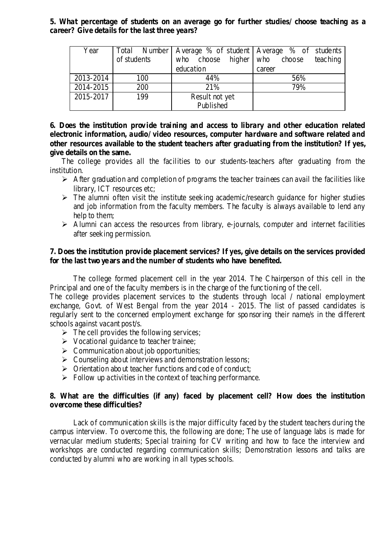## **5. What percentage of students on an average go for further studies/ choose teaching as a career? Give details for the last three years?**

| Year      |             |                         | Total Number   Average % of student   Average % of students |
|-----------|-------------|-------------------------|-------------------------------------------------------------|
|           | of students | choose<br>higher<br>who | choose<br>who<br>teaching                                   |
|           |             | education               | career                                                      |
| 2013-2014 | 100         | 44%                     | 56%                                                         |
| 2014-2015 | 200         | 21%                     | 79%                                                         |
| 2015-2017 | 199         | Result not yet          |                                                             |
|           |             | Published               |                                                             |

**6. Does the institution provide training and access to library and other education related electronic information, audio/ video resources, computer hardware and software related and other resources available to the student teachers after graduating from the institution? If yes, give details on the same.**

The college provides all the facilities to our students-teachers after graduating from the institution.

- $\triangleright$  After graduation and completion of programs the teacher trainees can avail the facilities like library, ICT resources etc;
- $\triangleright$  The alumni often visit the institute seeking academic/research guidance for higher studies and job information from the faculty members. The faculty is always available to lend any help to them;
- $\triangleright$  Alumni can access the resources from library, e-journals, computer and internet facilities after seeking permission.

## **7. Does the institution provide placement services? If yes, give details on the services provided for the last two ye ars and the number of students who have benefited.**

The college formed placement cell in the year 2014. The Chairperson of this cell in the Principal and one of the faculty members is in the charge of the functioning of the cell.

The college provides placement services to the students through local / national employment exchange, Govt. of West Bengal from the year 2014 - 2015. The list of passed candidates is regularly sent to the concerned employment exchange for sponsoring their name/s in the different schools against vacant post/s.

- $\triangleright$  The cell provides the following services;
- $\triangleright$  Vocational guidance to teacher trainee;
- $\triangleright$  Communication about job opportunities;
- $\triangleright$  Counseling about interviews and demonstration lessons;
- $\triangleright$  Orientation about teacher functions and code of conduct:
- $\triangleright$  Follow up activities in the context of teaching performance.

## **8. What are the difficulties (if any) faced by placement cell? How does the institution overcome these difficulties?**

Lack of communication skills is the major difficulty faced by the student teachers during the campus interview. To overcome this, the following are done; The use of language labs is made for vernacular medium students; Special training for CV writing and how to face the interview and workshops are conducted regarding communication skills; Demonstration lessons and talks are conducted by alumni who are working in all types schools.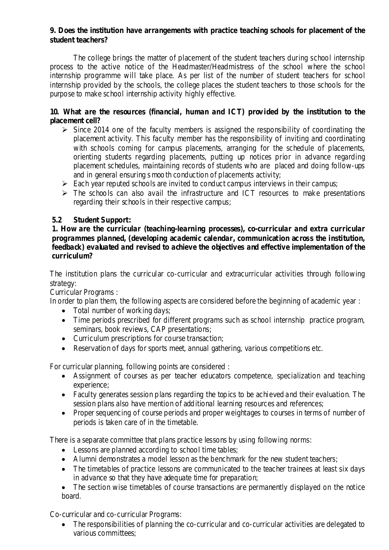## **9. Does the institution have arrangements with practice teaching schools for placement of the student teachers?**

The college brings the matter of placement of the student teachers during school internship process to the active notice of the Headmaster/Headmistress of the school where the school internship programme will take place. As per list of the number of student teachers for school internship provided by the schools, the college places the student teachers to those schools for the purpose to make school internship activity highly effective.

## **10. What are the resources (financial, human and ICT) provided by the institution to the placement cell?**

- $\triangleright$  Since 2014 one of the faculty members is assigned the responsibility of coordinating the placement activity. This faculty member has the responsibility of inviting and coordinating with schools coming for campus placements, arranging for the schedule of placements, orienting students regarding placements, putting up notices prior in advance regarding placement schedules, maintaining records of students who are placed and doing follow-ups and in general ensuring s mooth conduction of placements activity;
- $\triangleright$  Each year reputed schools are invited to conduct campus interviews in their campus;
- $\triangleright$  The schools can also avail the infrastructure and ICT resources to make presentations regarding their schools in their respective campus;

## **5.2 Student Support:**

**1. How are the curricular (teaching-learning processes), co-curricular and extra curricular programmes planned, (developing academic calendar, communication across the institution, feedback) evaluated and revised to achieve the objectives and effective implementation of the curriculum?**

The institution plans the curricular co-curricular and extracurricular activities through following strategy:

Curricular Programs :

In order to plan them, the following aspects are considered before the beginning of academic year :

- Total number of working days;
- Time periods prescribed for different programs such as school internship practice program, seminars, book reviews, CAP presentations;
- Curriculum prescriptions for course transaction;
- Reservation of days for sports meet, annual gathering, various competitions etc.

For curricular planning, following points are considered :

- Assignment of courses as per teacher educators competence, specialization and teaching experience;
- Faculty generates session plans regarding the topics to be achieved and their evaluation. The session plans also have mention of additional learning resources and references;
- Proper sequencing of course periods and proper weightages to courses in terms of number of periods is taken care of in the timetable.

There is a separate committee that plans practice lessons by using following norms:

- Lessons are planned according to school time tables;
- Alumni demonstrates a model lesson as the benchmark for the new student teachers;
- The timetables of practice lessons are communicated to the teacher trainees at least six days in advance so that they have adequate time for preparation;
- The section wise timetables of course transactions are permanently displayed on the notice board.

Co-curricular and co-curricular Programs:

• The responsibilities of planning the co-curricular and co-curricular activities are delegated to various committees;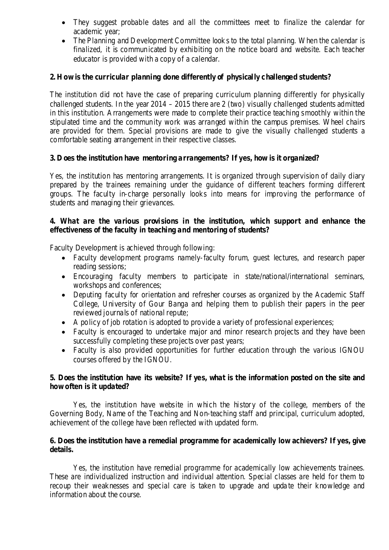- They suggest probable dates and all the committees meet to finalize the calendar for academic year;
- The Planning and Development Committee looks to the total planning. When the calendar is finalized, it is communicated by exhibiting on the notice board and website. Each teacher educator is provided with a copy of a calendar.

## **2. How is the curricular planning done differently of physically challenged students?**

The institution did not have the case of preparing curriculum planning differently for physically challenged students. In the year  $2014 - 2015$  there are 2 (two) visually challenged students admitted in this institution. Arrangements were made to complete their practice teaching smoothly within the stipulated time and the community work was arranged within the campus premises. Wheel chairs are provided for them. Special provisions are made to give the visually challenged students a comfortable seating arrangement in their respective classes.

## **3. D oes the institution have mentoring arrangements? If yes, how is it organized?**

Yes, the institution has mentoring arrangements. It is organized through supervision of daily diary prepared by the trainees remaining under the guidance of different teachers forming different groups. The faculty in-charge personally looks into means for improving the performance of students and managing their grievances.

## **4. What are the various provisions in the institution, which support and enhance the effectiveness of the faculty in teaching and mentoring of students?**

Faculty Development is achieved through following:

- Faculty development programs namely-faculty forum, guest lectures, and research paper reading sessions;
- Encouraging faculty members to participate in state/national/international seminars, workshops and conferences;
- Deputing faculty for orientation and refresher courses as organized by the Academic Staff College, University of Gour Banga and helping them to publish their papers in the peer reviewed journals of national repute;
- A policy of job rotation is adopted to provide a variety of professional experiences;
- Faculty is encouraged to undertake major and minor research projects and they have been successfully completing these projects over past years;
- Faculty is also provided opportunities for further education through the various IGNOU courses offered by the IGNOU.

#### **5. Does the institution have its website? If yes, what is the information posted on the site and how often is it updated?**

Yes, the institution have website in which the history of the college, members of the Governing Body, Name of the Teaching and Non-teaching staff and principal, curriculum adopted, achievement of the college have been reflected with updated form.

#### **6. Does the institution have a remedial programme for academically low achievers? If yes, give details.**

Yes, the institution have remedial programme for academically low achievements trainees. These are individualized instruction and individual attention. Special classes are held for them to recoup their weaknesses and special care is taken to upgrade and upda te their knowledge and information about the course.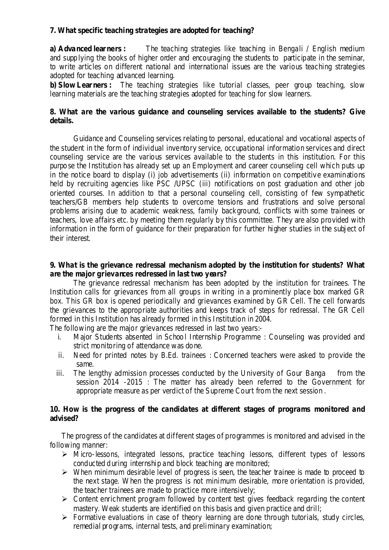## **7. What specific teaching strategies are adopted for teaching?**

**a) Advanced learners :** The teaching strategies like teaching in Bengali / English medium and supplying the books of higher order and encouraging the students to participate in the seminar, to write articles on different national and international issues are the various teaching strategies adopted for teaching advanced learning.

**b) Slow Learners :** The teaching strategies like tutorial classes, peer group teaching, slow learning materials are the teaching strategies adopted for teaching for slow learners.

## **8. What are the various guidance and counseling services available to the students? Give details.**

Guidance and Counseling services relating to personal, educational and vocational aspects of the student in the form of individual inventory service, occupational information services and direct counseling service are the various services available to the students in this institution. For this purpose the Institution has already set up an Employment and career counseling cell which puts up in the notice board to display (i) job advertisements (ii) information on competitive examinations held by recruiting agencies like PSC /UPSC (iii) notifications on post graduation and other job oriented courses. In addition to that a personal counseling cell, consisting of few sympathetic teachers/GB members help students to overcome tensions and frustrations and solve personal problems arising due to academic weakness, family background, conflicts with some trainees or teachers, love affairs etc. by meeting them regularly by this committee. They are also provided with information in the form of guidance for their preparation for further higher studies in the subject of their interest.

#### **9. What is the grievance redressal mechanism adopted by the institution for students? What are the major grievances redressed in last two years?**

The grievance redressal mechanism has been adopted by the institution for trainees. The Institution calls for grievances from all groups in writing in a prominently place box marked GR box. This GR box is opened periodically and grievances examined by GR Cell. The cell forwards the grievances to the appropriate authorities and keeps track of steps for redressal. The GR Cell formed in this Institution has already formed in this Institution in 2004.

The following are the major grievances redressed in last two years:-

- i. Major Students absented in School Internship Programme : Counseling was provided and strict monitoring of attendance was done.
- ii. Need for printed notes by B.Ed. trainees : Concerned teachers were asked to provide the same.
- iii. The lengthy admission processes conducted by the University of Gour Banga from the session 2014 -2015 : The matter has already been referred to the Government for appropriate measure as per verdict of the Supreme Court from the next session .

#### **10. How is the progress of the candidates at different stages of programs monitored and advised?**

The progress of the candidates at different stages of programmes is monitored and advised in the following manner:

- Micro-lessons, integrated lessons, practice teaching lessons, different types of lessons conducted during internship and block teaching are monitored;
- $\triangleright$  When minimum desirable level of progress is seen, the teacher trainee is made to proceed to the next stage. When the progress is not minimum desirable, more orientation is provided, the teacher trainees are made to practice more intensively;
- $\triangleright$  Content enrichment program followed by content test gives feedback regarding the content mastery. Weak students are identified on this basis and given practice and drill;
- $\triangleright$  Formative evaluations in case of theory learning are done through tutorials, study circles, remedial programs, internal tests, and preliminary examination;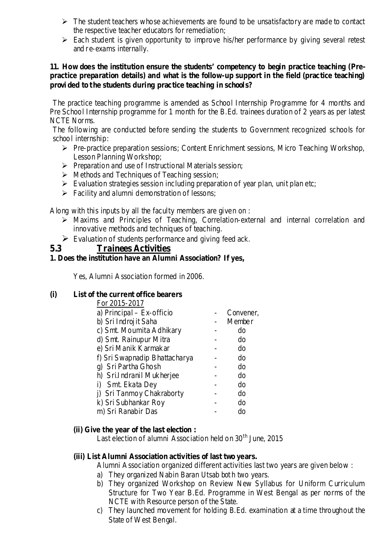- $\triangleright$  The student teachers whose achievements are found to be unsatisfactory are made to contact the respective teacher educators for remediation;
- $\triangleright$  Each student is given opportunity to improve his/her performance by giving several retest and re-exams internally.

## **11. How does the institution ensure the students' competency to begin practice teaching (Prepractice preparation details) and what is the follow-up support in the field (practice teaching) provi ded to the students during practice teaching in schools?**

The practice teaching programme is amended as School Internship Programme for 4 months and Pre School Internship programme for 1 month for the B.Ed. trainees duration of 2 years as per latest NCTE Norms.

The following are conducted before sending the students to Government recognized schools for school internship:

- $\triangleright$  Pre-practice preparation sessions; Content Enrichment sessions, Micro Teaching Workshop, Lesson Planning Workshop;
- $\triangleright$  Preparation and use of Instructional Materials session;
- $\triangleright$  Methods and Techniques of Teaching session;
- $\triangleright$  Evaluation strategies session including preparation of year plan, unit plan etc;
- $\triangleright$  Facility and alumni demonstration of lessons;

Along with this inputs by all the faculty members are given on :

- Maxims and Principles of Teaching, Correlation-external and internal correlation and innovative methods and techniques of teaching.
- $\triangleright$  Evaluation of students performance and giving feed ack.

#### **5.3 Trainees Activities**

## **1. Does the institution have an Alumni Association? If yes,**

Yes, Alumni Association formed in 2006.

#### **(i) List of the current office bearers**

| For 2015-2017                 |           |
|-------------------------------|-----------|
| a) Principal – Ex-officio     | Convener, |
| b) Sri Indroj it Saha         | Member    |
| c) Smt. Moumita Adhikary      | do        |
| d) Smt. Rainupur Mitra        | do        |
| e) Sri Manik Karmakar         | do        |
| f) Sri Swapnadip Bhattacharya | do        |
| g) Sri Partha Ghosh           | do        |
| h) Sri.Indranil Mukherjee     | do        |
| i) Smt. Ekata Dey             | do        |
| j) Sri Tanmoy Chakraborty     | do        |
| k) Sri Subhankar Roy          | do        |
| m) Sri Ranabir Das            | do        |
|                               |           |

#### **(ii) Give the year of the last election :**

Last election of alumni Association held on  $30<sup>th</sup>$  June, 2015

#### **(iii) List Alumni Association activities of last two years.**

- Alumni Association organized different activities last two years are given below :
- a) They organized Nabin Baran Utsab bot h two years.
- b) They organized Workshop on Review New Syllabus for Uniform Curriculum Structure for Two Year B.Ed. Programme in West Bengal as per norms of the NCTE with Resource person of the State.
- c) They launched movement for holding B.Ed. examination at a time throughout the State of West Bengal.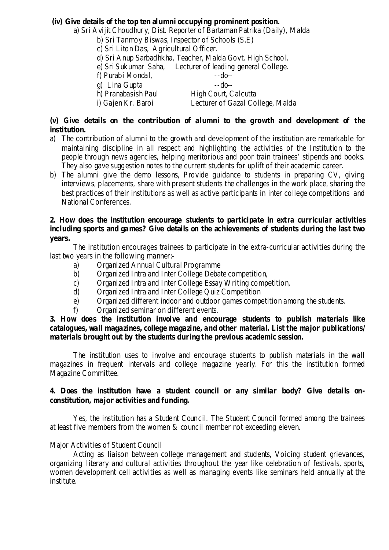## **(iv) Give details of the top ten alumni occupying prominent position.**

a) Sri Avijit Choudhur y, Dist. Reporter of Bartaman Patrika (Daily), Malda

- b) Sri Tanmoy Biswas, Inspector of Schools (S.E)
- c) Sri Liton Das, Agricultural Officer.
- d) Sri Anup Sarbadhkha, Teacher, Malda Govt. High School.
- e) Sri Sukumar Saha, Lecturer of leading general College.<br>f) Purabi Mondal f) Purabi Monda l

| $11 L$ under information | ---                              |
|--------------------------|----------------------------------|
| g) Lina Gupta            | $-$ -do--                        |
| h) Pranabasish Paul      | High Court, Calcutta             |
| i) Gajen Kr. Baroi       | Lecturer of Gazal College, Malda |

## **(v) Give details on the contribution of alumni to the growth and development of the institution.**

- a) The contribution of alumni to the growth and development of the institution are remarkable for maintaining discipline in all respect and highlighting the activities of the Institution to the people through news agencies, helping meritorious and poor train trainees' stipends and books. They also gave suggestion notes to the current students for uplift of their academic career.
- b) The alumni give the demo lessons, Provide guidance to students in preparing CV, giving interviews, placements, share with present students the challenges in the work place, sharing the best practices of their institutions as well as active participants in inter college competitions and National Conferences.

## **2. How does the institution encourage students to participate in extra curricular activities including sports and games? Give details on the achievements of students during the last two years.**

The institution encourages trainees to participate in the extra-curricular activities during the last two years in the following manner:-

- a) Organized Annual Cultural Programme
- b) Organized Intra and Inter College Debate competition,
- c) Organized Intra and Inter College Essay Writing competition,
- d) Organized Intra and Inter College Quiz Competition
- e) Organized different indoor and outdoor games competition among the students.
- f) Organized seminar on different events.

**3. How does the institution involve and encourage students to publish materials like catalogues, wall magazines, college magazine, and other material. List the major publications/ materials brought out by the students during the previous academic session.**

The institution uses to involve and encourage students to publish materials in the wall magazines in frequent intervals and college magazine yearly. For this the institution formed Magazine Committee.

## **4. Does the institution have a student council or any similar body? Give details onconstitution, major activities and funding.**

Yes, the institution has a Student Council. The Student Council formed among the trainees at least five members from the women & council member not exceeding eleven.

## Major Activities of Student Council

Acting as liaison between college management and students, Voicing student grievances, organizing literary and cultural activities throughout the year like celebration of festivals, sports, women development cell activities as well as managing events like seminars held annua lly at the institute.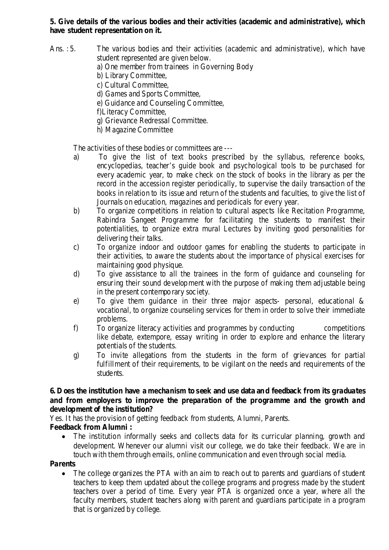## **5. Give details of the various bodies and their activities (academic and administrative), which have student representation on it.**

- Ans. : 5. The various bodies and their activities (academic and administrative), which have student represented are given below.
	- a) One member from trainees in Governing Body
	- b) Library Committee,
	- c) Cultural Committee,
	- d) Games and Sports Committee,
	- e) Guidance and Counseling Committee,
	- f)Literacy Committee,
	- g) Grievance Redressal Committee.
	- h) Magazine Committee

The activities of these bodies or committees are ---

- a) To give the list of text books prescribed by the syllabus, reference books, encyclopedias, teacher's guide book and psychological tools to be purchased for every academic year, to make check on the stock of books in the library as per the record in the accession register periodically, to supervise the daily transaction of the books in relation to its issue and return of the students and faculties, to give the list of Journals on education, magazines and periodicals for every year.
- b) To organize competitions in relation to cultural aspects like Recitation Programme, Rabindra Sangeet Programme for facilitating the students to manifest their potentialities, to organize extra mural Lectures by inviting good personalities for delivering their talks.
- c) To organize indoor and outdoor games for enabling the students to participate in their activities, to aware the students about the importance of physical exercises for maintaining good physique.
- d) To give assistance to all the trainees in the form of guidance and counseling for ensuring their sound development with the purpose of making them adjustable being in the present contemporary society.
- e) To give them guidance in their three major aspects- personal, educational & vocational, to organize counseling services for them in order to solve their immediate problems.
- f) To organize literacy activities and programmes by conducting competitions like debate, extempore, essay writing in order to explore and enhance the literary potentials of the students.
- g) To invite allegations from the students in the form of grievances for partial fulfillment of their requirements, to be vigilant on the needs and requirements of the students.

## **6. D oes the institution have a mechanism to seek and use data and feedback from its graduates and from employers to improve the preparation of the programme and the growth and development of the institution?**

Yes. It has the provision of getting feedback from students, Alumni, Parents.

## **Feedback from Alumni :**

• The institution informally seeks and collects data for its curricular planning, growth and development. Whenever our alumni visit our college, we do take their feedback. We are in touch with them through emails, online communication and even through social media.

## **Parents**

• The college organizes the PTA with an aim to reach out to parents and guardians of student teachers to keep them updated about the college programs and progress made by the student teachers over a period of time. Every year PTA is organized once a year, where all the faculty members, student teachers along with parent and guardians participate in a program that is organized by college.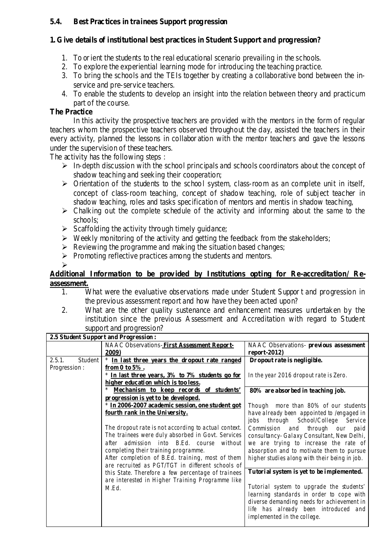## **5.4. Best Prac tices in trainees Support prog ression**

## **1. Give details of institutional best practices in Student Support and progression?**

- 1. To or ient the students to the real educational scenario prevailing in the schools.
- 2. To explore the experiential learning mode for introducing the teaching practice.
- 3. To bring the schools and the TEIs together by creating a collaborative bond between the inservice and pre-service teachers.
- 4. To enable the students to develop an insight into the relation between theory and practicum part of the course.

## **The Practice**

In this activity the prospective teachers are provided with the mentors in the form of regular teachers whom the prospective teachers observed throughout the day, assisted the teachers in their every activity, planned the lessons in collabor ation with the mentor teachers and gave the lessons under the supervision of these teachers.

The activity has the following steps :

- $\triangleright$  In-depth discussion with the school principals and schools coordinators about the concept of shadow teaching and seeking their cooperation;
- $\triangleright$  Orientation of the students to the school system, class-room as an complete unit in itself, concept of class-room teaching, concept of shadow teaching, role of subject teacher in shadow teaching, roles and tasks specification of mentors and mentis in shadow teaching,
- $\triangleright$  Chalking out the complete schedule of the activity and informing about the same to the schools;
- $\triangleright$  Scaffolding the activity through timely guidance;
- $\triangleright$  Weekly monitoring of the activity and getting the feedback from the stakeholders;
- $\triangleright$  Reviewing the programme and making the situation based changes;
- $\triangleright$  Promoting reflective practices among the students and mentors.

#### $\blacktriangleright$ **Additional Information to be provided by Institutions opting for Re-accreditation/ Reassessment.**

- 1. What were the evaluative observations made under Student Suppor t and progression in the previous assessment report and how have they been acted upon?
- 2. What are the other quality sustenance and enhancement measures undertaken by the institution since the previous Assessment and Accreditation with regard to Student support and progression?

|                   | 2.5 Student Support and Progression:                 |                                               |
|-------------------|------------------------------------------------------|-----------------------------------------------|
|                   | NAAC Observations- <b>First Assessment Report-</b>   | NAAC Observations- previous assessment        |
|                   | 2009)                                                | $report-2012)$                                |
| 2.5.1.<br>Student | * In last three years the dropout rate ranged        | Dropout rate is negligible.                   |
| Progression:      | from $0 \text{ to } 5\%$ .                           |                                               |
|                   | * In last three years, 3% to 7% students go for      | In the year 2016 dropout rate is Zero.        |
|                   | higher education which is too less.                  |                                               |
|                   | Mechanism to keep records of students'               | 80% are absorbed in teaching job.             |
|                   | progression is yet to be developed.                  |                                               |
|                   | * In 2006-2007 academic session, one student got     | Though more than 80% of our students          |
|                   | fourth rank in the University.                       | have already been appointed to /engaged in    |
|                   |                                                      | jobs through School/College Service           |
|                   | The dropout rate is not according to actual context. | Commission and through our paid               |
|                   | The trainees were duly absorbed in Govt. Services    | consultancy- Galaxy Consultant, New Delhi,    |
|                   | after admission into B.Ed. course without            | we are trying to increase the rate of         |
|                   | completing their training programme.                 | absorption and to motivate them to pursue     |
|                   | After completion of B.Ed. training, most of them     | higher studies along with their being in job. |
|                   | are recruited as PGT/TGT in different schools of     |                                               |
|                   | this State. Therefore a few percentage of trainees   | Tutorial system is yet to be implemented.     |
|                   | are interested in Higher Training Programme like     |                                               |
|                   | M.Ed.                                                | Tutorial system to upgrade the students'      |
|                   |                                                      | learning standards in order to cope with      |
|                   |                                                      | diverse demanding needs for achievement in    |
|                   |                                                      | life has already been introduced and          |
|                   |                                                      | implemented in the college.                   |
|                   |                                                      |                                               |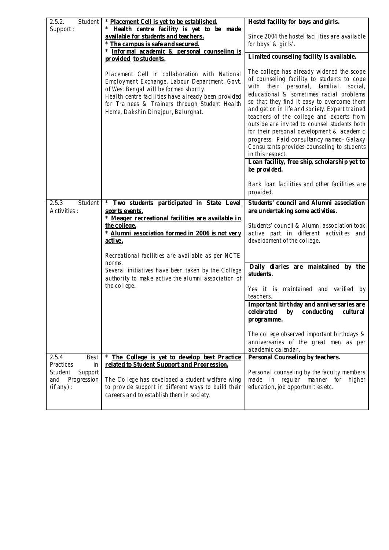| 2.5.2.<br>Student<br>Support:                                                                    | * Placement Cell is yet to be established.<br>Health centre facility is yet to be made<br>available for students and teachers.<br>* The campus is safe and secured.<br>* Informal academic & personal counseling is<br>provided to students.<br>Placement Cell in collaboration with National<br>Employment Exchange, Labour Department, Govt.<br>of West Bengal will be formed shortly. | Hostel facility for boys and girls.<br>Since 2004 the hostel facilities are available<br>for boys' & girls'.<br>Limited counseling facility is available.<br>The college has already widened the scope<br>of counseling facility to students to cope<br>with their personal, familial,<br>social,                                                                                                                                               |
|--------------------------------------------------------------------------------------------------|------------------------------------------------------------------------------------------------------------------------------------------------------------------------------------------------------------------------------------------------------------------------------------------------------------------------------------------------------------------------------------------|-------------------------------------------------------------------------------------------------------------------------------------------------------------------------------------------------------------------------------------------------------------------------------------------------------------------------------------------------------------------------------------------------------------------------------------------------|
|                                                                                                  | Health centre facilities have already been provided<br>for Trainees & Trainers through Student Health<br>Home, Dakshin Dinajpur, Balurghat.                                                                                                                                                                                                                                              | educational & sometimes racial problems<br>so that they find it easy to overcome them<br>and get on in life and society. Expert trained<br>teachers of the college and experts from<br>outside are invited to counsel students both<br>for their personal development & academic<br>progress. Paid consultancy named- Galaxy<br>Consultants provides counseling to students<br>in this respect.<br>Loan facility, free ship, scholarship yet to |
|                                                                                                  |                                                                                                                                                                                                                                                                                                                                                                                          | be provided.<br>Bank loan facilities and other facilities are<br>provided.                                                                                                                                                                                                                                                                                                                                                                      |
| 2.5.3<br>Student<br>Activities :                                                                 | $\ast$<br><u>Two students participated in State Level</u><br>sports events.<br>* Meager recreational facilities are available in<br>the college.<br>* Alumni association formed in 2006 is not very<br>active.                                                                                                                                                                           | <b>Students' council and Alumni association</b><br>are undertaking some activities.<br>Students' council & Alumni association took<br>active part in different activities and<br>development of the college.                                                                                                                                                                                                                                    |
|                                                                                                  | Recreational facilities are available as per NCTE<br>norms.<br>Several initiatives have been taken by the College<br>authority to make active the alumni association of<br>the college.                                                                                                                                                                                                  | Daily diaries are maintained by the<br>students.<br>Yes it is maintained and verified by<br>teachers.                                                                                                                                                                                                                                                                                                                                           |
|                                                                                                  |                                                                                                                                                                                                                                                                                                                                                                                          | Important birthday and anniversaries are<br>celebrated<br>conducting<br>by<br>cultural<br>programme.<br>The college observed important birthdays $\&$<br>anniversaries of the great men as per<br>academic calendar.                                                                                                                                                                                                                            |
| 2.5.4<br><b>Best</b><br>Practices<br>in<br>Student<br>Support<br>Progression<br>and<br>(if any): | The College is yet to develop best Practice<br>$\ast$<br>related to Student Support and Progression.<br>The College has developed a student welfare wing<br>to provide support in different ways to build their<br>careers and to establish them in society.                                                                                                                             | Personal Counseling by teachers.<br>Personal counseling by the faculty members<br>made in regular manner for higher<br>education, job opportunities etc.                                                                                                                                                                                                                                                                                        |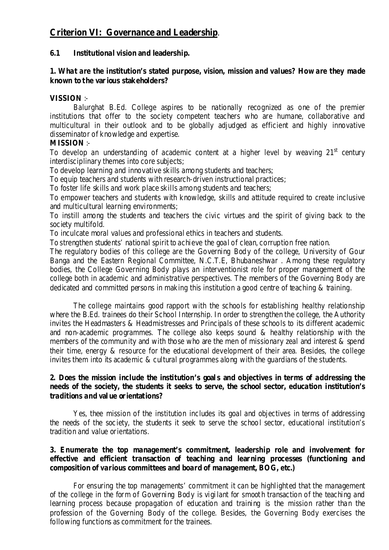# **Criterion VI: Governance and Leadership**.

## **6.1 Institutional vision and leadership.**

## **1. What are the institution's stated purpose, vision, mission and values? How are they made known to the various stakeholders?**

## **VISSION** :-

Balurghat B.Ed. College aspires to be nationally recognized as one of the premier institutions that offer to the society competent teachers who are humane, collaborative and multicultural in their outlook and to be globally adjudged as efficient and highly innovative disseminator of knowledge and expertise.

#### **MISSION** :-

To develop an understanding of academic content at a higher level by weaving  $21<sup>st</sup>$  century interdisciplinary themes into core subjects;

To develop learning and innovative skills among students and teachers;

To equip teachers and students with research-driven instructional practices;

To foster life skills and work place skills among students and teachers;

To empower teachers and students with knowledge, skills and attitude required to create inclusive and multicultural learning environments;

To instill among the students and teachers the civic virtues and the spirit of giving back to the society multifold.

To inculcate moral values and professional ethics in teachers and students.

To strengthen students' national spirit to achieve the goal of clean, corruption free nation.

The regulatory bodies of this college are the Governing Body of the college, University of Gour Banga and the Eastern Regional Committee, N.C.T.E, Bhubaneshwar . Among these regulatory bodies, the College Governing Body plays an interventionist role for proper management of the college both in academic and administrative perspectives. The members of the Governing Body are dedicated and committed persons in making this institution a good centre of teaching & training.

The college maintains good rapport with the schools for establishing healthy relationship where the B.Ed. trainees do their School Internship. In order to strengthen the college, the Authority invites the Headmasters & Headmistresses and Principals of these schools to its different academic and non-academic programmes. The college also keeps sound & healthy relationship with the members of the community and with those who are the men of missionary zeal and interest & spend their time, energy & resource for the educational development of their area. Besides, the college invites them into its academic & cultural programmes along with the guardians of the students.

## **2. Does the mission include the institution's goal s and objectives in terms of addressing the needs of the society, the students it seeks to serve, the school sector, education institution's traditions and val ue orientations?**

Yes, thee mission of the institution includes its goal and objectives in terms of addressing the needs of the society, the students it seek to serve the school sector, educational institution's tradition and value orientations.

## **3. Enumerate the top management's commitment, leadership role and involvement for effective and efficient transaction of teaching and learning processes (functioning and composition of various committees and board of management, BOG, etc.)**

For ensuring the top managements' commitment it can be highlighted that the management of the college in the form of Governing Body is vigilant for smoot h transaction of the teaching and learning process because propagation of education and training is the mission rather than the profession of the Governing Body of the college. Besides, the Governing Body exercises the following functions as commitment for the trainees.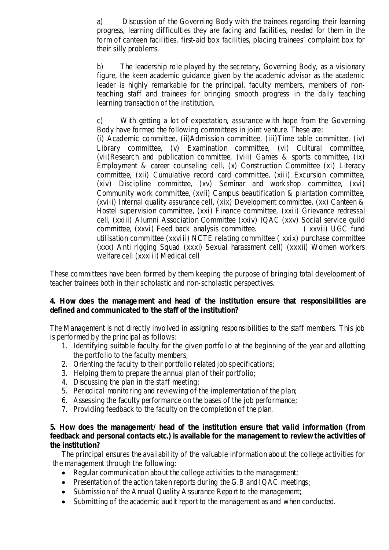a) Discussion of the Governing Body with the trainees regarding their learning progress, learning difficulties they are facing and facilities, needed for them in the form of canteen facilities, first-aid box facilities, placing trainees' complaint box for their silly problems.

b) The leadership role played by the secretary, Governing Body, as a visionary figure, the keen academic guidance given by the academic advisor as the academic leader is highly remarkable for the principal, faculty members, members of nonteaching staff and trainees for bringing smooth progress in the daily teaching learning transaction of the institution.

c) With getting a lot of expectation, assurance with hope from the Governing Body have formed the following committees in joint venture. These are:

(i) Academic committee, (ii)Admission committee, (iii)Time table committee, (iv) Library committee, (y) Examination committee, (yi) Cultural committee, (vii)Research and publication committee, (viii) Games & sports committee, (ix) Employment & career counseling cell, (x) Construction Committee (xi) Literacy committee, (xii) Cumulative record card committee, (xiii) Excursion committee, (xiv) Discipline committee, (xv) Seminar and workshop committee, (xvi) Community work committee, (xvii) Campus beautification & plantation committee, (xviii) Internal quality assurance cell, (xix) Development committee, (xx) Canteen  $\&$ Hostel supervision committee, (xxi) Finance committee, (xxii) Grievance redressal cell, (xxiii) Alumni Association Committee (xxiv) IQAC (xxv) Social service guild committee, (xxvi) Feed back analysis committee. ( xxvii) UGC fund utilisation committee (xxviii) NCTE relating committee ( xxix) purchase committee (xxx) Anti rigging Squad (xxxi) Sexual harassment cell) (xxxii) Women workers welfare cell (xxxiii) Medical cell

These committees have been formed by them keeping the purpose of bringing total development of teacher trainees both in their scholastic and non-scholastic perspectives.

## **4. How does the manage ment and head of the institution ensure that responsibilities are defined and communicated to the staff of the institution?**

The Management is not directly involved in assigning responsibilities to the staff members. This job is performed by the principal as follows:

- 1. Identifying suitable faculty for the given portfolio at the beginning of the year and allotting the portfolio to the faculty members;
- 2. Orienting the faculty to their portfolio related job specifications;
- 3. Helping them to prepare the annual plan of their portfolio;
- 4. Discussing the plan in the staff meeting;
- 5. Period ical monitoring and reviewing of the implementation of the plan;
- 6. Assessing the faculty performance on the bases of the job performance;
- 7. Providing feedback to the faculty on the completion of the plan.

## **5. How does the manage ment/ head of the institution ensure that valid information (from feedback and personal contacts etc.) is available for the management to review the activities of the institution?**

The principal ensures the availability of the valuable information about the college activities for the management through the following:

- Regular communication about the college activities to the management;
- Presentation of the action taken reports during the G.B and IQAC meetings;
- Submission of the Annual Quality Assurance Report to the management;
- Submitting of the academic audit report to the management as and when conducted.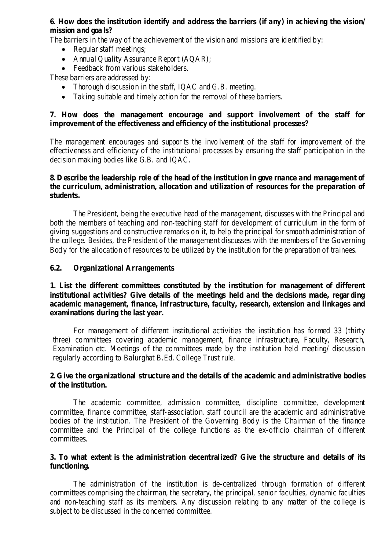## **6. How does the institution identify and address the barriers (if any) in achieving the vision/ mission and goa ls?**

The barriers in the way of the achievement of the vision and missions are identified by:

- Regular staff meetings;
- Annual Quality Assurance Report (AQAR);
- Feedback from various stakeholders.

These barriers are addressed by:

- Thorough discussion in the staff, IQAC and G.B. meeting.
- Taking suitable and timely action for the removal of these barriers.

## **7. How does the management encourage and support involvement of the staff for improvement of the effectiveness and efficiency of the institutional processes?**

The management encourages and suppor ts the invo lvement of the staff for improvement of the effectiveness and efficiency of the institutional processes by ensuring the staff participation in the decision making bodies like G.B. and IQAC.

## **8. D escribe the leadership role of the head of the institution in gove rnance and manage ment of the curriculum, administration, allocation and utilization of resources for the preparation of students.**

The President, being the executive head of the management, discusses with the Principal and both the members of teaching and non-teaching staff for development of curriculum in the form of giving suggestions and constructive remarks on it, to help the principal for smooth administration of the college. Besides, the President of the management discusses with the members of the Governing Body for the allocation of resources to be utilized by the institution for the preparation of trainees.

#### **6.2. Organizational Arrangements**

**1. List the different committees constituted by the institution for management of different institutional activities? Give details of the meetings held and the decisions made, regarding academic management, finance, infrastructure, faculty, research, extension and linkages and examinations during the last year.**

For management of different institutional activities the institution has formed 33 (thirty three) committees covering academic management, finance infrastructure, Faculty, Research, Examination etc. Meetings of the committees made by the institution held meeting/ discussion regularly according to Balurghat B.Ed. College Trust rule.

## **2. Give the organizational structure and the details of the academic and administrative bodies of the institution.**

The academic committee, admission committee, discipline committee, development committee, finance committee, staff-association, staff council are the academic and administrative bodies of the institution. The President of the Governing Body is the Chairman of the finance committee and the Principal of the college functions as the ex-officio chairman of different committees.

#### **3. To what extent is the administration decentralized? Give the structure and details of its functioning.**

The administration of the institution is de-centralized through formation of different committees comprising the chairman, the secretary, the principal, senior faculties, dynamic faculties and non-teaching staff as its members. Any discussion relating to any matter of the college is subject to be discussed in the concerned committee.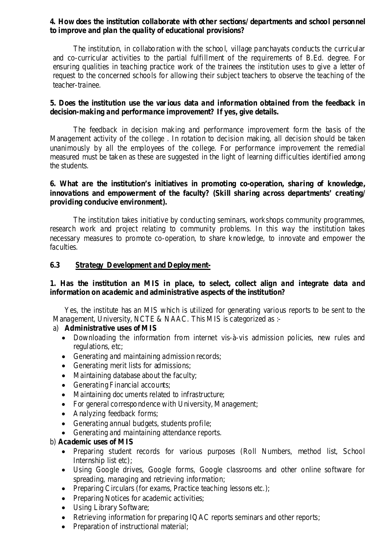## **4. How does the institution collaborate with other sections/ departments and school personnel to improve and plan the quality of educational provisions?**

The institution, in collaboration with the school, village panchayats conducts the curricular and co-curricular activities to the partial fulfillment of the requirements of B.Ed. degree. For ensuring qualities in teaching practice work of the trainees the institution uses to give a letter of request to the concerned schools for allowing their subject teachers to observe the teaching of the teacher-trainee.

## **5. Does the institution use the various data and information obtained from the feedback in decision-making and performance improvement? If yes, give details.**

The feedback in decision making and performance improvement form the basis of the Management activity of the college . In rotation to decision making, all decision should be taken unanimously by all the employees of the college. For performance improvement the remedial measured must be taken as these are suggested in the light of learning difficulties identified among the students.

## **6. What are the institution's initiatives in promoting co-operation, sharing of knowledge, innovations and empowerment of the faculty? (Skill sharing across departments' creating/ providing conducive environment).**

The institution takes initiative by conducting seminars, workshops community programmes, research work and project relating to community problems. In this way the institution takes necessary measures to promote co-operation, to share knowledge, to innovate and empower the faculties.

#### **6.3 Strategy Development and Deployment-**

#### **1. Has the institution an MIS in place, to select, collect align and integrate data and information on academic and administrative aspects of the institution?**

Yes, the institute has an MIS which is utilized for generating various reports to be sent to the Management, University, NCTE & NAAC. This MIS is categorized as :-

#### a) **Administrative uses of MIS**

- Downloading the information from internet vis-à-vis admission policies, new rules and regulations, etc;
- Generating and maintaining admission records;
- Generating merit lists for admissions;
- Maintaining database about the faculty;
- Generating Financial accounts;
- Maintaining doc uments related to infrastructure;
- For general correspondence with University, Management;
- Analyzing feedback forms;
- Generating annual budgets, students profile;
- Generating and maintaining attendance reports.

#### b) **Academic uses of MIS**

- Preparing student records for various purposes (Roll Numbers, method list, School Internship list etc);
- Using Google drives, Google forms, Google classrooms and other online software for spreading, managing and retrieving information;
- Preparing Circulars (for exams, Practice teaching lessons etc.);
- Preparing Notices for academic activities;
- Using Library Software;
- Retrieving information for preparing IQAC reports seminars and other reports;
- Preparation of instructional material;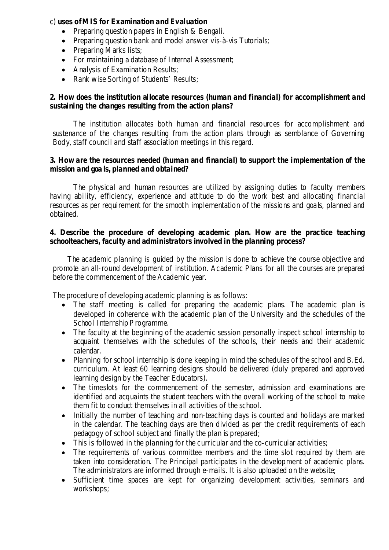## c) **uses of MIS for Examination and Evaluation**

- Preparing question papers in English & Bengali.
- Preparing question bank and model answer vis-à-vis Tutorials;
- Preparing Marks lists;
- For maintaining a database of Internal Assessment;
- Analysis of Examination Results;
- Rank wise Sorting of Students' Results;

## **2. How does the institution allocate resources (human and financial) for accomplishment and sustaining the changes resulting from the action plans?**

The institution allocates both human and financial resources for accomplishment and sustenance of the changes resulting from the action plans through as semblance of Governing Body, staff council and staff association meetings in this regard.

## **3. How are the resources needed (human and financial) to support the implementation of the mission and goa ls, planned and obtained?**

The physical and human resources are utilized by assigning duties to faculty members having ability, efficiency, experience and attitude to do the work best and allocating financial resources as per requirement for the smoot h implementation of the missions and goals, planned and obtained.

## **4. Describe the procedure of developing academic plan. How are the practice teaching schoolteachers, faculty and administrators involved in the planning process?**

The academic planning is guided by the mission is done to achieve the course objective and promote an all-round development of institution. Academic Plans for all the courses are prepared before the commencement of the Academic year.

The procedure of developing academic planning is as follows:

- The staff meeting is called for preparing the academic plans. The academic plan is developed in coherence with the academic plan of the University and the schedules of the School Internship P rogramme.
- The faculty at the beginning of the academic session personally inspect school internship to acquaint themselves with the schedules of the schools, their needs and their academic calendar.
- Planning for school internship is done keeping in mind the schedules of the school and B.Ed. curriculum. At least 60 learning designs should be delivered (duly prepared and approved learning design by the Teacher Educators).
- The timeslots for the commencement of the semester, admission and examinations are identified and acquaints the student teachers with the overall working of the school to make them fit to conduct themselves in all activities of the school.
- Initially the number of teaching and non-teaching days is counted and holidays are marked in the calendar. The teaching days are then divided as per the credit requirements of each pedagogy of school subject and finally the plan is prepared;
- This is followed in the planning for the curricular and the co-curricular activities;
- The requirements of various committee members and the time slot required by them are taken into consideration. The Principal participates in the development of academic plans. The administrators are informed through e-mails. It is also uploaded on the website;
- Sufficient time spaces are kept for organizing development activities, seminars and workshops;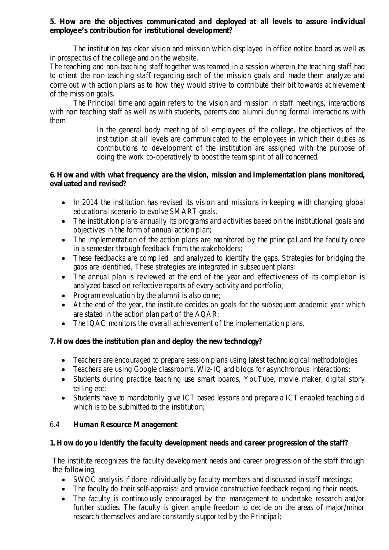## **5. How are the objectives communicated and deployed at all levels to assure individual employe e's contribution for institutional development?**

The institution has clear vision and mission which displayed in office notice board as well as in prospectus of the college and on the website.

The teaching and non-teaching staff together was teamed in a session wherein the teaching staff had to orient the non-teaching staff regarding each of the mission goals and made them analyze and come out with action plans as to how they would strive to contribute their bit towards achievement of the mission goals.

The Principal time and again refers to the vision and mission in staff meetings, interactions with non teaching staff as well as with students, parents and alumni during formal interactions with them.

> In the general body meeting of all employees of the college, the objectives of the institution at all levels are communicated to the employees in which their duties as contributions to development of the institution are assigned with the purpose of doing the work co-operatively to boost the team spirit of all concerned.

## **6. How and with what frequency are the vision, mission and implementation plans monitored, evaluated and revised?**

- In 2014 the institution has revised its vision and missions in keeping with changing global educational scenario to evolve SMART goals.
- The institution plans annually its programs and activities based on the institutional goals and objectives in the form of annual action plan;
- The implementation of the action plans are monitored by the principal and the faculty once in a semester through feedback from the stakeholders;
- These feedbacks are compiled and analyzed to identify the gaps. Strategies for bridging the gaps are identified. These strategies are integrated in subsequent plans;
- The annual plan is reviewed at the end of the year and effectiveness of its completion is analyzed based on reflective reports of every activity and portfolio;
- Program evaluation by the alumni is also done;
- At the end of the year, the institute decides on goals for the subsequent academic year which are stated in the action plan part of the AQAR;
- The IQAC monitors the overall achievement of the implementation plans.

# **7. How does the institution plan and deploy the new technology?**

- Teachers are encouraged to prepare session plans using latest technological methodologies
- Teachers are using Google classrooms, Wiz-IQ and blogs for asynchronous interactions;
- Students during practice teaching use smart boards, YouTube, movie maker, digital story telling etc;
- Students have to mandatorily give ICT based lessons and prepare a ICT enabled teaching aid which is to be submitted to the institution:

## 6.4 **Human Resource Management**

## **1. How do yo u identify the faculty development needs and career progression of the staff?**

The institute recognizes the faculty development needs and career progression of the staff through the following;

- SWOC analysis if done individually by faculty members and discussed in staff meetings;
- The faculty do their self-appraisal and provide constructive feedback regarding their needs.
- The faculty is continuously encouraged by the management to undertake research and/or further studies. The faculty is given ample freedom to decide on the areas of major/minor research themselves and are constantly suppor ted by the Principal;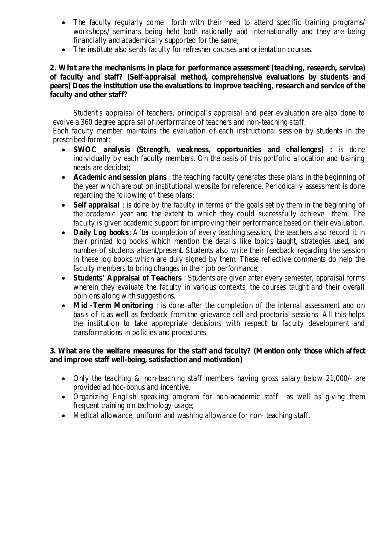- The faculty regularly come forth with their need to attend specific training programs/ workshops/ seminars being held both nationally and internationally and they are being financially and academically supported for the same;
- The institute also sends faculty for refresher courses and or ientation courses.

## **2. What are the mechanisms in place for performance assessment (teaching, research, service) of faculty and staff? (Self-appraisal method, comprehensive evaluations by students and peers) Does the institution use the evaluations to improve teaching, research and service of the faculty and other staff?**

Student's appraisal of teachers, principal's appraisal and peer evaluation are also done to evolve a 360 degree appraisal of performance of teachers and non-teaching staff;

Each faculty member maintains the evaluation of each instructional session by students in the prescribed format;

- **SWOC analysis (Strength, weakness, opportunities and challenges) :** is do ne individually by each faculty members. On the basis of this portfolio allocation and training needs are decided;
- **Academic and session plans** : the teaching faculty generates these plans in the beginning of the year which are put on institutional website for reference. Periodically assessment is done regarding the following of these plans;
- **Self appraisal** : is do ne by the faculty in terms of the goals set by them in the beginning of the academic year and the extent to which they could successfully achieve them. The faculty is given academic support for improving their performance based on their evaluation.
- **Daily Log books**: After completion of every teaching session, the teachers also record it in their printed log books which mention the details like topics taught, strategies used, and number of students absent/present. Students also write their feedback regarding the session in these log books which are duly signed by them. These reflective comments do help the faculty members to bring changes in their job performance;
- **Students' Appraisal of Teachers** : Students are given after every semester, appraisal forms wherein they evaluate the faculty in various contexts, the courses taught and their overall opinions along with suggestions.
- **Mid -Term Monitoring**: is done after the completion of the internal assessment and on basis of it as well as feedback from the grievance cell and proctorial sessions. All this helps the institution to take appropriate decisions with respect to faculty development and transformations in policies and procedures.

## **3. What are the welfare measures for the staff and faculty? (Mention only those which affect and improve staff well-being, satisfaction and motivation)**

- Only the teaching & non-teaching staff members having gross salary below 21,000/- are provided ad hoc-bonus and incentive.
- Organizing English speaking program for non-academic staff as well as giving them frequent training on technology usage;
- Medical allowance, uniform and washing allowance for non- teaching staff.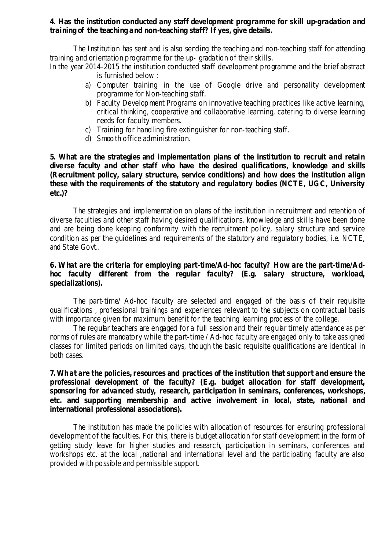#### **4. Has the institution conducted any staff development programme for skill up-gradation and training of the teaching and non-teaching staff? If yes, give details.**

The Institution has sent and is also sending the teaching and non-teaching staff for attending training and orientation programme for the up- gradation of their skills.

- In the year 2014-2015 the institution conducted staff development programme and the brief abstract is furnished below :
	- a) Computer training in the use of Google drive and personality development programme for Non-teaching staff.
	- b) Faculty Development Programs on innovative teaching practices like active learning, critical thinking, cooperative and collaborative learning, catering to diverse learning needs for faculty members.
	- c) Training for handling fire extinguisher for non-teaching staff.
	- d) Smoo th office administration.

**5. What are the strategies and implementation plans of the institution to recruit and retain dive rse faculty and other staff who have the desired qualifications, knowledge and skills (Recruitment policy, salary structure, service conditions) and how does the institution align these with the requirements of the statutory and regulatory bodies (NCTE, UGC, University etc.)?**

The strategies and implementation on plans of the institution in recruitment and retention of diverse faculties and other staff having desired qualifications, knowledge and skills have been done and are being done keeping conformity with the recruitment policy, salary structure and service condition as per the guidelines and requirements of the statutory and regulatory bodies, i.e. NCTE, and State Govt..

## **6. What are the criteria for employing part-time/Ad-hoc faculty? How are the part-time/Adhoc faculty different from the regular faculty? (E.g. salary structure, workload, specializations).**

The part-time/ Ad-hoc faculty are selected and engaged of the basis of their requisite qualifications , professional trainings and experiences relevant to the subjects on contractual basis with importance given for maximum benefit for the teaching learning process of the college.

The regular teachers are engaged for a full session and their regular timely attendance as per norms of rules are mandatory while the part-time / Ad-hoc faculty are engaged only to take assigned classes for limited periods on limited days, though the basic requisite qualifications are identical in both cases.

## **7. What are the policies, resources and practices of the institution that support and ensure the professional development of the faculty? (E.g. budget allocation for staff development, sponsoring for advanced study, research, participation in seminars, conferences, workshops, etc. and supporting membership and active involvement in local, state, national and international professional associations).**

The institution has made the policies with allocation of resources for ensuring professional development of the faculties. For this, there is budget allocation for staff development in the form of getting study leave for higher studies and research, participation in seminars, conferences and workshops etc. at the local ,national and international level and the participating faculty are also provided with possible and permissible support.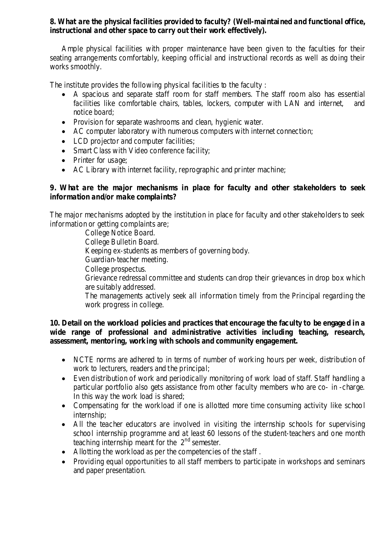## **8. What are the physical facilities provided to faculty? (Well-maintained and functional office, instructional and other space to carry out their work effectively).**

Ample physical facilities with proper maintenance have been given to the faculties for their seating arrangements comfortably, keeping official and instructional records as well as doing their works smoothly.

The institute provides the following physical facilities to the faculty :

- A spacious and separate staff room for staff members. The staff room also has essential facilities like comfortable chairs, tables, lockers, computer with LAN and internet, and notice board;
- Provision for separate washrooms and clean, hygienic water.
- AC computer laboratory with numerous computers with internet connection;
- LCD projector and computer facilities;
- Smart Class with Video conference facility;
- Printer for usage;
- AC Library with internet facility, reprographic and printer machine;

## **9. What are the major mechanisms in place for faculty and other stakeholders to seek information and/or make complaints?**

The major mechanisms adopted by the institution in place for faculty and other stakeholders to seek information or getting complaints are;

> College Notice Board. College Bulletin Board. Keeping ex-students as members of governing body. Guardian-teacher meeting. College prospectus. Grievance redressal committee and students can drop their grievances in drop box which are suitably addressed. The managements actively seek all information timely from the Principal regarding the work progress in college.

## **10. Detail on the workload policies and practices that encourage the faculty to be engage d in a wide range of professional and administrative activities including teaching, research, assessment, mentoring, working with schools and community engagement.**

- NCTE norms are adhered to in terms of number of working hours per week, distribution of work to lecturers, readers and the principal;
- Even distribution of work and periodically monitoring of work load of staff. Staff handling a particular portfolio also gets assistance from other faculty members who are co- in -charge. In this way the work load is shared;
- Compensating for the workload if one is allotted more time consuming activity like school internship;
- All the teacher educators are involved in visiting the internship schools for supervising school internship programme and at least 60 lessons of the student-teachers and one month teaching internship meant for the  $2<sup>nd</sup>$  semester.
- Allotting the workload as per the competencies of the staff.
- Providing equal opportunities to all staff members to participate in workshops and seminars and paper presentation.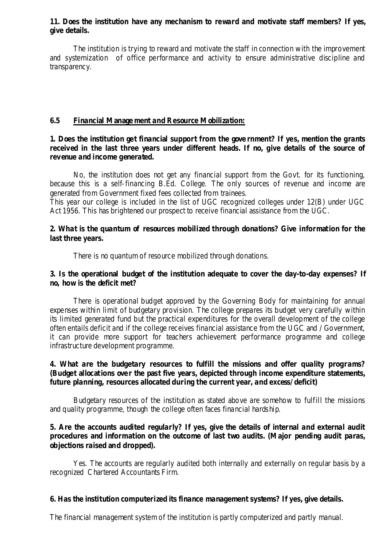#### **11. Does the institution have any mechanism to reward and motivate staff members? If yes, give details.**

The institution is trying to reward and motivate the staff in connection with the improvement and systemization of office performance and activity to ensure administrative discipline and transparency.

#### **6.5 Financial Manage ment and Resource Mobilization:**

## **1. Does the institution get financial support from the gove rnment? If yes, mention the grants received in the last three years under different heads. If no, give details of the source of revenue and income generated.**

No, the institution does not get any financial support from the Govt. for its functioning, because this is a self-financing B.Ed. College. The only sources of revenue and income are generated from Government fixed fees collected from trainees.

This year our college is included in the list of UGC recognized colleges under 12(B) under UGC Act 1956. This has brightened our prospect to receive financial assistance from the UGC.

## **2. What is the quantum of resources mobilized through donations? Give information for the last three years.**

There is no quantum of resource mobilized through donations.

## **3. Is the operational budget of the institution adequate to cover the day-to-day expenses? If no, how is the deficit met?**

There is operational budget approved by the Governing Body for maintaining for annual expenses within limit of budgetary provision. The college prepares its budget very carefully within its limited generated fund but the practical expenditures for the overall development of the college often entails deficit and if the college receives financial assistance from the UGC and / Government, it can provide more support for teachers achievement performance programme and college infrastructure development programme.

## **4. What are the budgetary resources to fulfill the missions and offer quality programs? (Budget allocations ove r the past five years, depicted through income expenditure statements, future planning, resources allocated during the current year, and excess/ deficit)**

Budgetary resources of the institution as stated above are somehow to fulfill the missions and quality programme, though the college often faces financial hardship.

## **5. Are the accounts audited regularly? If yes, give the details of internal and external audit procedures and information on the outcome of last two audits. (Major pending audit paras, objections raised and dropped).**

Yes. The accounts are regularly audited both internally and externally on regular basis by a recognized Chartered Accountants Firm.

#### **6. Has the institution computerized its finance management systems? If yes, give details.**

The financial management system of the institution is partly computerized and partly manual.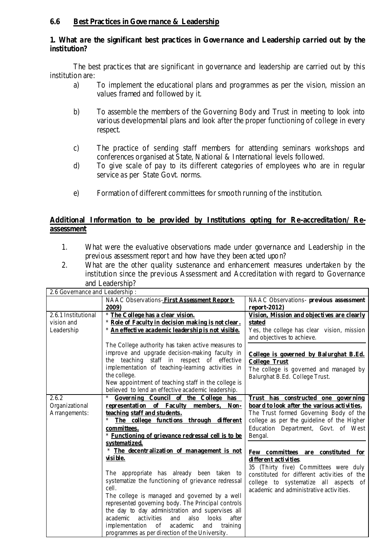## **6.6 Best Practices in Gove rnance & Leadership**

## **1. What are the significant best practices in Gove rnance and Leadership carried out by the institution?**

The best practices that are significant in governance and leadership are carried out by this institution are:

- a) To implement the educational plans and programmes as per the vision, mission an values framed and followed by it.
- b) To assemble the members of the Governing Body and Trust in meeting to look into various developmental plans and look after the proper functioning of college in every respect.
- c) The practice of sending staff members for attending seminars workshops and conferences organised at State, National & International levels followed.
- d) To give scale of pay to its different categories of employees who are in regular service as per State Govt. norms.
- e) Formation of different committees for smooth running of the institution.

## **Additional Information to be provided by Institutions opting for Re-accreditation/ Reassessment**

- 1. What were the evaluative observations made under governance and Leadership in the previous assessment report and how have they been acted upon?
- 2. What are the other quality sustenance and enhancement measures undertaken by the institution since the previous Assessment and Accreditation with regard to Governance and Leadership?

| 2.6 Governance and Leadership: |                                                         |                                             |
|--------------------------------|---------------------------------------------------------|---------------------------------------------|
|                                | NAAC Observations-First Assessment Report-              | NAAC Observations- previous assessment      |
|                                | 2009)                                                   | $report-2012)$                              |
| 2.6.1 Institutional            | * The College has a clear vision.                       | Vision, Mission and objectives are clearly  |
| vision and                     | * Role of Faculty in decision making is not clear.      | <i>stated</i>                               |
| Leadership                     | * An effective academic leadership is not visible.      | Yes, the college has clear vision, mission  |
|                                |                                                         | and objectives to achieve.                  |
|                                | The College authority has taken active measures to      |                                             |
|                                | improve and upgrade decision-making faculty in          | College is governed by Balurghat B.Ed.      |
|                                | the teaching staff in respect of effective              | <b>College Trust</b>                        |
|                                | implementation of teaching-learning activities in       | The college is governed and managed by      |
|                                | the college.                                            | Balurghat B.Ed. College Trust.              |
|                                | New appointment of teaching staff in the college is     |                                             |
|                                | believed to lend an effective academic leadership.      |                                             |
| 2.6.2                          | Governing Council of the College has<br>*               | Trust has constructed one governing         |
| Organizational                 | representation of Faculty members, Non-                 | board to look after the various activities. |
| Arrangements:                  | teaching staff and students.                            | The Trust formed Governing Body of the      |
|                                | The college functions through different<br>$\ast$       | college as per the guideline of the Higher  |
|                                | committees.                                             | Education Department, Govt. of West         |
|                                | * Functioning of grievance redressal cell is to be      | Bengal.                                     |
|                                | systematized.                                           |                                             |
|                                | * The decentralization of management is not             | Few committees are constituted for          |
|                                | <u>visible.</u>                                         | different activities.                       |
|                                |                                                         | 35 (Thirty five) Committees were duly       |
|                                | The appropriate has already been taken to               | constituted for different activities of the |
|                                | systematize the functioning of grievance redressal      | college to systematize all aspects of       |
|                                | cell.                                                   | academic and administrative activities.     |
|                                | The college is managed and governed by a well           |                                             |
|                                | represented governing body. The Principal controls      |                                             |
|                                | the day to day administration and supervises all        |                                             |
|                                | activities<br>and<br>also<br>looks<br>after<br>academic |                                             |
|                                | implementation of academic<br>and training              |                                             |
|                                | programmes as per direction of the University.          |                                             |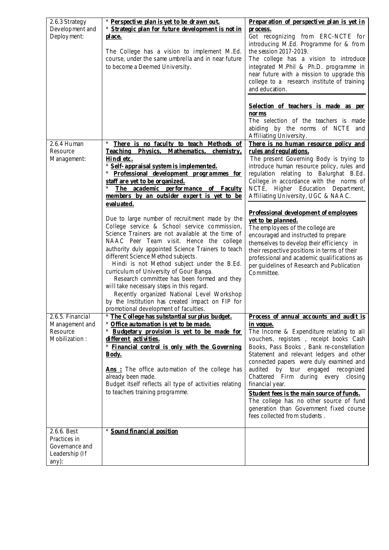| 2.6.3 Strategy<br>Development and<br>Deployment:                         | * Perspective plan is yet to be drawn out.<br>* Strategic plan for future development is not in<br><u>place.</u><br>The College has a vision to implement M.Ed.<br>course, under the same umbrella and in near future<br>to become a Deemed University.                                                                                                                                                                                                                                                                                                                                                                     | Preparation of perspective plan is yet in<br>process.<br>Got recognizing from ERC-NCTE for<br>introducing M.Ed. Programme for & from<br>the session 2017-2019.<br>The college has a vision to introduce<br>integrated M.Phil & Ph.D. programme in                                                                                                                                                                                                                                                                                                     |
|--------------------------------------------------------------------------|-----------------------------------------------------------------------------------------------------------------------------------------------------------------------------------------------------------------------------------------------------------------------------------------------------------------------------------------------------------------------------------------------------------------------------------------------------------------------------------------------------------------------------------------------------------------------------------------------------------------------------|-------------------------------------------------------------------------------------------------------------------------------------------------------------------------------------------------------------------------------------------------------------------------------------------------------------------------------------------------------------------------------------------------------------------------------------------------------------------------------------------------------------------------------------------------------|
|                                                                          |                                                                                                                                                                                                                                                                                                                                                                                                                                                                                                                                                                                                                             | near future with a mission to upgrade this<br>college to a research institute of training<br>and education.<br>Selection of teachers is made as per<br>nor ms<br>The selection of the teachers is made<br>abiding by the norms of NCTE and<br>Affiliating University.                                                                                                                                                                                                                                                                                 |
| 2.6.4 Human<br>Resource<br>Management:                                   | There is no faculty to teach Methods of<br>$\ast$<br>Teaching Physics, Mathematics, chemistry,<br>Hindi etc.<br>* Self-appraisal system is implemented.<br>* Professional development programmes for<br>staff are yet to be organized.<br>The academic performance of Faculty<br>$\ast$<br>members by an outsider expert is yet to be<br>e valuated.                                                                                                                                                                                                                                                                        | There is no human resource policy and<br>rules and regulations.<br>The present Governing Body is trying to<br>introduce human resource policy, rules and<br>regulation relating to Balurghat B.Ed.<br>College in accordance with the norms of<br>NCTE, Higher Education Department,<br>Affiliating University, UGC & NAAC.                                                                                                                                                                                                                            |
|                                                                          | Due to large number of recruitment made by the<br>College service & School service commission,<br>Science Trainers are not available at the time of<br>NAAC Peer Team visit. Hence the college<br>authority duly appointed Science Trainers to teach<br>different Science Method subjects.<br>Hindi is not Method subject under the B.Ed.<br>curriculum of University of Gour Banga.<br>Research committee has been formed and they<br>will take necessary steps in this regard.<br>Recently organized National Level Workshop<br>by the Institution has created impact on FIP for<br>promotional development of faculties. | Professional development of employees<br>yet to be planned.<br>The employees of the college are<br>encouraged and instructed to prepare<br>themselves to develop their efficiency in<br>their respective positions in terms of their<br>professional and academic qualifications as<br>per guidelines of Research and Publication<br>Committee.                                                                                                                                                                                                       |
| 2.6.5. Financial<br>Management and<br>Resource<br>Mobilization:          | * The College has substantial surplus budget.<br>* Office automation is yet to be made.<br>* Budgetary provision is yet to be made for<br>different activities.<br>* Financial control is only with the Governing<br>Body.<br><b>Ans</b> : The office automation of the college has<br>already been made.<br>Budget itself reflects all type of activities relating<br>to teachers training programme.                                                                                                                                                                                                                      | Process of annual accounts and audit is<br>in vogue.<br>The Income $\&$ Expenditure relating to all<br>vouchers, registers, receipt books Cash<br>Books, Pass Books, Bank re-constellation<br>Statement and relevant ledgers and other<br>connected papers were duly examined and<br>audited by tour engaged recognized<br>Chattered Firm during every closing<br>financial year.<br>Student fees is the main source of funds.<br>The college has no other source of fund<br>generation than Government fixed course<br>fees collected from students. |
| 2.6.6. Best<br>Practices in<br>Governance and<br>Leadership (If<br>any): | * Sound financial position                                                                                                                                                                                                                                                                                                                                                                                                                                                                                                                                                                                                  |                                                                                                                                                                                                                                                                                                                                                                                                                                                                                                                                                       |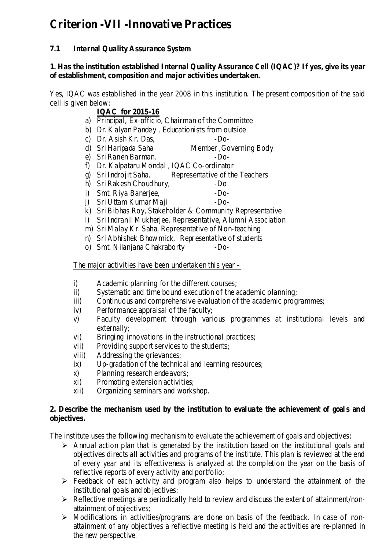# **Criterion -VII -Innovative Practices**

### **7.1 Internal Quality Assurance System**

#### **1. Has the institution established Internal Quality Assurance Cell (IQAC)? If yes, give its year of establishment, composition and major activities undertaken.**

Yes, IQAC was established in the year 2008 in this institution. The present composition of the said cell is given below:

#### **IQAC for 2015-16**

- a) Principal, Ex-officio, Chairman of the Committee
- b) Dr. Kalyan Pandey , Educationists from outside
- c) Dr. Asish Kr. Das, -Do-
- d) Sri Haripada Saha Member ,Governing Body
- e) Sri Ranen Barman, -Do-
- f) Dr. Kalpataru Mondal , IQAC Co-ordinator
- g) Sri Indrojit Saha, Representative of the Teachers
- h) Sri Rakesh Choudhury, -Do
- i) Smt. Riya Banerjee, -Do-<br>i) Sri Uttam Kumar Maii -Do-
- j) Sri Uttam Kumar Maji
- k) Sri Bibhas Roy, Stakeholder & Community Representative
- l) Sri Indranil Mukherjee, Representative, Alumni Association
- m) Sri Malay Kr. Saha, Representative of Non-teaching
- n) Sri Abhishek Bhowmick, Representative of students
- o) Smt. Nilanjana Chakraborty -Do-

The major activities have been undertaken this year –

- i) Academic planning for the different courses;
- ii) Systematic and time bound execution of the academic planning;
- iii) Continuous and comprehensive evaluation of the academic programmes;
- iv) Performance appraisal of the faculty;
- v) Faculty development through various programmes at institutional levels and externally;
- vi) Bringing innovations in the instructional practices;
- vii) Providing support services to the students;
- viii) Addressing the grievances;
- ix) Up-gradation of the technical and learning resources;
- x) Planning research endeavors;
- xi) Promoting extension activities;
- xii) Organizing seminars and workshop.

#### 2. Describe the mechanism used by the institution to evaluate the achievement of goals and **objectives.**

The institute uses the following mechanism to evaluate the achievement of goals and objectives:

- $\triangleright$  Annual action plan that is generated by the institution based on the institutional goals and objectives directs all activities and programs of the institute. This plan is reviewed at the end of every year and its effectiveness is analyzed at the completion the year on the basis of reflective reports of every activity and portfolio;
- $\triangleright$  Feedback of each activity and program also helps to understand the attainment of the institutional goals and ob jectives;
- $\triangleright$  Reflective meetings are periodically held to review and discuss the extent of attainment/nonattainment of objectives;
- $\triangleright$  Modifications in activities/programs are done on basis of the feedback. In case of nonattainment of any objectives a reflective meeting is held and the activities are re-planned in the new perspective.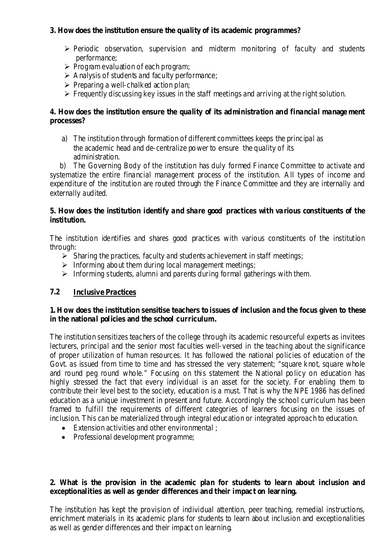### **3. How does the institution ensure the quality of its academic programmes?**

- $\triangleright$  Periodic observation, supervision and midterm monitoring of faculty and students performance;
- $\triangleright$  Program evaluation of each program;
- $\triangleright$  Analysis of students and faculty performance;
- $\triangleright$  Preparing a well-chalked action plan;
- $\triangleright$  Frequently discussing key issues in the staff meetings and arriving at the right solution.

### **4. How does the institution ensure the quality of its administration and financial manage ment processes?**

a) The institution through formation of different committees keeps the principal as the academic head and de-centralize power to ensure the quality of its administration.

 b) The Governing Body of the institution has duly formed Finance Committee to activate and systematize the entire financial management process of the institution. All types of income and expenditure of the institution are routed through the Finance Committee and they are internally and externally audited.

#### **5. How does the institution identify and share good practices with various constituents of the institution.**

The institution identifies and shares good practices with various constituents of the institution through:

- $\triangleright$  Sharing the practices, faculty and students achievement in staff meetings;
- $\triangleright$  Informing about them during local management meetings;
- $\triangleright$  Informing students, alumni and parents during formal gatherings with them.

#### **7.2 Inclusive Practices**

#### **1. How does the institution sensitise teachers to issues of inclusion and the focus given to these in the national policies and the school curriculum.**

The institution sensitizes teachers of the college through its academic resourceful experts as invitees lecturers, principal and the senior most faculties well-versed in the teaching about the significance of proper utilization of human resources. It has followed the national policies of education of the Govt. as issued from time to time and has stressed the very statement; "square knot, square whole and round peg round whole." Focusing on this statement the National policy on education has highly stressed the fact that every individual is an asset for the society. For enabling them to contribute their level best to the society, education is a must. That is why the NPE 1986 has defined education as a unique investment in present and future. Accordingly the school curriculum has been framed to fulfill the requirements of different categories of learners focusing on the issues of inclusion. This can be materialized through integral education or integrated approach to education.

- Extension activities and other environmental ;
- Professional development programme;

#### **2. What is the provision in the academic plan for students to learn about inclusion and exceptionalities as well as gender differences and their impact on learning.**

The institution has kept the provision of individual attention, peer teaching, remedial instructions, enrichment materials in its academic plans for students to learn about inclusion and exceptionalities as well as gender differences and their impact on learning.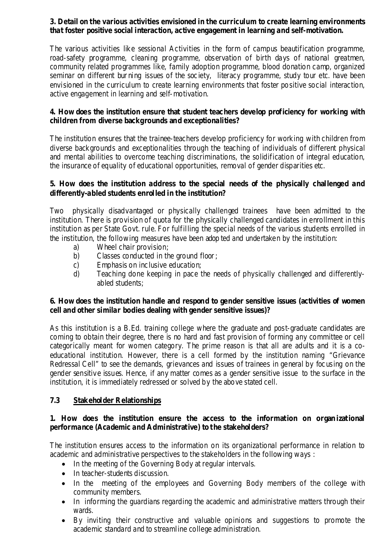#### **3. Detail on the various activities envisioned in the curriculum to create learning environments that foster positive social interaction, active engagement in learning and self-motivation.**

The various activities like sessional Activities in the form of campus beautification programme, road-safety programme, cleaning programme, observation of birth days of national greatmen, community related programmes like, family adoption programme, blood donation camp, organized seminar on different bur ning issues of the society, literacy programme, study tour etc. have been envisioned in the curriculum to create learning environments that foster positive social interaction, active engagement in learning and self-motivation.

#### **4. How does the institution ensure that student teachers develop proficiency for working with children from diverse backgrounds and exceptionalities?**

The institution ensures that the trainee-teachers develop proficiency for working with children from diverse backgrounds and exceptionalities through the teaching of individuals of different physical and mental abilities to overcome teaching discriminations, the solidification of integral education, the insurance of equality of educational opportunities, removal of gender disparities etc.

### **5. How does the institution address to the special needs of the physically challenged and differently-abled students enrolled in the institution?**

Two physically disadvantaged or physically challenged trainees have been admitted to the institution. There is provision of quota for the physically challenged candidates in enrollment in this institution as per State Govt. rule. For fulfilling the special needs of the various students enrolled in the institution, the following measures have been adop ted and undertaken by the institution:

- a) Wheel chair provision;
- b) Classes conducted in the ground floor;
- c) Emphasis on inclusive education;
- d) Teaching done keeping in pace the needs of physically challenged and differentlyabled students;

#### **6. How does the institution handle and respond to gender sensitive issues (activities of women cell and other similar bodies dealing with gender sensitive issues)?**

As this institution is a B.Ed. training college where the graduate and post-graduate candidates are coming to obtain their degree, there is no hard and fast provision of forming any committee or cell categorically meant for women category. The prime reason is that all are adults and it is a coeducational institution. However, there is a cell formed by the institution naming "Grievance Redressal Cell" to see the demands, grievances and issues of trainees in general by focusing on the gender sensitive issues. Hence, if any matter comes as a gender sensitive issue to the surface in the institution, it is immediately redressed or solved by the above stated cell.

#### **7.3 Stakeholder Relationships**

#### **1. How does the institution ensure the access to the information on organizational performance (Academic and Administrative) to the stakeholders?**

The institution ensures access to the information on its organizational performance in relation to academic and administrative perspectives to the stakeholders in the following ways :

- In the meeting of the Governing Body at regular intervals.
- In teacher-students discussion.
- In the meeting of the employees and Governing Body members of the college with community members.
- In informing the guardians regarding the academic and administrative matters through their wards.
- By inviting their constructive and valuable opinions and suggestions to promote the academic standard and to streamline college administration.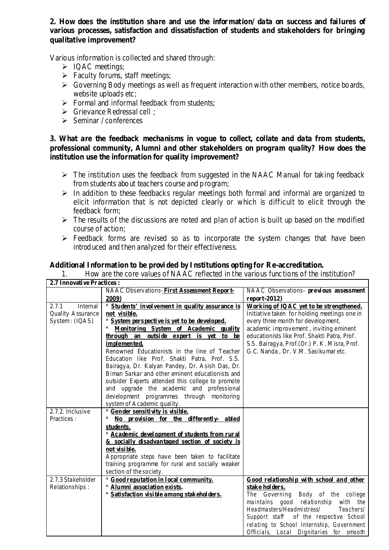**2. How does the institution share and use the information/ data on success and failures of various processes, satisfaction and dissatisfaction of students and stakeholders for bringing qualitative improvement?**

Various information is collected and shared through:

- ▶ IQAC meetings;
- $\triangleright$  Faculty forums, staff meetings;
- $\triangleright$  Governing Body meetings as well as frequent interaction with other members, notice boards, website uploads etc;
- $\triangleright$  Formal and informal feedback from students;
- Grievance Redressal cell ;
- $\triangleright$  Seminar / conferences

**3. What are the feedback mechanisms in vogue to collect, collate and data from students, professional community, Alumni and other stakeholders on program quality? How does the institution use the information for quality improvement?**

- $\triangleright$  The institution uses the feedback from suggested in the NAAC Manual for taking feedback from students about teachers course and program;
- $\triangleright$  In addition to these feedbacks regular meetings both formal and informal are organized to elicit information that is not depicted clearly or which is difficult to elicit through the feedback form;
- $\triangleright$  The results of the discussions are noted and plan of action is built up based on the modified course of action;
- $\triangleright$  Feedback forms are revised so as to incorporate the system changes that have been introduced and then analyzed for their effectiveness.

#### **Additional Information to be provi ded by Institutions opting for Re-accreditation.**

1. How are the core values of NAAC reflected in the various functions of the institution?

| 2.7 Innovative Practices: |                                                   |                                                                                      |
|---------------------------|---------------------------------------------------|--------------------------------------------------------------------------------------|
|                           | NAAC Observations-First Assessment Report-        | NAAC Observations- previous assessment                                               |
|                           | 2009)                                             | $report-2012)$                                                                       |
| 2.7.1<br>Internal         | * Students' involvement in quality assurance is   | Working of IQAC yet to be strengthened.                                              |
| Quality Assurance         | not visible.                                      | Initiative taken for holding meetings one in                                         |
| System: (IQAS)            | * System perspective is yet to be developed.      | every three month for development,                                                   |
|                           | Monitoring System of Academic quality             | academic improvement, inviting eminent                                               |
|                           | through an outside expert is yet to be            | educationists like Prof. Shakti Patra, Prof.                                         |
|                           | implemented.                                      | S.S. Bairagya, Prof.(Dr.) P. K. Misra, Prof.                                         |
|                           | Renowned Educationists in the line of Teacher     | G.C. Nanda, Dr. V.M. Sasikumar etc.                                                  |
|                           | Education like Prof. Shakti Patra, Prof. S.S.     |                                                                                      |
|                           | Bairagya, Dr. Kalyan Pandey, Dr. Asish Das, Dr.   |                                                                                      |
|                           | Biman Sarkar and other eminent educationists and  |                                                                                      |
|                           | outsider Experts attended this college to promote |                                                                                      |
|                           | and upgrade the academic and professional         |                                                                                      |
|                           | development programmes through monitoring         |                                                                                      |
|                           | system of Academic quality.                       |                                                                                      |
| 2.7.2. Inclusive          | * Gender sensitivity is visible.                  |                                                                                      |
| Practices:                | No provision for the differently- abled           |                                                                                      |
|                           | students.                                         |                                                                                      |
|                           | * Academic development of students from rural     |                                                                                      |
|                           | & socially disadvantaged section of society is    |                                                                                      |
|                           | not visible.                                      |                                                                                      |
|                           | Appropriate steps have been taken to facilitate   |                                                                                      |
|                           | training programme for rural and socially weaker  |                                                                                      |
|                           | section of the society.                           |                                                                                      |
| 2.7.3 Stakeholder         | * Good reputation in local community.             | Good relationship with school and other                                              |
| Relationships:            | * Alumni association exists.                      | stake holders.                                                                       |
|                           | * Satisfaction visible among stakeholders.        | The Governing Body of the college                                                    |
|                           |                                                   | maintains good relationship<br>with the                                              |
|                           |                                                   | Headmasters/Headmistress/<br>Teachers/                                               |
|                           |                                                   |                                                                                      |
|                           |                                                   | Support staff of the respective School                                               |
|                           |                                                   | relating to School Internship, Government<br>Officials, Local Dignitaries for smooth |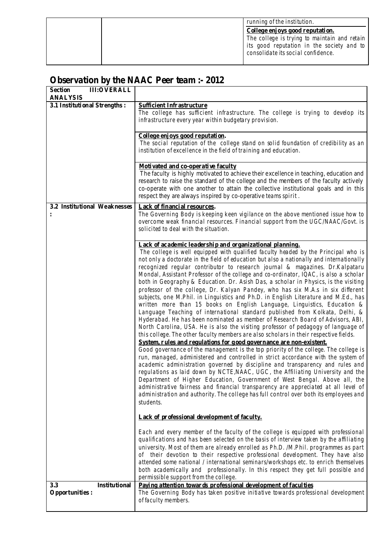|  | running of the institution.                  |
|--|----------------------------------------------|
|  | College enjoys good reputation.              |
|  | The college is trying to maintain and retain |
|  | its good reputation in the society and to    |
|  | consolidate its social confidence.           |
|  |                                              |

## **Observation by the NAAC Peer team :- 2012**

| <b>Section</b><br><b>III:OVERALL</b><br><b>ANALYSIS</b> |                                                                                                                                                                      |
|---------------------------------------------------------|----------------------------------------------------------------------------------------------------------------------------------------------------------------------|
| 3.1 Institutional Strengths:                            | <b>Sufficient Infrastructure</b>                                                                                                                                     |
|                                                         | The college has sufficient infrastructure. The college is trying to develop its                                                                                      |
|                                                         | infrastructure every year within budgetary provision.                                                                                                                |
|                                                         |                                                                                                                                                                      |
|                                                         | College enjoys good reputation.                                                                                                                                      |
|                                                         | The social reputation of the college stand on solid foundation of credibility as an                                                                                  |
|                                                         | institution of excellence in the field of training and education.                                                                                                    |
|                                                         |                                                                                                                                                                      |
|                                                         | Motivated and co-operative faculty<br>The faculty is highly motivated to achieve their excellence in teaching, education and                                         |
|                                                         | research to raise the standard of the college and the members of the faculty actively                                                                                |
|                                                         | co-operate with one another to attain the collective institutional goals and in this                                                                                 |
|                                                         | respect they are always inspired by co-operative teams spirit.                                                                                                       |
| 3.2 Institutional Weaknesses                            | <b>Lack of financial resources.</b>                                                                                                                                  |
|                                                         | The Governing Body is keeping keen vigilance on the above mentioned issue how to                                                                                     |
|                                                         | overcome weak financial resources. Financial support from the UGC/NAAC/Govt. is                                                                                      |
|                                                         | solicited to deal with the situation.                                                                                                                                |
|                                                         |                                                                                                                                                                      |
|                                                         | Lack of academic leadership and organizational planning.                                                                                                             |
|                                                         | The college is well equipped with qualified faculty headed by the Principal who is                                                                                   |
|                                                         | not only a doctorate in the field of education but also a nationally and internationally                                                                             |
|                                                         | recognized regular contributor to research journal & magazines. Dr.Kalpataru<br>Mondal, Assistant Professor of the college and co-ordinator, IQAC, is also a scholar |
|                                                         | both in Geography & Education. Dr. Asish Das, a scholar in Physics, is the visiting                                                                                  |
|                                                         | professor of the college, Dr. Kalyan Pandey, who has six M.A.s in six different                                                                                      |
|                                                         | subjects, one M.Phil. in Linguistics and Ph.D. in English Literature and M.Ed., has                                                                                  |
|                                                         | written more than 15 books on English Language, Linguistics, Education &                                                                                             |
|                                                         | Language Teaching of international standard published from Kolkata, Delhi, &                                                                                         |
|                                                         | Hyderabad. He has been nominated as member of Research Board of Advisors, ABI,                                                                                       |
|                                                         | North Carolina, USA. He is also the visiting professor of pedagogy of language of                                                                                    |
|                                                         | this college. The other faculty members are also scholars in their respective fields.                                                                                |
|                                                         | System, rules and regulations for good governance are non-existent.                                                                                                  |
|                                                         | Good governance of the management is the top priority of the college. The college is                                                                                 |
|                                                         | run, managed, administered and controlled in strict accordance with the system of<br>academic administration governed by discipline and transparency and rules and   |
|                                                         | regulations as laid down by NCTE, NAAC, UGC, the Affiliating University and the                                                                                      |
|                                                         | Department of Higher Education, Government of West Bengal. Above all, the                                                                                            |
|                                                         | administrative fairness and financial transparency are appreciated at all level of                                                                                   |
|                                                         | administration and authority. The college has full control over both its employees and                                                                               |
|                                                         | students.                                                                                                                                                            |
|                                                         |                                                                                                                                                                      |
|                                                         | Lack of professional development of faculty.                                                                                                                         |
|                                                         | Each and every member of the faculty of the college is equipped with professional                                                                                    |
|                                                         | qualifications and has been selected on the basis of interview taken by the affiliating                                                                              |
|                                                         | university. Most of them are already enrolled as Ph.D. /M.Phil. programmes as part                                                                                   |
|                                                         | of their devotion to their respective professional development. They have also                                                                                       |
|                                                         | attended some national / international seminars/workshops etc. to enrich themselves                                                                                  |
|                                                         | both academically and professionally. In this respect they get full possible and                                                                                     |
|                                                         | permissible support from the college.                                                                                                                                |
| <b>Institutional</b><br>3.3                             | Paying attention towards professional development of faculties                                                                                                       |
| <b>Opportunities:</b>                                   | The Governing Body has taken positive initiative towards professional development<br>of faculty members.                                                             |
|                                                         |                                                                                                                                                                      |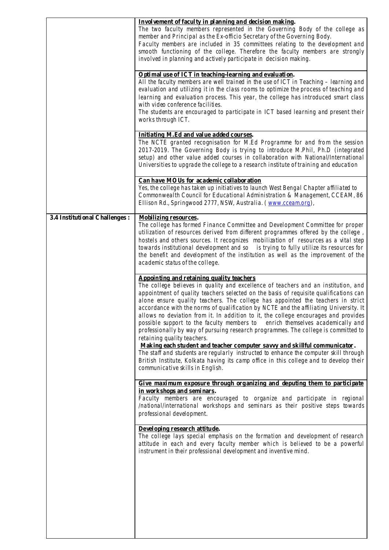|                               | Involvement of faculty in planning and decision making.                                  |  |
|-------------------------------|------------------------------------------------------------------------------------------|--|
|                               | The two faculty members represented in the Governing Body of the college as              |  |
|                               | member and Principal as the Ex-officio Secretary of the Governing Body.                  |  |
|                               | Faculty members are included in 35 committees relating to the development and            |  |
|                               | smooth functioning of the college. Therefore the faculty members are strongly            |  |
|                               | involved in planning and actively participate in decision making.                        |  |
|                               |                                                                                          |  |
|                               | Optimal use of ICT in teaching-learning and evaluation.                                  |  |
|                               | All the faculty members are well trained in the use of ICT in Teaching - learning and    |  |
|                               | evaluation and utilizing it in the class rooms to optimize the process of teaching and   |  |
|                               | learning and evaluation process. This year, the college has introduced smart class       |  |
|                               | with video conference facilities.                                                        |  |
|                               | The students are encouraged to participate in ICT based learning and present their       |  |
|                               | works through ICT.                                                                       |  |
|                               |                                                                                          |  |
|                               | Initiating M.Ed and value added courses.                                                 |  |
|                               | The NCTE granted recognisation for M.Ed Programme for and from the session               |  |
|                               | 2017-2019. The Governing Body is trying to introduce M.Phil, Ph.D (integrated            |  |
|                               | setup) and other value added courses in collaboration with National/International        |  |
|                               | Universities to upgrade the college to a research institute of training and education    |  |
|                               |                                                                                          |  |
|                               | Can have MOUs for academic collaboration                                                 |  |
|                               | Yes, the college has taken up initiatives to launch West Bengal Chapter affiliated to    |  |
|                               | Commonwealth Council for Educational Administration & Management, CCEAM, 86              |  |
|                               | Ellison Rd., Springwood 2777, NSW, Australia. (www.cceam.org),                           |  |
|                               |                                                                                          |  |
| 3.4 Institutional Challenges: | <b>Mobilizing resources.</b>                                                             |  |
|                               | The college has formed Finance Committee and Development Committee for proper            |  |
|                               | utilization of resources derived from different programmes offered by the college,       |  |
|                               | hostels and others sources. It recognizes mobilization of resources as a vital step      |  |
|                               | is trying to fully utilize its resources for<br>towards institutional development and so |  |
|                               | the benefit and development of the institution as well as the improvement of the         |  |
|                               | academic status of the college.                                                          |  |
|                               |                                                                                          |  |
|                               |                                                                                          |  |
|                               | Appointing and retaining quality teachers                                                |  |
|                               | The college believes in quality and excellence of teachers and an institution, and       |  |
|                               | appointment of quality teachers selected on the basis of requisite qualifications can    |  |
|                               | alone ensure quality teachers. The college has appointed the teachers in strict          |  |
|                               | accordance with the norms of qualification by NCTE and the affiliating University. It    |  |
|                               | allows no deviation from it. In addition to it, the college encourages and provides      |  |
|                               | possible support to the faculty members to enrich themselves academically and            |  |
|                               | professionally by way of pursuing research programmes. The college is committed to       |  |
|                               | retaining quality teachers.                                                              |  |
|                               | Making each student and teacher computer savvy and skillful communicator.                |  |
|                               | The staff and students are regularly instructed to enhance the computer skill through    |  |
|                               | British Institute, Kolkata having its camp office in this college and to develop their   |  |
|                               | communicative skills in English.                                                         |  |
|                               |                                                                                          |  |
|                               | Give maximum exposure through organizing and deputing them to participate                |  |
|                               | in workshops and seminars.                                                               |  |
|                               | Faculty members are encouraged to organize and participate in regional                   |  |
|                               | /national/international workshops and seminars as their positive steps towards           |  |
|                               | professional development.                                                                |  |
|                               |                                                                                          |  |
|                               | Developing research attitude.                                                            |  |
|                               | The college lays special emphasis on the formation and development of research           |  |
|                               | attitude in each and every faculty member which is believed to be a powerful             |  |
|                               | instrument in their professional development and inventive mind.                         |  |
|                               |                                                                                          |  |
|                               |                                                                                          |  |
|                               |                                                                                          |  |
|                               |                                                                                          |  |
|                               |                                                                                          |  |
|                               |                                                                                          |  |
|                               |                                                                                          |  |
|                               |                                                                                          |  |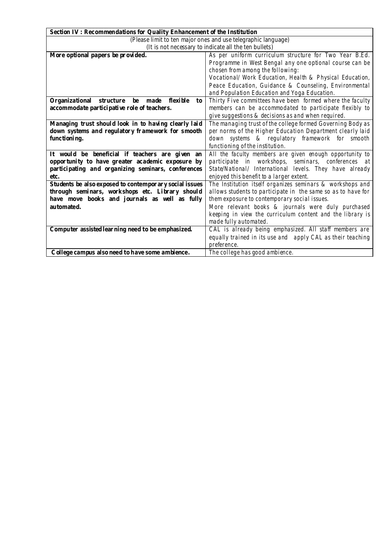| Section IV: Recommendations for Quality Enhancement of the Institution |                                                              |
|------------------------------------------------------------------------|--------------------------------------------------------------|
| (Please limit to ten major ones and use telegraphic language)          |                                                              |
|                                                                        | (It is not necessary to indicate all the ten bullets)        |
| More optional papers be provided.                                      | As per uniform curriculum structure for Two Year B.Ed.       |
|                                                                        | Programme in West Bengal any one optional course can be      |
|                                                                        | chosen from among the following:                             |
|                                                                        | Vocational/ Work Education, Health & Physical Education,     |
|                                                                        | Peace Education, Guidance & Counseling, Environmental        |
|                                                                        | and Population Education and Yoga Education.                 |
| flexible<br>Organizational<br>structure<br>be<br>made<br>to            | Thirty Five committees have been formed where the faculty    |
| accommodate participative role of teachers.                            | members can be accommodated to participate flexibly to       |
|                                                                        | give suggestions & decisions as and when required.           |
| Managing trust should look in to having clearly laid                   | The managing trust of the college formed Governing Body as   |
| down systems and regulatory framework for smooth                       | per norms of the Higher Education Department clearly laid    |
| functioning.                                                           | down systems & regulatory framework for smooth               |
|                                                                        | functioning of the institution.                              |
| It would be beneficial if teachers are given an                        | All the faculty members are given enough opportunity to      |
| opportunity to have greater academic exposure by                       | participate in workshops, seminars, conferences at           |
| participating and organizing seminars, conferences                     | State/National/ International levels. They have already      |
| etc.                                                                   | enjoyed this benefit to a larger extent.                     |
| Students be also exposed to contemporary social issues                 | The Institution itself organizes seminars & workshops and    |
| through seminars, workshops etc. Library should                        | allows students to participate in the same so as to have for |
| have move books and journals as well as fully                          | them exposure to contemporary social issues.                 |
| automated.                                                             | More relevant books & journals were duly purchased           |
|                                                                        | keeping in view the curriculum content and the library is    |
|                                                                        | made fully automated.                                        |
| Computer assisted learning need to be emphasized.                      | CAL is already being emphasized. All staff members are       |
|                                                                        | equally trained in its use and apply CAL as their teaching   |
|                                                                        | <i>preference.</i>                                           |
| College campus also need to have some ambience.                        | The college has good ambience.                               |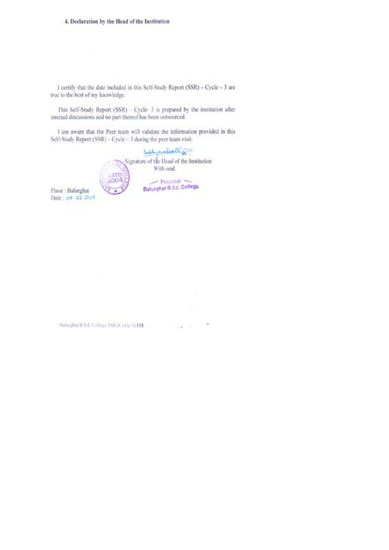#### 4. Declaration by the Head of the Institution

I certify that the date included in this Self-Study Report (SSR) - Cycle - 3 are true to the best of my knowledge.

This Self-Study Report (SSR) - Cycle- 3 is prepared by the institution after internal discussions and no part thereof has been outsourced.

I am aware that the Peer team will validate the information provided in this Self-Study Report (SSR) - Cycle - 3 during the peer team visit.

> table makerath for Signature of the Head of the Institution With seal.  $-$  Principal Balurghat B.Ed. College

Place : Balurghat Date: 08 - 02 - 26/7

Babeghat B.Ed. College SSR (Cycle-3)-LB